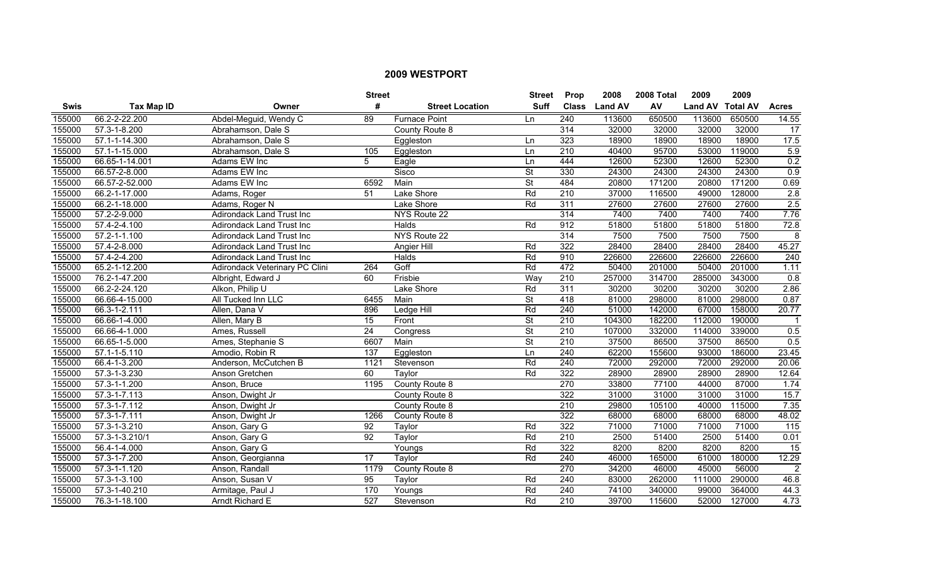|             |                    |                                  | <b>Street</b>   |                        | <b>Street</b>            | Prop             | 2008           | 2008 Total | 2009             | 2009   |                   |
|-------------|--------------------|----------------------------------|-----------------|------------------------|--------------------------|------------------|----------------|------------|------------------|--------|-------------------|
| <b>Swis</b> | <b>Tax Map ID</b>  | Owner                            | #               | <b>Street Location</b> | <b>Suff</b>              | <b>Class</b>     | <b>Land AV</b> | AV         | Land AV Total AV |        | <b>Acres</b>      |
| 155000      | 66.2-2-22.200      | Abdel-Meguid, Wendy C            | 89              | <b>Furnace Point</b>   | Ln                       | 240              | 113600         | 650500     | 113600           | 650500 | 14.55             |
| 155000      | 57.3-1-8.200       | Abrahamson, Dale S               |                 | County Route 8         |                          | 314              | 32000          | 32000      | 32000            | 32000  | 17                |
| 155000      | 57.1-1-14.300      | Abrahamson, Dale S               |                 | Eggleston              | Ln                       | 323              | 18900          | 18900      | 18900            | 18900  | 17.5              |
| 155000      | 57.1-1-15.000      | Abrahamson, Dale S               | 105             | Eggleston              | Ln                       | $\overline{210}$ | 40400          | 95700      | 53000            | 119000 | 5.9               |
| 155000      | 66.65-1-14.001     | Adams EW Inc                     | 5               | Eagle                  | Ln                       | 444              | 12600          | 52300      | 12600            | 52300  | 0.2               |
| 155000      | 66.57-2-8.000      | Adams EW Inc                     |                 | Sisco                  | $\overline{\mathsf{St}}$ | 330              | 24300          | 24300      | 24300            | 24300  | $\overline{0.9}$  |
| 155000      | 66.57-2-52.000     | Adams EW Inc                     | 6592            | Main                   | <b>St</b>                | 484              | 20800          | 171200     | 20800            | 171200 | 0.69              |
| 155000      | 66.2-1-17.000      | Adams, Roger                     | 51              | Lake Shore             | Rd                       | 210              | 37000          | 116500     | 49000            | 128000 | $\overline{2.8}$  |
| 155000      | 66.2-1-18.000      | Adams, Roger N                   |                 | Lake Shore             | Rd                       | 311              | 27600          | 27600      | 27600            | 27600  | $\overline{2.5}$  |
| 155000      | 57.2-2-9.000       | Adirondack Land Trust Inc        |                 | NYS Route 22           |                          | 314              | 7400           | 7400       | 7400             | 7400   | 7.76              |
| 155000      | 57.4-2-4.100       | <b>Adirondack Land Trust Inc</b> |                 | <b>Halds</b>           | Rd                       | 912              | 51800          | 51800      | 51800            | 51800  | 72.8              |
| 155000      | $57.2 - 1 - 1.100$ | Adirondack Land Trust Inc        |                 | NYS Route 22           |                          | 314              | 7500           | 7500       | 7500             | 7500   | 8                 |
| 155000      | 57.4-2-8.000       | <b>Adirondack Land Trust Inc</b> |                 | <b>Angier Hill</b>     | Rd                       | 322              | 28400          | 28400      | 28400            | 28400  | 45.27             |
| 155000      | 57.4-2-4.200       | Adirondack Land Trust Inc        |                 | Halds                  | Rd                       | 910              | 226600         | 226600     | 226600           | 226600 | 240               |
| 155000      | 65.2-1-12.200      | Adirondack Veterinary PC Clini   | 264             | Goff                   | Rd                       | 472              | 50400          | 201000     | 50400            | 201000 | 1.11              |
| 155000      | 76.2-1-47.200      | Albright, Edward J               | 60              | Frisbie                | Way                      | 210              | 257000         | 314700     | 285000           | 343000 | 0.8               |
| 155000      | 66.2-2-24.120      | Alkon, Philip U                  |                 | Lake Shore             | Rd                       | 311              | 30200          | 30200      | 30200            | 30200  | 2.86              |
| 155000      | 66.66-4-15.000     | All Tucked Inn LLC               | 6455            | Main                   | $\overline{\mathsf{St}}$ | 418              | 81000          | 298000     | 81000            | 298000 | 0.87              |
| 155000      | 66.3-1-2.111       | Allen, Dana V                    | 896             | Ledge Hill             | Rd                       | 240              | 51000          | 142000     | 67000            | 158000 | 20.77             |
| 155000      | 66.66-1-4.000      | Allen, Mary B                    | 15              | Front                  | St                       | $\overline{210}$ | 104300         | 182200     | 112000           | 190000 |                   |
| 155000      | 66.66-4-1.000      | Ames, Russell                    | $\overline{24}$ | Congress               | $\overline{\mathsf{St}}$ | 210              | 107000         | 332000     | 114000           | 339000 | 0.5               |
| 155000      | 66.65-1-5.000      | Ames, Stephanie S                | 6607            | Main                   | $\overline{\mathsf{St}}$ | $\overline{210}$ | 37500          | 86500      | 37500            | 86500  | 0.5               |
| 155000      | $57.1 - 1 - 5.110$ | Amodio, Robin R                  | 137             | Eggleston              | Ln                       | $\overline{240}$ | 62200          | 155600     | 93000            | 186000 | 23.45             |
| 155000      | 66.4-1-3.200       | Anderson, McCutchen B            | 1121            | Stevenson              | Rd                       | 240              | 72000          | 292000     | 72000            | 292000 | 20.06             |
| 155000      | 57.3-1-3.230       | Anson Gretchen                   | 60              | Taylor                 | Rd                       | 322              | 28900          | 28900      | 28900            | 28900  | 12.64             |
| 155000      | 57.3-1-1.200       | Anson, Bruce                     | 1195            | County Route 8         |                          | 270              | 33800          | 77100      | 44000            | 87000  | 1.74              |
| 155000      | $57.3 - 1 - 7.113$ | Anson, Dwight Jr                 |                 | County Route 8         |                          | 322              | 31000          | 31000      | 31000            | 31000  | 15.7              |
| 155000      | 57.3-1-7.112       | Anson, Dwight Jr                 |                 | County Route 8         |                          | 210              | 29800          | 105100     | 40000            | 115000 | 7.35              |
| 155000      | 57.3-1-7.111       | Anson, Dwight Jr                 | 1266            | County Route 8         |                          | 322              | 68000          | 68000      | 68000            | 68000  | 48.02             |
| 155000      | 57.3-1-3.210       | Anson, Gary G                    | 92              | Taylor                 | Rd                       | 322              | 71000          | 71000      | 71000            | 71000  | $\frac{115}{115}$ |
| 155000      | 57.3-1-3.210/1     | Anson, Gary G                    | 92              | Taylor                 | Rd                       | 210              | 2500           | 51400      | 2500             | 51400  | 0.01              |
| 155000      | 56.4-1-4.000       | Anson, Gary G                    |                 | Youngs                 | Rd                       | 322              | 8200           | 8200       | 8200             | 8200   | 15                |
| 155000      | 57.3-1-7.200       | Anson, Georgianna                | $\overline{17}$ | Taylor                 | Rd                       | 240              | 46000          | 165000     | 61000            | 180000 | 12.29             |
| 155000      | 57.3-1-1.120       | Anson, Randall                   | 1179            | County Route 8         |                          | 270              | 34200          | 46000      | 45000            | 56000  | $\overline{2}$    |
| 155000      | 57.3-1-3.100       | Anson, Susan V                   | 95              | Taylor                 | Rd                       | $\overline{240}$ | 83000          | 262000     | 111000           | 290000 | 46.8              |
| 155000      | 57.3-1-40.210      | Armitage, Paul J                 | 170             | Youngs                 | Rd                       | 240              | 74100          | 340000     | 99000            | 364000 | 44.3              |
| 155000      | 76.3-1-18.100      | Arndt Richard E                  | 527             | Stevenson              | Rd                       | 210              | 39700          | 115600     | 52000            | 127000 | 4.73              |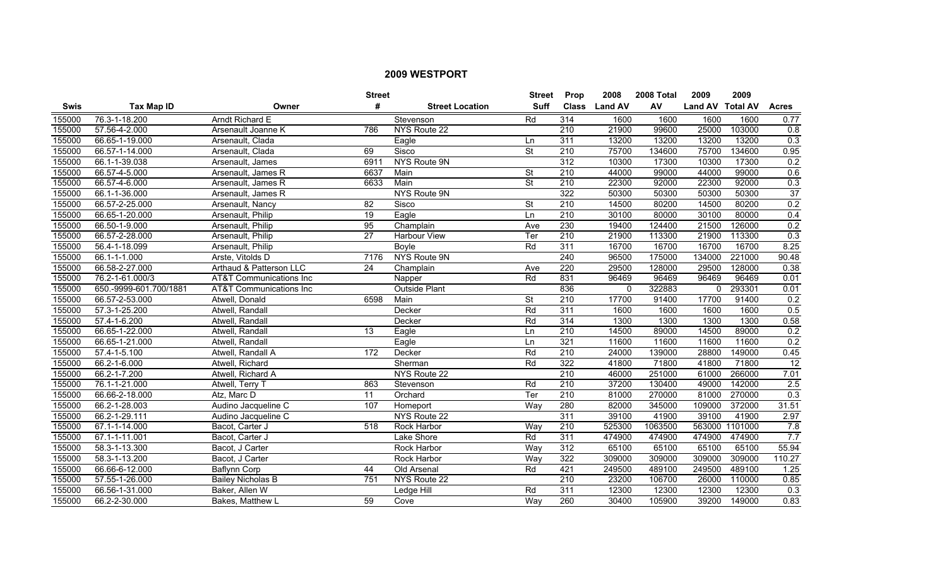|        |                        |                                    | <b>Street</b>   |                        | <b>Street</b>            | Prop             | 2008           | 2008 Total | 2009             | 2009    |                  |
|--------|------------------------|------------------------------------|-----------------|------------------------|--------------------------|------------------|----------------|------------|------------------|---------|------------------|
| Swis   | <b>Tax Map ID</b>      | Owner                              | #               | <b>Street Location</b> | <b>Suff</b>              | <b>Class</b>     | <b>Land AV</b> | AV         | Land AV Total AV |         | <b>Acres</b>     |
| 155000 | 76.3-1-18.200          | <b>Arndt Richard E</b>             |                 | Stevenson              | Rd                       | 314              | 1600           | 1600       | 1600             | 1600    | 0.77             |
| 155000 | 57.56-4-2.000          | Arsenault Joanne K                 | 786             | NYS Route 22           |                          | $\overline{210}$ | 21900          | 99600      | 25000            | 103000  | 0.8              |
| 155000 | 66.65-1-19.000         | Arsenault, Clada                   |                 | Eagle                  | Ln                       | 311              | 13200          | 13200      | 13200            | 13200   | 0.3              |
| 155000 | 66.57-1-14.000         | Arsenault, Clada                   | 69              | Sisco                  | <b>St</b>                | 210              | 75700          | 134600     | 75700            | 134600  | 0.95             |
| 155000 | 66.1-1-39.038          | Arsenault, James                   | 6911            | NYS Route 9N           |                          | $\overline{312}$ | 10300          | 17300      | 10300            | 17300   | 0.2              |
| 155000 | 66.57-4-5.000          | Arsenault, James R                 | 6637            | Main                   | <b>St</b>                | 210              | 44000          | 99000      | 44000            | 99000   | 0.6              |
| 155000 | 66.57-4-6.000          | Arsenault, James R                 | 6633            | Main                   | St                       | 210              | 22300          | 92000      | 22300            | 92000   | 0.3              |
| 155000 | 66.1-1-36.000          | Arsenault, James R                 |                 | NYS Route 9N           |                          | 322              | 50300          | 50300      | 50300            | 50300   | 37               |
| 155000 | 66.57-2-25.000         | Arsenault, Nancy                   | $\overline{82}$ | Sisco                  | $\overline{\mathsf{St}}$ | $\overline{210}$ | 14500          | 80200      | 14500            | 80200   | $\overline{0.2}$ |
| 155000 | 66.65-1-20.000         | Arsenault, Philip                  | $\overline{19}$ | Eagle                  | Ln                       | 210              | 30100          | 80000      | 30100            | 80000   | 0.4              |
| 155000 | 66.50-1-9.000          | Arsenault, Philip                  | 95              | Champlain              | Ave                      | 230              | 19400          | 124400     | 21500            | 126000  | 0.2              |
| 155000 | 66.57-2-28.000         | Arsenault, Philip                  | $\overline{27}$ | Harbour View           | Ter                      | $\overline{210}$ | 21900          | 113300     | 21900            | 113300  | 0.3              |
| 155000 | 56.4-1-18.099          | Arsenault, Philip                  |                 | Boyle                  | Rd                       | 311              | 16700          | 16700      | 16700            | 16700   | 8.25             |
| 155000 | 66.1-1-1.000           | Arste, Vitolds D                   | 7176            | NYS Route 9N           |                          | 240              | 96500          | 175000     | 134000           | 221000  | 90.48            |
| 155000 | 66.58-2-27.000         | Arthaud & Patterson LLC            | $\overline{24}$ | Champlain              | Ave                      | 220              | 29500          | 128000     | 29500            | 128000  | 0.38             |
| 155000 | 76.2-1-61.000/3        | <b>AT&amp;T</b> Communications Inc |                 | Napper                 | Rd                       | 831              | 96469          | 96469      | 96469            | 96469   | 0.01             |
| 155000 | 650.-9999-601.700/1881 | <b>AT&amp;T Communications Inc</b> |                 | <b>Outside Plant</b>   |                          | 836              | 0              | 322883     | $\mathbf{0}$     | 293301  | 0.01             |
| 155000 | 66.57-2-53.000         | Atwell, Donald                     | 6598            | Main                   | St                       | 210              | 17700          | 91400      | 17700            | 91400   | 0.2              |
| 155000 | 57.3-1-25.200          | Atwell, Randall                    |                 | Decker                 | Rd                       | 311              | 1600           | 1600       | 1600             | 1600    | 0.5              |
| 155000 | 57.4-1-6.200           | Atwell, Randall                    |                 | Decker                 | Rd                       | 314              | 1300           | 1300       | 1300             | 1300    | 0.58             |
| 155000 | 66.65-1-22.000         | Atwell, Randall                    | 13              | Eagle                  | Ln                       | $\overline{210}$ | 14500          | 89000      | 14500            | 89000   | 0.2              |
| 155000 | 66.65-1-21.000         | Atwell, Randall                    |                 | Eagle                  | Ln                       | 321              | 11600          | 11600      | 11600            | 11600   | 0.2              |
| 155000 | 57.4-1-5.100           | Atwell, Randall A                  | 172             | Decker                 | Rd                       | 210              | 24000          | 139000     | 28800            | 149000  | 0.45             |
| 155000 | 66.2-1-6.000           | Atwell, Richard                    |                 | Sherman                | Rd                       | 322              | 41800          | 71800      | 41800            | 71800   | $\overline{12}$  |
| 155000 | 66.2-1-7.200           | Atwell, Richard A                  |                 | NYS Route 22           |                          | 210              | 46000          | 251000     | 61000            | 266000  | 7.01             |
| 155000 | 76.1-1-21.000          | Atwell, Terry T                    | 863             | Stevenson              | Rd                       | $\overline{210}$ | 37200          | 130400     | 49000            | 142000  | 2.5              |
| 155000 | 66.66-2-18.000         | Atz. Marc D                        | 11              | Orchard                | Ter                      | 210              | 81000          | 270000     | 81000            | 270000  | $\overline{0.3}$ |
| 155000 | 66.2-1-28.003          | Audino Jacqueline C                | 107             | Homeport               | Way                      | 280              | 82000          | 345000     | 109000           | 372000  | 31.51            |
| 155000 | 66.2-1-29.111          | Audino Jacqueline C                |                 | NYS Route 22           |                          | 311              | 39100          | 41900      | 39100            | 41900   | 2.97             |
| 155000 | 67.1-1-14.000          | Bacot, Carter J                    | 518             | <b>Rock Harbor</b>     | Way                      | 210              | 525300         | 1063500    | 563000           | 1101000 | 7.8              |
| 155000 | 67.1-1-11.001          | Bacot, Carter J                    |                 | Lake Shore             | Rd                       | 311              | 474900         | 474900     | 474900           | 474900  | 7.7              |
| 155000 | 58.3-1-13.300          | Bacot, J Carter                    |                 | <b>Rock Harbor</b>     | Way                      | 312              | 65100          | 65100      | 65100            | 65100   | 55.94            |
| 155000 | 58.3-1-13.200          | Bacot, J Carter                    |                 | <b>Rock Harbor</b>     | Way                      | 322              | 309000         | 309000     | 309000           | 309000  | 110.27           |
| 155000 | 66.66-6-12.000         | Baflynn Corp                       | 44              | Old Arsenal            | Rd                       | 421              | 249500         | 489100     | 249500           | 489100  | 1.25             |
| 155000 | 57.55-1-26.000         | <b>Bailey Nicholas B</b>           | 751             | NYS Route 22           |                          | 210              | 23200          | 106700     | 26000            | 110000  | 0.85             |
| 155000 | 66.56-1-31.000         | Baker, Allen W                     |                 | Ledge Hill             | Rd                       | $\overline{311}$ | 12300          | 12300      | 12300            | 12300   | 0.3              |
| 155000 | 66.2-2-30.000          | Bakes, Matthew L                   | 59              | Cove                   | Way                      | 260              | 30400          | 105900     | 39200            | 149000  | 0.83             |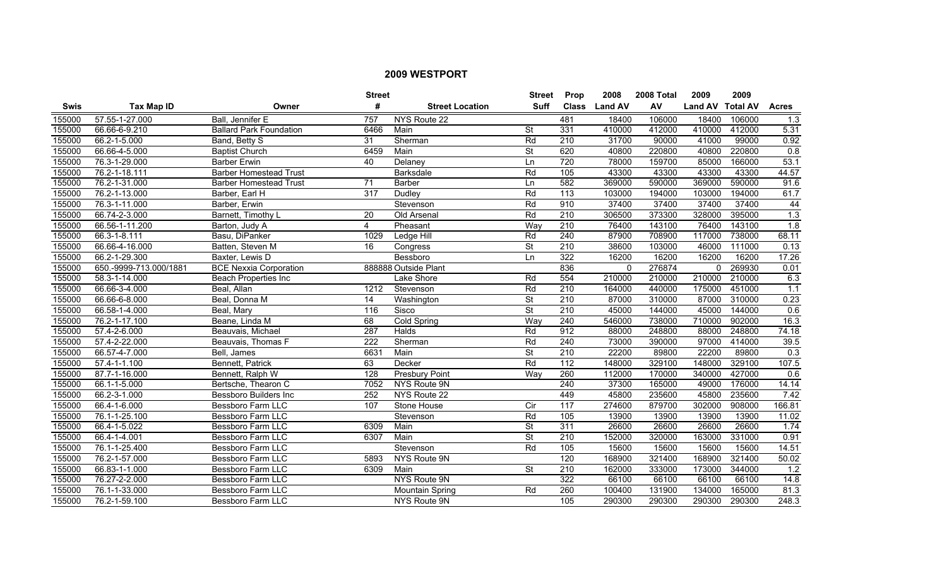|             |                        |                                | <b>Street</b>           |                        | <b>Street</b>            | Prop             | 2008           | 2008 Total | 2009             | 2009   |                  |
|-------------|------------------------|--------------------------------|-------------------------|------------------------|--------------------------|------------------|----------------|------------|------------------|--------|------------------|
| <b>Swis</b> | <b>Tax Map ID</b>      | Owner                          | #                       | <b>Street Location</b> | <b>Suff</b>              | <b>Class</b>     | <b>Land AV</b> | AV         | Land AV Total AV |        | <b>Acres</b>     |
| 155000      | 57.55-1-27.000         | Ball, Jennifer E               | 757                     | NYS Route 22           |                          | 481              | 18400          | 106000     | 18400            | 106000 | $\overline{1.3}$ |
| 155000      | 66.66-6-9.210          | <b>Ballard Park Foundation</b> | 6466                    | Main                   | St                       | 331              | 410000         | 412000     | 410000           | 412000 | 5.31             |
| 155000      | 66.2-1-5.000           | Band, Betty S                  | 31                      | Sherman                | Rd                       | 210              | 31700          | 90000      | 41000            | 99000  | 0.92             |
| 155000      | 66.66-4-5.000          | <b>Baptist Church</b>          | 6459                    | Main                   | <b>St</b>                | 620              | 40800          | 220800     | 40800            | 220800 | 0.8              |
| 155000      | 76.3-1-29.000          | <b>Barber Erwin</b>            | 40                      | Delanev                | Ln                       | 720              | 78000          | 159700     | 85000            | 166000 | 53.1             |
| 155000      | 76.2-1-18.111          | <b>Barber Homestead Trust</b>  |                         | <b>Barksdale</b>       | Rd                       | 105              | 43300          | 43300      | 43300            | 43300  | 44.57            |
| 155000      | 76.2-1-31.000          | <b>Barber Homestead Trust</b>  | 71                      | <b>Barber</b>          | Ln                       | 582              | 369000         | 590000     | 369000           | 590000 | 91.6             |
| 155000      | 76.2-1-13.000          | Barber, Earl H                 | 317                     | Dudley                 | Rd                       | 113              | 103000         | 194000     | 103000           | 194000 | 61.7             |
| 155000      | 76.3-1-11.000          | Barber, Erwin                  |                         | Stevenson              | Rd                       | 910              | 37400          | 37400      | 37400            | 37400  | 44               |
| 155000      | 66.74-2-3.000          | Barnett, Timothy L             | 20                      | Old Arsenal            | Rd                       | 210              | 306500         | 373300     | 328000           | 395000 | 1.3              |
| 155000      | 66.56-1-11.200         | Barton, Judy A                 | $\overline{\mathbf{4}}$ | Pheasant               | Way                      | $\overline{210}$ | 76400          | 143100     | 76400            | 143100 | $\overline{1.8}$ |
| 155000      | 66.3-1-8.111           | Basu, DiPanker                 | 1029                    | Ledge Hill             | Rd                       | 240              | 87900          | 708900     | 117000           | 738000 | 68.11            |
| 155000      | 66.66-4-16.000         | Batten, Steven M               | 16                      | Congress               | $\overline{\mathsf{St}}$ | 210              | 38600          | 103000     | 46000            | 111000 | 0.13             |
| 155000      | 66.2-1-29.300          | Baxter, Lewis D                |                         | Bessboro               | Ln                       | 322              | 16200          | 16200      | 16200            | 16200  | 17.26            |
| 155000      | 650.-9999-713.000/1881 | <b>BCE Nexxia Corporation</b>  |                         | 888888 Outside Plant   |                          | 836              | $\Omega$       | 276874     | $\mathbf{0}$     | 269930 | 0.01             |
| 155000      | 58.3-1-14.000          | <b>Beach Properties Inc</b>    |                         | Lake Shore             | Rd                       | 554              | 210000         | 210000     | 210000           | 210000 | 6.3              |
| 155000      | 66.66-3-4.000          | Beal, Allan                    | 1212                    | Stevenson              | Rd                       | 210              | 164000         | 440000     | 175000           | 451000 | 1.1              |
| 155000      | 66.66-6-8.000          | Beal, Donna M                  | 14                      | Washington             | $\overline{\mathsf{St}}$ | 210              | 87000          | 310000     | 87000            | 310000 | 0.23             |
| 155000      | $66.58 - 1 - 4.000$    | Beal, Mary                     | 116                     | Sisco                  | <b>St</b>                | 210              | 45000          | 144000     | 45000            | 144000 | 0.6              |
| 155000      | 76.2-1-17.100          | Beane, Linda M                 | 68                      | Cold Spring            | Way                      | 240              | 546000         | 738000     | 710000           | 902000 | 16.3             |
| 155000      | 57.4-2-6.000           | Beauvais, Michael              | 287                     | Halds                  | Rd                       | 912              | 88000          | 248800     | 88000            | 248800 | 74.18            |
| 155000      | 57.4-2-22.000          | Beauvais, Thomas F             | 222                     | Sherman                | Rd                       | 240              | 73000          | 390000     | 97000            | 414000 | 39.5             |
| 155000      | 66.57-4-7.000          | Bell, James                    | 6631                    | Main                   | $\overline{\mathsf{St}}$ | 210              | 22200          | 89800      | 22200            | 89800  | 0.3              |
| 155000      | 57.4-1-1.100           | Bennett, Patrick               | 63                      | Decker                 | Rd                       | $\overline{112}$ | 148000         | 329100     | 148000           | 329100 | 107.5            |
| 155000      | 87.7-1-16.000          | Bennett, Ralph W               | 128                     | <b>Presbury Point</b>  | Way                      | 260              | 112000         | 170000     | 340000           | 427000 | 0.6              |
| 155000      | 66.1-1-5.000           | Bertsche, Thearon C            | 7052                    | NYS Route 9N           |                          | 240              | 37300          | 165000     | 49000            | 176000 | 14.14            |
| 155000      | 66.2-3-1.000           | <b>Bessboro Builders Inc</b>   | 252                     | NYS Route 22           |                          | 449              | 45800          | 235600     | 45800            | 235600 | 7.42             |
| 155000      | 66.4-1-6.000           | Bessboro Farm LLC              | 107                     | Stone House            | Cir                      | 117              | 274600         | 879700     | 302000           | 908000 | 166.81           |
| 155000      | 76.1-1-25.100          | <b>Bessboro Farm LLC</b>       |                         | Stevenson              | Rd                       | 105              | 13900          | 13900      | 13900            | 13900  | 11.02            |
| 155000      | 66.4-1-5.022           | <b>Bessboro Farm LLC</b>       | 6309                    | Main                   | $\overline{\mathsf{St}}$ | 311              | 26600          | 26600      | 26600            | 26600  | 1.74             |
| 155000      | 66.4-1-4.001           | <b>Bessboro Farm LLC</b>       | 6307                    | Main                   | <b>St</b>                | 210              | 152000         | 320000     | 163000           | 331000 | 0.91             |
| 155000      | 76.1-1-25.400          | <b>Bessboro Farm LLC</b>       |                         | Stevenson              | Rd                       | 105              | 15600          | 15600      | 15600            | 15600  | 14.51            |
| 155000      | 76.2-1-57.000          | <b>Bessboro Farm LLC</b>       | 5893                    | NYS Route 9N           |                          | 120              | 168900         | 321400     | 168900           | 321400 | 50.02            |
| 155000      | 66.83-1-1.000          | Bessboro Farm LLC              | 6309                    | Main                   | <b>St</b>                | $\overline{210}$ | 162000         | 333000     | 173000           | 344000 | 1.2              |
| 155000      | 76.27-2-2.000          | Bessboro Farm LLC              |                         | NYS Route 9N           |                          | 322              | 66100          | 66100      | 66100            | 66100  | 14.8             |
| 155000      | 76.1-1-33.000          | Bessboro Farm LLC              |                         | <b>Mountain Spring</b> | Rd                       | 260              | 100400         | 131900     | 134000           | 165000 | 81.3             |
| 155000      | 76.2-1-59.100          | <b>Bessboro Farm LLC</b>       |                         | <b>NYS Route 9N</b>    |                          | 105              | 290300         | 290300     | 290300           | 290300 | 248.3            |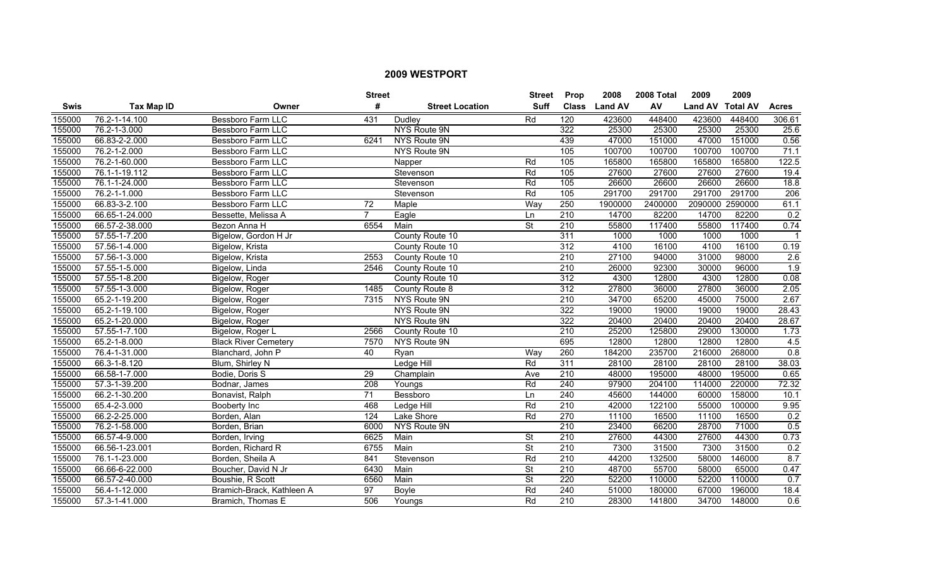|        |                   |                             | <b>Street</b>    |                        | <b>Street</b>            | <b>Prop</b>      | 2008           | 2008 Total | 2009             | 2009   |                  |
|--------|-------------------|-----------------------------|------------------|------------------------|--------------------------|------------------|----------------|------------|------------------|--------|------------------|
| Swis   | <b>Tax Map ID</b> | Owner                       | #                | <b>Street Location</b> | <b>Suff</b>              | <b>Class</b>     | <b>Land AV</b> | AV         | Land AV Total AV |        | <b>Acres</b>     |
| 155000 | 76.2-1-14.100     | Bessboro Farm LLC           | 431              | <b>Dudley</b>          | Rd                       | 120              | 423600         | 448400     | 423600           | 448400 | 306.61           |
| 155000 | 76.2-1-3.000      | Bessboro Farm LLC           |                  | NYS Route 9N           |                          | 322              | 25300          | 25300      | 25300            | 25300  | 25.6             |
| 155000 | 66.83-2-2.000     | <b>Bessboro Farm LLC</b>    | 6241             | NYS Route 9N           |                          | 439              | 47000          | 151000     | 47000            | 151000 | 0.56             |
| 155000 | 76.2-1-2.000      | <b>Bessboro Farm LLC</b>    |                  | NYS Route 9N           |                          | 105              | 100700         | 100700     | 100700           | 100700 | 71.1             |
| 155000 | 76.2-1-60.000     | <b>Bessboro Farm LLC</b>    |                  | Napper                 | Rd                       | 105              | 165800         | 165800     | 165800           | 165800 | 122.5            |
| 155000 | 76.1-1-19.112     | <b>Bessboro Farm LLC</b>    |                  | Stevenson              | Rd                       | 105              | 27600          | 27600      | 27600            | 27600  | 19.4             |
| 155000 | 76.1-1-24.000     | Bessboro Farm LLC           |                  | Stevenson              | Rd                       | 105              | 26600          | 26600      | 26600            | 26600  | 18.8             |
| 155000 | 76.2-1-1.000      | <b>Bessboro Farm LLC</b>    |                  | Stevenson              | Rd                       | 105              | 291700         | 291700     | 291700           | 291700 | 206              |
| 155000 | 66.83-3-2.100     | <b>Bessboro Farm LLC</b>    | $\overline{72}$  | Maple                  | Way                      | 250              | 1900000        | 2400000    | 2090000 2590000  |        | 61.1             |
| 155000 | 66.65-1-24.000    | Bessette, Melissa A         | 7                | Eagle                  | Ln                       | $\overline{210}$ | 14700          | 82200      | 14700            | 82200  | 0.2              |
| 155000 | 66.57-2-38.000    | Bezon Anna H                | 6554             | Main                   | $\overline{\mathsf{St}}$ | 210              | 55800          | 117400     | 55800            | 117400 | 0.74             |
| 155000 | 57.55-1-7.200     | Bigelow, Gordon H Jr        |                  | County Route 10        |                          | 311              | 1000           | 1000       | 1000             | 1000   |                  |
| 155000 | 57.56-1-4.000     | Bigelow, Krista             |                  | County Route 10        |                          | $\overline{312}$ | 4100           | 16100      | 4100             | 16100  | 0.19             |
| 155000 | 57.56-1-3.000     | Bigelow, Krista             | 2553             | County Route 10        |                          | 210              | 27100          | 94000      | 31000            | 98000  | 2.6              |
| 155000 | 57.55-1-5.000     | Bigelow, Linda              | 2546             | County Route 10        |                          | $\overline{210}$ | 26000          | 92300      | 30000            | 96000  | 1.9              |
| 155000 | 57.55-1-8.200     | Bigelow, Roger              |                  | County Route 10        |                          | 312              | 4300           | 12800      | 4300             | 12800  | 0.08             |
| 155000 | 57.55-1-3.000     | Bigelow, Roger              | 1485             | County Route 8         |                          | 312              | 27800          | 36000      | 27800            | 36000  | 2.05             |
| 155000 | 65.2-1-19.200     | Bigelow, Roger              | 7315             | NYS Route 9N           |                          | 210              | 34700          | 65200      | 45000            | 75000  | 2.67             |
| 155000 | 65.2-1-19.100     | Bigelow, Roger              |                  | NYS Route 9N           |                          | 322              | 19000          | 19000      | 19000            | 19000  | 28.43            |
| 155000 | 65.2-1-20.000     | Bigelow, Roger              |                  | NYS Route 9N           |                          | 322              | 20400          | 20400      | 20400            | 20400  | 28.67            |
| 155000 | 57.55-1-7.100     | Bigelow, Roger L            | 2566             | County Route 10        |                          | 210              | 25200          | 125800     | 29000            | 130000 | 1.73             |
| 155000 | 65.2-1-8.000      | <b>Black River Cemetery</b> | 7570             | NYS Route 9N           |                          | 695              | 12800          | 12800      | 12800            | 12800  | 4.5              |
| 155000 | 76.4-1-31.000     | Blanchard, John P           | 40               | Ryan                   | Way                      | 260              | 184200         | 235700     | 216000           | 268000 | $\overline{0.8}$ |
| 155000 | 66.3-1-8.120      | Blum, Shirley N             |                  | Ledge Hill             | Rd                       | $\overline{311}$ | 28100          | 28100      | 28100            | 28100  | 38.03            |
| 155000 | 66.58-1-7.000     | Bodie, Doris S              | $\overline{29}$  | Champlain              | Ave                      | 210              | 48000          | 195000     | 48000            | 195000 | 0.65             |
| 155000 | 57.3-1-39.200     | Bodnar, James               | $\overline{208}$ | Youngs                 | Rd                       | 240              | 97900          | 204100     | 114000           | 220000 | 72.32            |
| 155000 | 66.2-1-30.200     | Bonavist, Ralph             | $\overline{71}$  | Bessboro               | Ln                       | 240              | 45600          | 144000     | 60000            | 158000 | 10.1             |
| 155000 | 65.4-2-3.000      | <b>Booberty Inc</b>         | 468              | <b>Ledge Hill</b>      | Rd                       | 210              | 42000          | 122100     | 55000            | 100000 | 9.95             |
| 155000 | 66.2-2-25.000     | Borden, Alan                | 124              | Lake Shore             | Rd                       | 270              | 11100          | 16500      | 11100            | 16500  | 0.2              |
| 155000 | 76.2-1-58.000     | Borden, Brian               | 6000             | NYS Route 9N           |                          | 210              | 23400          | 66200      | 28700            | 71000  | 0.5              |
| 155000 | 66.57-4-9.000     | Borden, Irving              | 6625             | Main                   | St                       | 210              | 27600          | 44300      | 27600            | 44300  | 0.73             |
| 155000 | 66.56-1-23.001    | Borden, Richard R           | 6755             | Main                   | $\overline{\mathsf{St}}$ | 210              | 7300           | 31500      | 7300             | 31500  | 0.2              |
| 155000 | 76.1-1-23.000     | Borden, Sheila A            | 841              | Stevenson              | Rd                       | 210              | 44200          | 132500     | 58000            | 146000 | 8.7              |
| 155000 | 66.66-6-22.000    | Boucher, David N Jr         | 6430             | Main                   | St                       | $\overline{210}$ | 48700          | 55700      | 58000            | 65000  | 0.47             |
| 155000 | 66.57-2-40.000    | Boushie, R Scott            | 6560             | Main                   | $\overline{\mathsf{St}}$ | 220              | 52200          | 110000     | 52200            | 110000 | 0.7              |
| 155000 | 56.4-1-12.000     | Bramich-Brack, Kathleen A   | 97               | Boyle                  | Rd                       | 240              | 51000          | 180000     | 67000            | 196000 | 18.4             |
| 155000 | 57.3-1-41.000     | Bramich, Thomas E           | 506              | Youngs                 | Rd                       | $\overline{210}$ | 28300          | 141800     | 34700            | 148000 | 0.6              |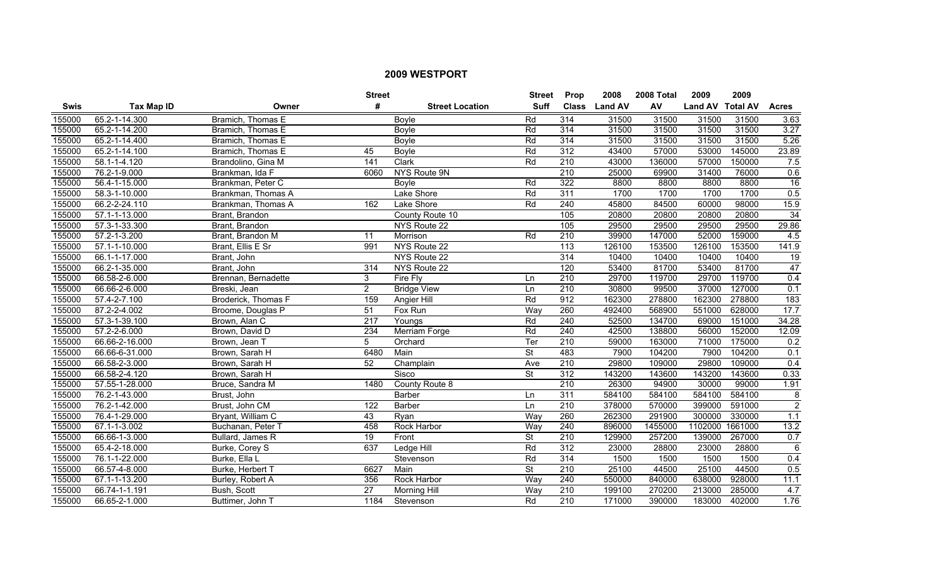|             |                   |                     | <b>Street</b>    |                        | <b>Street</b>            | <b>Prop</b>      | 2008           | 2008 Total | 2009             | 2009    |                 |
|-------------|-------------------|---------------------|------------------|------------------------|--------------------------|------------------|----------------|------------|------------------|---------|-----------------|
| <b>Swis</b> | <b>Tax Map ID</b> | Owner               | #                | <b>Street Location</b> | <b>Suff</b>              | <b>Class</b>     | <b>Land AV</b> | AV         | Land AV Total AV |         | <b>Acres</b>    |
| 155000      | 65.2-1-14.300     | Bramich, Thomas E   |                  | <b>Boyle</b>           | Rd                       | 314              | 31500          | 31500      | 31500            | 31500   | 3.63            |
| 155000      | 65.2-1-14.200     | Bramich, Thomas E   |                  | Boyle                  | Rd                       | 314              | 31500          | 31500      | 31500            | 31500   | 3.27            |
| 155000      | 65.2-1-14.400     | Bramich, Thomas E   |                  | <b>Boyle</b>           | Rd                       | 314              | 31500          | 31500      | 31500            | 31500   | 5.26            |
| 155000      | 65.2-1-14.100     | Bramich, Thomas E   | 45               | Boyle                  | Rd                       | 312              | 43400          | 57000      | 53000            | 145000  | 23.89           |
| 155000      | 58.1-1-4.120      | Brandolino, Gina M  | 141              | Clark                  | Rd                       | 210              | 43000          | 136000     | 57000            | 150000  | 7.5             |
| 155000      | 76.2-1-9.000      | Brankman, Ida F     | 6060             | <b>NYS Route 9N</b>    |                          | 210              | 25000          | 69900      | 31400            | 76000   | 0.6             |
| 155000      | 56.4-1-15.000     | Brankman, Peter C   |                  | Boyle                  | Rd                       | 322              | 8800           | 8800       | 8800             | 8800    | 16              |
| 155000      | 58.3-1-10.000     | Brankman, Thomas A  |                  | Lake Shore             | Rd                       | 311              | 1700           | 1700       | 1700             | 1700    | 0.5             |
| 155000      | 66.2-2-24.110     | Brankman, Thomas A  | 162              | Lake Shore             | Rd                       | 240              | 45800          | 84500      | 60000            | 98000   | 15.9            |
| 155000      | 57.1-1-13.000     | Brant, Brandon      |                  | County Route 10        |                          | 105              | 20800          | 20800      | 20800            | 20800   | $\overline{34}$ |
| 155000      | 57.3-1-33.300     | Brant, Brandon      |                  | NYS Route 22           |                          | 105              | 29500          | 29500      | 29500            | 29500   | 29.86           |
| 155000      | 57.2-1-3.200      | Brant, Brandon M    | 11               | Morrison               | Rd                       | $\overline{210}$ | 39900          | 147000     | 52000            | 159000  | 4.5             |
| 155000      | 57.1-1-10.000     | Brant, Ellis E Sr   | 991              | NYS Route 22           |                          | $\overline{113}$ | 126100         | 153500     | 126100           | 153500  | 141.9           |
| 155000      | 66.1-1-17.000     | Brant, John         |                  | NYS Route 22           |                          | 314              | 10400          | 10400      | 10400            | 10400   | 19              |
| 155000      | 66.2-1-35.000     | Brant, John         | 314              | NYS Route 22           |                          | 120              | 53400          | 81700      | 53400            | 81700   | $\overline{47}$ |
| 155000      | 66.58-2-6.000     | Brennan, Bernadette | 3                | Fire Fly               | Ln                       | 210              | 29700          | 119700     | 29700            | 119700  | 0.4             |
| 155000      | 66.66-2-6.000     | Breski, Jean        | $\overline{2}$   | <b>Bridge View</b>     | Ln                       | 210              | 30800          | 99500      | 37000            | 127000  | 0.1             |
| 155000      | 57.4-2-7.100      | Broderick, Thomas F | 159              | <b>Angier Hill</b>     | Rd                       | 912              | 162300         | 278800     | 162300           | 278800  | 183             |
| 155000      | 87.2-2-4.002      | Broome, Douglas P   | 51               | Fox Run                | Way                      | 260              | 492400         | 568900     | 551000           | 628000  | 17.7            |
| 155000      | 57.3-1-39.100     | Brown, Alan C       | $\overline{217}$ | Youngs                 | Rd                       | 240              | 52500          | 134700     | 69000            | 151000  | 34.28           |
| 155000      | 57.2-2-6.000      | Brown, David D      | 234              | Merriam Forge          | Rd                       | 240              | 42500          | 138800     | 56000            | 152000  | 12.09           |
| 155000      | 66.66-2-16.000    | Brown, Jean T       | 5                | Orchard                | Ter                      | $\overline{210}$ | 59000          | 163000     | 71000            | 175000  | 0.2             |
| 155000      | 66.66-6-31.000    | Brown, Sarah H      | 6480             | Main                   | St                       | 483              | 7900           | 104200     | 7900             | 104200  | 0.1             |
| 155000      | 66.58-2-3.000     | Brown, Sarah H      | 52               | Champlain              | Ave                      | $\overline{210}$ | 29800          | 109000     | 29800            | 109000  | 0.4             |
| 155000      | 66.58-2-4.120     | Brown, Sarah H      |                  | Sisco                  | $\overline{\mathsf{St}}$ | 312              | 143200         | 143600     | 143200           | 143600  | 0.33            |
| 155000      | 57.55-1-28.000    | Bruce, Sandra M     | 1480             | County Route 8         |                          | $\overline{210}$ | 26300          | 94900      | 30000            | 99000   | 1.91            |
| 155000      | 76.2-1-43.000     | Brust, John         |                  | Barber                 | Ln                       | $\overline{311}$ | 584100         | 584100     | 584100           | 584100  | 8               |
| 155000      | 76.2-1-42.000     | Brust, John CM      | 122              | <b>Barber</b>          | Ln                       | 210              | 378000         | 570000     | 399000           | 591000  | $\overline{2}$  |
| 155000      | 76.4-1-29.000     | Bryant, William C   | 43               | Ryan                   | Way                      | 260              | 262300         | 291900     | 300000           | 330000  | 1.1             |
| 155000      | 67.1-1-3.002      | Buchanan, Peter T   | 458              | <b>Rock Harbor</b>     | Way                      | 240              | 896000         | 1455000    | 1102000          | 1661000 | 13.2            |
| 155000      | 66.66-1-3.000     | Bullard, James R    | 19               | Front                  | $\overline{\mathsf{St}}$ | 210              | 129900         | 257200     | 139000           | 267000  | 0.7             |
| 155000      | 65.4-2-18.000     | Burke, Corey S      | 637              | Ledge Hill             | Rd                       | 312              | 23000          | 28800      | 23000            | 28800   | 6               |
| 155000      | 76.1-1-22.000     | Burke, Ella L       |                  | Stevenson              | Rd                       | 314              | 1500           | 1500       | 1500             | 1500    | 0.4             |
| 155000      | 66.57-4-8.000     | Burke, Herbert T    | 6627             | Main                   | $\overline{\mathsf{St}}$ | $\overline{210}$ | 25100          | 44500      | 25100            | 44500   | 0.5             |
| 155000      | 67.1-1-13.200     | Burley, Robert A    | 356              | <b>Rock Harbor</b>     | Way                      | $\overline{240}$ | 550000         | 840000     | 638000           | 928000  | 11.1            |
| 155000      | 66.74-1-1.191     | Bush, Scott         | $\overline{27}$  | <b>Morning Hill</b>    | Way                      | $\overline{210}$ | 199100         | 270200     | 213000           | 285000  | 4.7             |
| 155000      | 66.65-2-1.000     | Buttimer, John T    | 1184             | Stevenson              | Rd                       | $\overline{210}$ | 171000         | 390000     | 183000           | 402000  | 1.76            |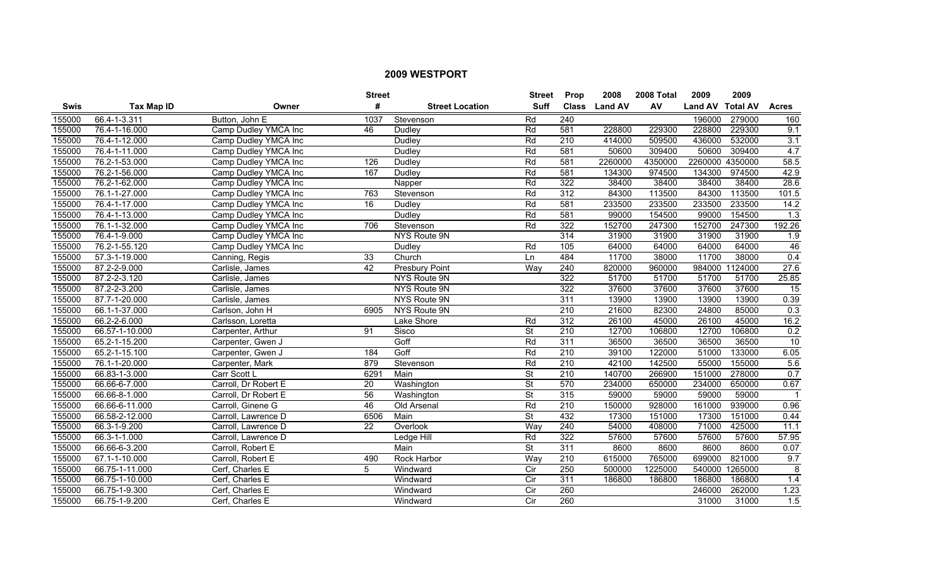|             |                |                      | <b>Street</b>   |                        | <b>Street</b>            | <b>Prop</b>      | 2008           | 2008 Total | 2009             | 2009    |                  |
|-------------|----------------|----------------------|-----------------|------------------------|--------------------------|------------------|----------------|------------|------------------|---------|------------------|
| <b>Swis</b> | Tax Map ID     | Owner                | #               | <b>Street Location</b> | <b>Suff</b>              | <b>Class</b>     | <b>Land AV</b> | AV         | Land AV Total AV |         | <b>Acres</b>     |
| 155000      | 66.4-1-3.311   | Button, John E       | 1037            | Stevenson              | Rd                       | 240              |                |            | 196000           | 279000  | 160              |
| 155000      | 76.4-1-16.000  | Camp Dudley YMCA Inc | 46              | Dudley                 | Rd                       | 581              | 228800         | 229300     | 228800           | 229300  | 9.1              |
| 155000      | 76.4-1-12.000  | Camp Dudley YMCA Inc |                 | <b>Dudley</b>          | Rd                       | 210              | 414000         | 509500     | 436000           | 532000  | $\overline{3.1}$ |
| 155000      | 76.4-1-11.000  | Camp Dudley YMCA Inc |                 | Dudley                 | Rd                       | 581              | 50600          | 309400     | 50600            | 309400  | 4.7              |
| 155000      | 76.2-1-53.000  | Camp Dudley YMCA Inc | 126             | <b>Dudley</b>          | Rd                       | 581              | 2260000        | 4350000    | 2260000          | 4350000 | 58.5             |
| 155000      | 76.2-1-56.000  | Camp Dudley YMCA Inc | 167             | Dudley                 | Rd                       | 581              | 134300         | 974500     | 134300           | 974500  | 42.9             |
| 155000      | 76.2-1-62.000  | Camp Dudley YMCA Inc |                 | Napper                 | Rd                       | 322              | 38400          | 38400      | 38400            | 38400   | 28.6             |
| 155000      | 76.1-1-27.000  | Camp Dudley YMCA Inc | 763             | Stevenson              | Rd                       | 312              | 84300          | 113500     | 84300            | 113500  | 101.5            |
| 155000      | 76.4-1-17.000  | Camp Dudley YMCA Inc | $\overline{16}$ | Dudley                 | Rd                       | 581              | 233500         | 233500     | 233500           | 233500  | 14.2             |
| 155000      | 76.4-1-13.000  | Camp Dudley YMCA Inc |                 | Dudley                 | Rd                       | 581              | 99000          | 154500     | 99000            | 154500  | 1.3              |
| 155000      | 76.1-1-32.000  | Camp Dudley YMCA Inc | 706             | Stevenson              | Rd                       | 322              | 152700         | 247300     | 152700           | 247300  | 192.26           |
| 155000      | 76.4-1-9.000   | Camp Dudley YMCA Inc |                 | NYS Route 9N           |                          | 314              | 31900          | 31900      | 31900            | 31900   | 1.9              |
| 155000      | 76.2-1-55.120  | Camp Dudley YMCA Inc |                 | Dudley                 | Rd                       | 105              | 64000          | 64000      | 64000            | 64000   | 46               |
| 155000      | 57.3-1-19.000  | Canning, Regis       | 33              | Church                 | Ln                       | 484              | 11700          | 38000      | 11700            | 38000   | 0.4              |
| 155000      | 87.2-2-9.000   | Carlisle, James      | 42              | Presbury Point         | Way                      | 240              | 820000         | 960000     | 984000           | 1124000 | 27.6             |
| 155000      | 87.2-2-3.120   | Carlisle, James      |                 | NYS Route 9N           |                          | 322              | 51700          | 51700      | 51700            | 51700   | 25.85            |
| 155000      | 87.2-2-3.200   | Carlisle, James      |                 | <b>NYS Route 9N</b>    |                          | 322              | 37600          | 37600      | 37600            | 37600   | 15               |
| 155000      | 87.7-1-20.000  | Carlisle, James      |                 | NYS Route 9N           |                          | 311              | 13900          | 13900      | 13900            | 13900   | 0.39             |
| 155000      | 66.1-1-37.000  | Carlson, John H      | 6905            | NYS Route 9N           |                          | 210              | 21600          | 82300      | 24800            | 85000   | 0.3              |
| 155000      | 66.2-2-6.000   | Carlsson, Loretta    |                 | Lake Shore             | Rd                       | 312              | 26100          | 45000      | 26100            | 45000   | 16.2             |
| 155000      | 66.57-1-10.000 | Carpenter, Arthur    | 91              | Sisco                  | $\overline{\mathsf{St}}$ | $\overline{210}$ | 12700          | 106800     | 12700            | 106800  | 0.2              |
| 155000      | 65.2-1-15.200  | Carpenter, Gwen J    |                 | Goff                   | Rd                       | 311              | 36500          | 36500      | 36500            | 36500   | 10               |
| 155000      | 65.2-1-15.100  | Carpenter, Gwen J    | 184             | Goff                   | Rd                       | $\overline{210}$ | 39100          | 122000     | 51000            | 133000  | 6.05             |
| 155000      | 76.1-1-20.000  | Carpenter, Mark      | 879             | Stevenson              | Rd                       | $\overline{210}$ | 42100          | 142500     | 55000            | 155000  | 5.6              |
| 155000      | 66.83-1-3.000  | Carr Scott L         | 6291            | Main                   | $\overline{\mathsf{St}}$ | 210              | 140700         | 266900     | 151000           | 278000  | 0.7              |
| 155000      | 66.66-6-7.000  | Carroll, Dr Robert E | 20              | Washington             | $\overline{\mathsf{St}}$ | 570              | 234000         | 650000     | 234000           | 650000  | 0.67             |
| 155000      | 66.66-8-1.000  | Carroll, Dr Robert E | 56              | Washington             | $\overline{\mathsf{St}}$ | 315              | 59000          | 59000      | 59000            | 59000   |                  |
| 155000      | 66.66-6-11.000 | Carroll, Ginene G    | 46              | Old Arsenal            | Rd                       | 210              | 150000         | 928000     | 161000           | 939000  | 0.96             |
| 155000      | 66.58-2-12.000 | Carroll, Lawrence D  | 6506            | Main                   | $\overline{\mathsf{St}}$ | 432              | 17300          | 151000     | 17300            | 151000  | 0.44             |
| 155000      | 66.3-1-9.200   | Carroll, Lawrence D  | 22              | Overlook               | Way                      | 240              | 54000          | 408000     | 71000            | 425000  | 11.1             |
| 155000      | 66.3-1-1.000   | Carroll, Lawrence D  |                 | Ledge Hill             | Rd                       | 322              | 57600          | 57600      | 57600            | 57600   | 57.95            |
| 155000      | 66.66-6-3.200  | Carroll, Robert E    |                 | Main                   | $\overline{\mathsf{St}}$ | 311              | 8600           | 8600       | 8600             | 8600    | 0.07             |
| 155000      | 67.1-1-10.000  | Carroll, Robert E    | 490             | Rock Harbor            | Way                      | 210              | 615000         | 765000     | 699000           | 821000  | 9.7              |
| 155000      | 66.75-1-11.000 | Cerf, Charles E      | 5               | Windward               | Cir                      | 250              | 500000         | 1225000    | 540000           | 1265000 | 8                |
| 155000      | 66.75-1-10.000 | Cerf, Charles E      |                 | Windward               | $\overline{C}$           | 311              | 186800         | 186800     | 186800           | 186800  | 1.4              |
| 155000      | 66.75-1-9.300  | Cerf, Charles E      |                 | Windward               | Cir                      | 260              |                |            | 246000           | 262000  | 1.23             |
| 155000      | 66.75-1-9.200  | Cerf, Charles E      |                 | Windward               | $\overline{C}$           | 260              |                |            | 31000            | 31000   | 1.5              |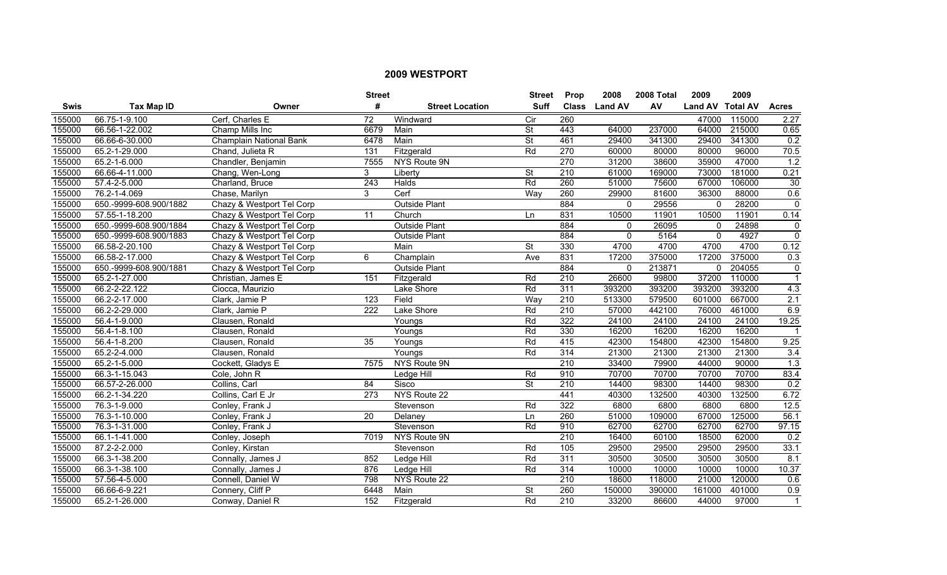|             |                        |                                | <b>Street</b>    |                        | <b>Street</b>            | <b>Prop</b>      | 2008           | 2008 Total | 2009             | 2009   |              |
|-------------|------------------------|--------------------------------|------------------|------------------------|--------------------------|------------------|----------------|------------|------------------|--------|--------------|
| <b>Swis</b> | <b>Tax Map ID</b>      | Owner                          | #                | <b>Street Location</b> | <b>Suff</b>              | <b>Class</b>     | <b>Land AV</b> | AV         | Land AV Total AV |        | <b>Acres</b> |
| 155000      | 66.75-1-9.100          | Cerf, Charles E                | $\overline{72}$  | Windward               | $\overline{C}$           | 260              |                |            | 47000            | 115000 | 2.27         |
| 155000      | 66.56-1-22.002         | Champ Mills Inc                | 6679             | Main                   | $\overline{\mathsf{St}}$ | 443              | 64000          | 237000     | 64000            | 215000 | 0.65         |
| 155000      | 66.66-6-30.000         | <b>Champlain National Bank</b> | 6478             | Main                   | $\overline{\mathsf{St}}$ | 461              | 29400          | 341300     | 29400            | 341300 | 0.2          |
| 155000      | 65.2-1-29.000          | Chand, Julieta R               | 131              | Fitzgerald             | Rd                       | 270              | 60000          | 80000      | 80000            | 96000  | 70.5         |
| 155000      | 65.2-1-6.000           | Chandler, Benjamin             | 7555             | NYS Route 9N           |                          | 270              | 31200          | 38600      | 35900            | 47000  | 1.2          |
| 155000      | 66.66-4-11.000         | Chang, Wen-Long                | 3                | Liberty                | $\overline{\mathsf{St}}$ | 210              | 61000          | 169000     | 73000            | 181000 | 0.21         |
| 155000      | 57.4-2-5.000           | Charland, Bruce                | 243              | Halds                  | Rd                       | 260              | 51000          | 75600      | 67000            | 106000 | 30           |
| 155000      | 76.2-1-4.069           | Chase, Marilyn                 | 3                | Cerf                   | Way                      | 260              | 29900          | 81600      | 36300            | 88000  | 0.6          |
| 155000      | 650.-9999-608.900/1882 | Chazy & Westport Tel Corp      |                  | <b>Outside Plant</b>   |                          | 884              | $\mathbf{0}$   | 29556      | $\Omega$         | 28200  | $\Omega$     |
| 155000      | 57.55-1-18.200         | Chazy & Westport Tel Corp      | 11               | Church                 | Ln                       | 831              | 10500          | 11901      | 10500            | 11901  | 0.14         |
| 155000      | 650.-9999-608.900/1884 | Chazy & Westport Tel Corp      |                  | <b>Outside Plant</b>   |                          | 884              | $\mathbf{0}$   | 26095      | $\mathbf 0$      | 24898  | $\mathbf 0$  |
| 155000      | 650.-9999-608.900/1883 | Chazy & Westport Tel Corp      |                  | <b>Outside Plant</b>   |                          | 884              | $\mathbf{0}$   | 5164       | $\overline{0}$   | 4927   | $\Omega$     |
| 155000      | 66.58-2-20.100         | Chazy & Westport Tel Corp      |                  | Main                   | <b>St</b>                | 330              | 4700           | 4700       | 4700             | 4700   | 0.12         |
| 155000      | 66.58-2-17.000         | Chazy & Westport Tel Corp      | 6                | Champlain              | Ave                      | 831              | 17200          | 375000     | 17200            | 375000 | 0.3          |
| 155000      | 650.-9999-608.900/1881 | Chazy & Westport Tel Corp      |                  | Outside Plant          |                          | 884              | $\Omega$       | 213871     | $\Omega$         | 204055 | $\Omega$     |
| 155000      | 65.2-1-27.000          | Christian, James E             | 151              | Fitzgerald             | Rd                       | 210              | 26600          | 99800      | 37200            | 110000 |              |
| 155000      | 66.2-2-22.122          | Ciocca, Maurizio               |                  | Lake Shore             | Rd                       | 311              | 393200         | 393200     | 393200           | 393200 | 4.3          |
| 155000      | 66.2-2-17.000          | Clark, Jamie P                 | 123              | Field                  | Wav                      | 210              | 513300         | 579500     | 601000           | 667000 | 2.1          |
| 155000      | 66.2-2-29.000          | Clark, Jamie P                 | 222              | Lake Shore             | Rd                       | 210              | 57000          | 442100     | 76000            | 461000 | 6.9          |
| 155000      | 56.4-1-9.000           | Clausen, Ronald                |                  | Youngs                 | Rd                       | 322              | 24100          | 24100      | 24100            | 24100  | 19.25        |
| 155000      | 56.4-1-8.100           | Clausen, Ronald                |                  | Youngs                 | Rd                       | 330              | 16200          | 16200      | 16200            | 16200  |              |
| 155000      | 56.4-1-8.200           | Clausen, Ronald                | 35               | Youngs                 | Rd                       | 415              | 42300          | 154800     | 42300            | 154800 | 9.25         |
| 155000      | 65.2-2-4.000           | Clausen, Ronald                |                  | Youngs                 | Rd                       | 314              | 21300          | 21300      | 21300            | 21300  | 3.4          |
| 155000      | 65.2-1-5.000           | Cockett, Gladys E              | 7575             | NYS Route 9N           |                          | 210              | 33400          | 79900      | 44000            | 90000  | 1.3          |
| 155000      | 66.3-1-15.043          | Cole, John R                   |                  | Ledge Hill             | Rd                       | 910              | 70700          | 70700      | 70700            | 70700  | 83.4         |
| 155000      | 66.57-2-26.000         | Collins, Carl                  | 84               | Sisco                  | $\overline{\mathsf{St}}$ | $\overline{210}$ | 14400          | 98300      | 14400            | 98300  | 0.2          |
| 155000      | 66.2-1-34.220          | Collins, Carl E Jr             | $\overline{273}$ | NYS Route 22           |                          | 441              | 40300          | 132500     | 40300            | 132500 | 6.72         |
| 155000      | 76.3-1-9.000           | Conley, Frank J                |                  | Stevenson              | Rd                       | 322              | 6800           | 6800       | 6800             | 6800   | 12.5         |
| 155000      | 76.3-1-10.000          | Conley, Frank J                | 20               | Delaney                | Ln                       | 260              | 51000          | 109000     | 67000            | 125000 | 56.1         |
| 155000      | 76.3-1-31.000          | Conley, Frank J                |                  | Stevenson              | Rd                       | 910              | 62700          | 62700      | 62700            | 62700  | 97.15        |
| 155000      | 66.1-1-41.000          | Conley, Joseph                 | 7019             | NYS Route 9N           |                          | 210              | 16400          | 60100      | 18500            | 62000  | 0.2          |
| 155000      | 87.2-2-2.000           | Conley, Kirstan                |                  | Stevenson              | Rd                       | 105              | 29500          | 29500      | 29500            | 29500  | 33.1         |
| 155000      | 66.3-1-38.200          | Connally, James J              | 852              | Ledge Hill             | Rd                       | $\overline{311}$ | 30500          | 30500      | 30500            | 30500  | 8.1          |
| 155000      | 66.3-1-38.100          | Connally, James J              | 876              | Ledge Hill             | Rd                       | 314              | 10000          | 10000      | 10000            | 10000  | 10.37        |
| 155000      | 57.56-4-5.000          | Connell, Daniel W              | 798              | NYS Route 22           |                          | $\overline{210}$ | 18600          | 118000     | 21000            | 120000 | 0.6          |
| 155000      | 66.66-6-9.221          | Connery, Cliff P               | 6448             | Main                   | <b>St</b>                | 260              | 150000         | 390000     | 161000           | 401000 | 0.9          |
| 155000      | 65.2-1-26.000          | Conway, Daniel R               | 152              | Fitzgerald             | Rd                       | $\overline{210}$ | 33200          | 86600      | 44000            | 97000  | $\mathbf{1}$ |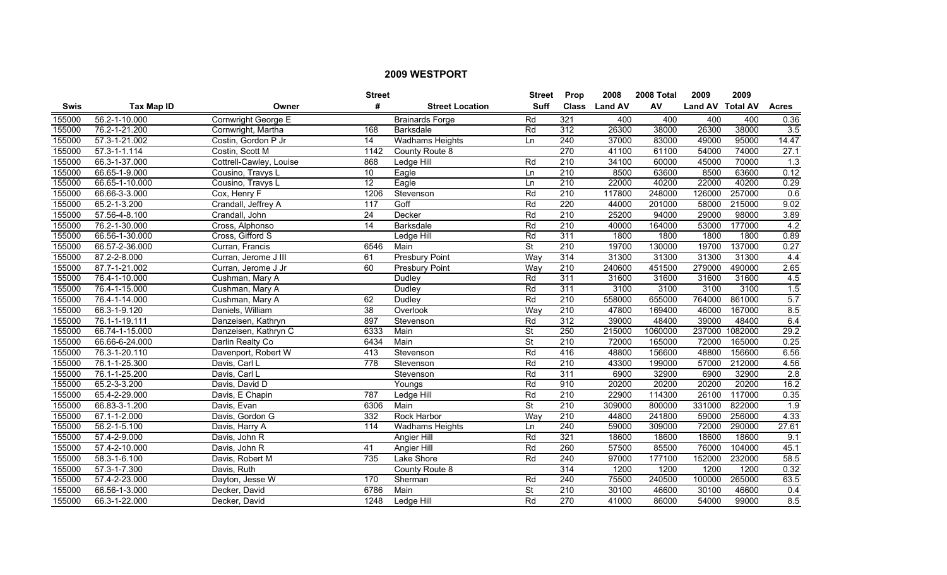|        |                    |                         | <b>Street</b>    |                             | <b>Street</b>            | <b>Prop</b>      | 2008           | 2008 Total | 2009             | 2009    |                  |
|--------|--------------------|-------------------------|------------------|-----------------------------|--------------------------|------------------|----------------|------------|------------------|---------|------------------|
| Swis   | <b>Tax Map ID</b>  | Owner                   | #                | <b>Street Location</b>      | <b>Suff</b>              | <b>Class</b>     | <b>Land AV</b> | AV         | Land AV Total AV |         | <b>Acres</b>     |
| 155000 | 56.2-1-10.000      | Cornwright George E     |                  | <b>Brainards Forge</b>      | Rd                       | 321              | 400            | 400        | 400              | 400     | 0.36             |
| 155000 | 76.2-1-21.200      | Cornwright, Martha      | 168              | <b>Barksdale</b>            | Rd                       | $\overline{312}$ | 26300          | 38000      | 26300            | 38000   | $\overline{3.5}$ |
| 155000 | 57.3-1-21.002      | Costin, Gordon P Jr     | 14               | <b>Wadhams Heights</b>      | Ln                       | 240              | 37000          | 83000      | 49000            | 95000   | 14.47            |
| 155000 | $57.3 - 1 - 1.114$ | Costin, Scott M         | 1142             | County Route 8              |                          | 270              | 41100          | 61100      | 54000            | 74000   | 27.1             |
| 155000 | 66.3-1-37.000      | Cottrell-Cawley, Louise | 868              | Ledge Hill                  | Rd                       | 210              | 34100          | 60000      | 45000            | 70000   | 1.3              |
| 155000 | 66.65-1-9.000      | Cousino, Travys L       | 10               | $\overline{\mathsf{Eagle}}$ | Ln                       | 210              | 8500           | 63600      | 8500             | 63600   | 0.12             |
| 155000 | 66.65-1-10.000     | Cousino, Travys L       | 12               | Eagle                       | Ln                       | 210              | 22000          | 40200      | 22000            | 40200   | 0.29             |
| 155000 | 66.66-3-3.000      | Cox, Henry F            | 1206             | Stevenson                   | Rd                       | $\overline{210}$ | 117800         | 248000     | 126000           | 257000  | 0.6              |
| 155000 | 65.2-1-3.200       | Crandall, Jeffrey A     | 117              | Goff                        | Rd                       | 220              | 44000          | 201000     | 58000            | 215000  | 9.02             |
| 155000 | 57.56-4-8.100      | Crandall, John          | 24               | Decker                      | Rd                       | $\overline{210}$ | 25200          | 94000      | 29000            | 98000   | 3.89             |
| 155000 | 76.2-1-30.000      | Cross, Alphonso         | $\overline{14}$  | Barksdale                   | Rd                       | 210              | 40000          | 164000     | 53000            | 177000  | 4.2              |
| 155000 | 66.56-1-30.000     | Cross, Gifford S        |                  | Ledge Hill                  | Rd                       | 311              | 1800           | 1800       | 1800             | 1800    | 0.89             |
| 155000 | 66.57-2-36.000     | Curran, Francis         | 6546             | Main                        | $\overline{\mathsf{St}}$ | $\overline{210}$ | 19700          | 130000     | 19700            | 137000  | 0.27             |
| 155000 | 87.2-2-8.000       | Curran, Jerome J III    | 61               | <b>Presbury Point</b>       | Way                      | 314              | 31300          | 31300      | 31300            | 31300   | 4.4              |
| 155000 | 87.7-1-21.002      | Curran, Jerome J Jr     | 60               | <b>Presbury Point</b>       | Way                      | 210              | 240600         | 451500     | 279000           | 490000  | 2.65             |
| 155000 | 76.4-1-10.000      | Cushman, Mary A         |                  | Dudley                      | Rd                       | 311              | 31600          | 31600      | 31600            | 31600   | 4.5              |
| 155000 | 76.4-1-15.000      | Cushman, Mary A         |                  | <b>Dudley</b>               | Rd                       | 311              | 3100           | 3100       | 3100             | 3100    | 1.5              |
| 155000 | 76.4-1-14.000      | Cushman, Mary A         | 62               | Dudley                      | Rd                       | 210              | 558000         | 655000     | 764000           | 861000  | 5.7              |
| 155000 | 66.3-1-9.120       | Daniels, William        | 38               | Overlook                    | Way                      | 210              | 47800          | 169400     | 46000            | 167000  | 8.5              |
| 155000 | 76.1-1-19.111      | Danzeisen, Kathryn      | 897              | Stevenson                   | Rd                       | 312              | 39000          | 48400      | 39000            | 48400   | 6.4              |
| 155000 | 66.74-1-15.000     | Danzeisen, Kathryn C    | 6333             | Main                        | $\overline{\mathsf{St}}$ | 250              | 215000         | 1060000    | 237000           | 1082000 | 29.2             |
| 155000 | 66.66-6-24.000     | Darlin Realty Co        | 6434             | Main                        | $\overline{\mathsf{St}}$ | $\overline{210}$ | 72000          | 165000     | 72000            | 165000  | 0.25             |
| 155000 | 76.3-1-20.110      | Davenport, Robert W     | 413              | Stevenson                   | Rd                       | 416              | 48800          | 156600     | 48800            | 156600  | 6.56             |
| 155000 | 76.1-1-25.300      | Davis, Carl L           | $\overline{778}$ | Stevenson                   | Rd                       | 210              | 43300          | 199000     | 57000            | 212000  | 4.56             |
| 155000 | 76.1-1-25.200      | Davis, Carl L           |                  | Stevenson                   | Rd                       | 311              | 6900           | 32900      | 6900             | 32900   | 2.8              |
| 155000 | 65.2-3-3.200       | Davis, David D          |                  | Youngs                      | Rd                       | 910              | 20200          | 20200      | 20200            | 20200   | 16.2             |
| 155000 | 65.4-2-29.000      | Davis, E Chapin         | 787              | Ledge Hill                  | Rd                       | 210              | 22900          | 114300     | 26100            | 117000  | 0.35             |
| 155000 | 66.83-3-1.200      | Davis, Evan             | 6306             | Main                        | <b>St</b>                | 210              | 309000         | 800000     | 331000           | 822000  | $\overline{1.9}$ |
| 155000 | 67.1-1-2.000       | Davis, Gordon G         | 332              | Rock Harbor                 | Way                      | 210              | 44800          | 241800     | 59000            | 256000  | 4.33             |
| 155000 | 56.2-1-5.100       | Davis, Harry A          | 114              | <b>Wadhams Heights</b>      | Ln                       | 240              | 59000          | 309000     | 72000            | 290000  | 27.61            |
| 155000 | 57.4-2-9.000       | Davis, John R           |                  | Angier Hill                 | Rd                       | 321              | 18600          | 18600      | 18600            | 18600   | 9.1              |
| 155000 | 57.4-2-10.000      | Davis, John R           | 41               | <b>Angier Hill</b>          | Rd                       | 260              | 57500          | 85500      | 76000            | 104000  | 45.1             |
| 155000 | 58.3-1-6.100       | Davis, Robert M         | 735              | Lake Shore                  | Rd                       | 240              | 97000          | 177100     | 152000           | 232000  | 58.5             |
| 155000 | 57.3-1-7.300       | Davis, Ruth             |                  | County Route 8              |                          | 314              | 1200           | 1200       | 1200             | 1200    | 0.32             |
| 155000 | 57.4-2-23.000      | Dayton, Jesse W         | 170              | Sherman                     | Rd                       | 240              | 75500          | 240500     | 100000           | 265000  | 63.5             |
| 155000 | 66.56-1-3.000      | Decker, David           | 6786             | Main                        | St                       | $\overline{210}$ | 30100          | 46600      | 30100            | 46600   | 0.4              |
| 155000 | 66.3-1-22.000      | Decker, David           | 1248             | Ledge Hill                  | Rd                       | 270              | 41000          | 86000      | 54000            | 99000   | 8.5              |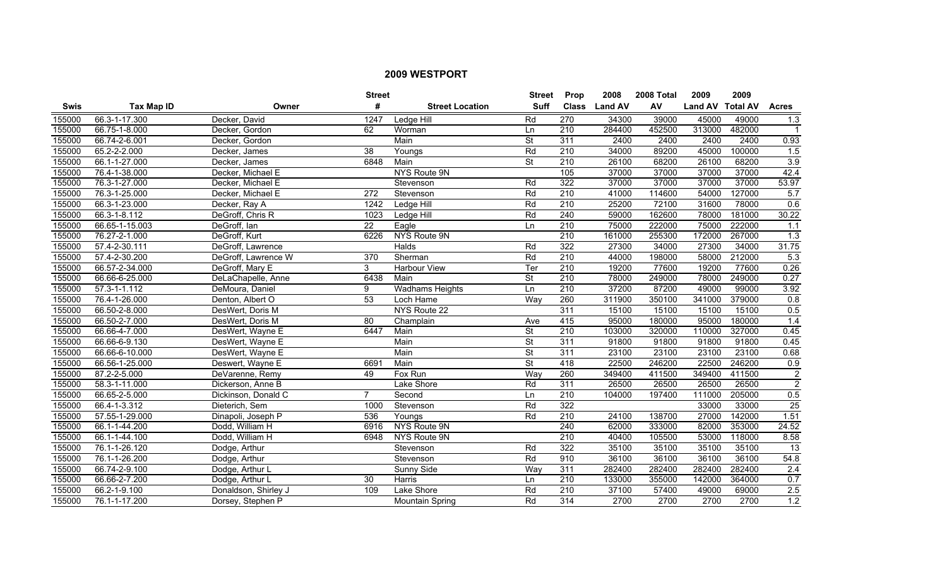|        |                |                      | <b>Street</b>   |                        | <b>Street</b>            | Prop             | 2008           | 2008 Total | 2009             | 2009   |                  |
|--------|----------------|----------------------|-----------------|------------------------|--------------------------|------------------|----------------|------------|------------------|--------|------------------|
| Swis   | Tax Map ID     | Owner                | #               | <b>Street Location</b> | <b>Suff</b>              | <b>Class</b>     | <b>Land AV</b> | AV         | Land AV Total AV |        | <b>Acres</b>     |
| 155000 | 66.3-1-17.300  | Decker, David        | 1247            | Ledge Hill             | Rd                       | $\overline{270}$ | 34300          | 39000      | 45000            | 49000  | $\overline{1.3}$ |
| 155000 | 66.75-1-8.000  | Decker, Gordon       | 62              | Worman                 | Ln                       | $\overline{210}$ | 284400         | 452500     | 313000           | 482000 | $\mathbf 1$      |
| 155000 | 66.74-2-6.001  | Decker, Gordon       |                 | Main                   | <b>St</b>                | 311              | 2400           | 2400       | 2400             | 2400   | 0.93             |
| 155000 | 65.2-2-2.000   | Decker, James        | 38              | Youngs                 | Rd                       | 210              | 34000          | 89200      | 45000            | 100000 | 1.5              |
| 155000 | 66.1-1-27.000  | Decker, James        | 6848            | Main                   | <b>St</b>                | 210              | 26100          | 68200      | 26100            | 68200  | 3.9              |
| 155000 | 76.4-1-38.000  | Decker, Michael E    |                 | <b>NYS Route 9N</b>    |                          | 105              | 37000          | 37000      | 37000            | 37000  | 42.4             |
| 155000 | 76.3-1-27.000  | Decker, Michael E    |                 | Stevenson              | Rd                       | 322              | 37000          | 37000      | 37000            | 37000  | 53.97            |
| 155000 | 76.3-1-25.000  | Decker, Michael E    | 272             | Stevenson              | Rd                       | $\overline{210}$ | 41000          | 114600     | 54000            | 127000 | 5.7              |
| 155000 | 66.3-1-23.000  | Decker, Ray A        | 1242            | Ledge Hill             | Rd                       | $\overline{210}$ | 25200          | 72100      | 31600            | 78000  | 0.6              |
| 155000 | 66.3-1-8.112   | DeGroff, Chris R     | 1023            | Ledge Hill             | Rd                       | 240              | 59000          | 162600     | 78000            | 181000 | 30.22            |
| 155000 | 66.65-1-15.003 | DeGroff, Ian         | $\overline{22}$ | Eagle                  | Ln                       | 210              | 75000          | 222000     | 75000            | 222000 | 1.1              |
| 155000 | 76.27-2-1.000  | DeGroff, Kurt        | 6226            | NYS Route 9N           |                          | $\overline{210}$ | 161000         | 255300     | 172000           | 267000 | 1.3              |
| 155000 | 57.4-2-30.111  | DeGroff, Lawrence    |                 | Halds                  | Rd                       | 322              | 27300          | 34000      | 27300            | 34000  | 31.75            |
| 155000 | 57.4-2-30.200  | DeGroff, Lawrence W  | 370             | Sherman                | Rd                       | $\overline{210}$ | 44000          | 198000     | 58000            | 212000 | 5.3              |
| 155000 | 66.57-2-34.000 | DeGroff, Mary E      | 3               | Harbour View           | Ter                      | $\overline{210}$ | 19200          | 77600      | 19200            | 77600  | 0.26             |
| 155000 | 66.66-6-25.000 | DeLaChapelle, Anne   | 6438            | Main                   | $\overline{\mathsf{St}}$ | 210              | 78000          | 249000     | 78000            | 249000 | 0.27             |
| 155000 | 57.3-1-1.112   | DeMoura, Daniel      | 9               | <b>Wadhams Heights</b> | Ln                       | 210              | 37200          | 87200      | 49000            | 99000  | 3.92             |
| 155000 | 76.4-1-26.000  | Denton, Albert O     | 53              | Loch Hame              | Way                      | 260              | 311900         | 350100     | 341000           | 379000 | 0.8              |
| 155000 | 66.50-2-8.000  | DesWert, Doris M     |                 | NYS Route 22           |                          | 311              | 15100          | 15100      | 15100            | 15100  | 0.5              |
| 155000 | 66.50-2-7.000  | DesWert, Doris M     | 80              | Champlain              | Ave                      | 415              | 95000          | 180000     | 95000            | 180000 | 1.4              |
| 155000 | 66.66-4-7.000  | DesWert, Wayne E     | 6447            | Main                   | St                       | 210              | 103000         | 320000     | 110000           | 327000 | 0.45             |
| 155000 | 66.66-6-9.130  | DesWert, Wayne E     |                 | Main                   | $\overline{\mathsf{St}}$ | 311              | 91800          | 91800      | 91800            | 91800  | 0.45             |
| 155000 | 66.66-6-10.000 | DesWert, Wayne E     |                 | Main                   | $\overline{\mathsf{St}}$ | 311              | 23100          | 23100      | 23100            | 23100  | 0.68             |
| 155000 | 66.56-1-25.000 | Deswert, Wayne E     | 6691            | Main                   | <b>St</b>                | 418              | 22500          | 246200     | 22500            | 246200 | 0.9              |
| 155000 | 87.2-2-5.000   | DeVarenne, Remy      | 49              | Fox Run                | Way                      | 260              | 349400         | 411500     | 349400           | 411500 | $\overline{2}$   |
| 155000 | 58.3-1-11.000  | Dickerson, Anne B    |                 | Lake Shore             | Rd                       | 311              | 26500          | 26500      | 26500            | 26500  | $\overline{2}$   |
| 155000 | 66.65-2-5.000  | Dickinson, Donald C  | $\overline{7}$  | Second                 | Ln                       | $\overline{210}$ | 104000         | 197400     | 111000           | 205000 | 0.5              |
| 155000 | 66.4-1-3.312   | Dieterich, Sem       | 1000            | Stevenson              | Rd                       | 322              |                |            | 33000            | 33000  | 25               |
| 155000 | 57.55-1-29.000 | Dinapoli, Joseph P   | 536             | Youngs                 | Rd                       | 210              | 24100          | 138700     | 27000            | 142000 | 1.51             |
| 155000 | 66.1-1-44.200  | Dodd, William H      | 6916            | <b>NYS Route 9N</b>    |                          | 240              | 62000          | 333000     | 82000            | 353000 | 24.52            |
| 155000 | 66.1-1-44.100  | Dodd, William H      | 6948            | NYS Route 9N           |                          | 210              | 40400          | 105500     | 53000            | 118000 | 8.58             |
| 155000 | 76.1-1-26.120  | Dodge, Arthur        |                 | Stevenson              | Rd                       | 322              | 35100          | 35100      | 35100            | 35100  | $\overline{13}$  |
| 155000 | 76.1-1-26.200  | Dodge, Arthur        |                 | Stevenson              | Rd                       | 910              | 36100          | 36100      | 36100            | 36100  | 54.8             |
| 155000 | 66.74-2-9.100  | Dodge, Arthur L      |                 | Sunny Side             | Way                      | 311              | 282400         | 282400     | 282400           | 282400 | $\overline{2.4}$ |
| 155000 | 66.66-2-7.200  | Dodge, Arthur L      | 30              | Harris                 | Ln                       | $\overline{210}$ | 133000         | 355000     | 142000           | 364000 | 0.7              |
| 155000 | 66.2-1-9.100   | Donaldson, Shirley J | 109             | Lake Shore             | Rd                       | $\overline{210}$ | 37100          | 57400      | 49000            | 69000  | 2.5              |
| 155000 | 76.1-1-17.200  | Dorsey, Stephen P    |                 | Mountain Spring        | Rd                       | 314              | 2700           | 2700       | 2700             | 2700   | 1.2              |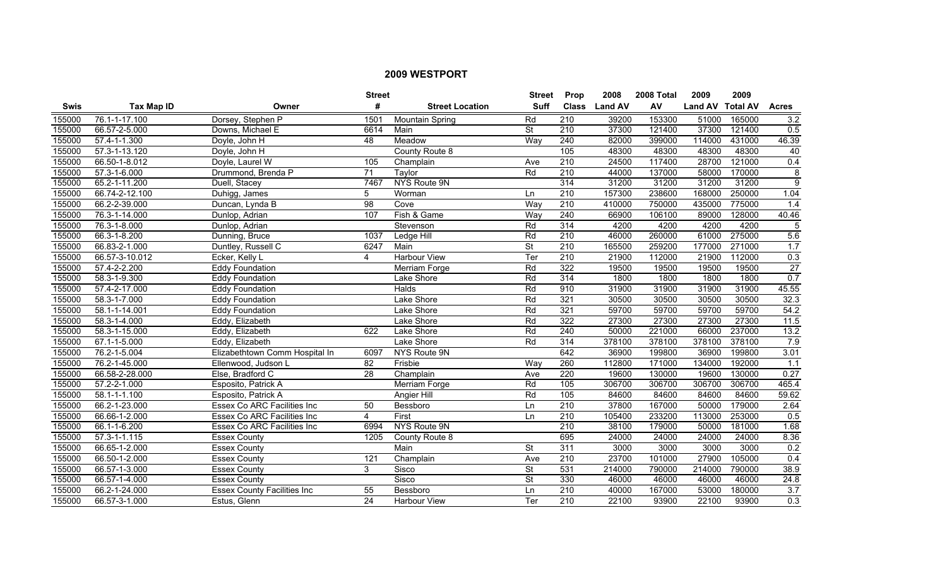|             |                    |                                    | <b>Street</b>   |                        | <b>Street</b>            | <b>Prop</b>      | 2008           | 2008 Total | 2009             | 2009   |                  |
|-------------|--------------------|------------------------------------|-----------------|------------------------|--------------------------|------------------|----------------|------------|------------------|--------|------------------|
| <b>Swis</b> | <b>Tax Map ID</b>  | Owner                              | #               | <b>Street Location</b> | <b>Suff</b>              | <b>Class</b>     | <b>Land AV</b> | AV         | Land AV Total AV |        | <b>Acres</b>     |
| 155000      | 76.1-1-17.100      | Dorsey, Stephen P                  | 1501            | Mountain Spring        | Rd                       | $\overline{210}$ | 39200          | 153300     | 51000            | 165000 | 3.2              |
| 155000      | 66.57-2-5.000      | Downs, Michael E                   | 6614            | Main                   | $\overline{\mathsf{St}}$ | $\overline{210}$ | 37300          | 121400     | 37300            | 121400 | 0.5              |
| 155000      | 57.4-1-1.300       | Doyle, John H                      | 48              | Meadow                 | Way                      | 240              | 82000          | 399000     | 114000           | 431000 | 46.39            |
| 155000      | 57.3-1-13.120      | Doyle, John H                      |                 | County Route 8         |                          | 105              | 48300          | 48300      | 48300            | 48300  | 40               |
| 155000      | 66.50-1-8.012      | Doyle, Laurel W                    | 105             | Champlain              | Ave                      | 210              | 24500          | 117400     | 28700            | 121000 | 0.4              |
| 155000      | 57.3-1-6.000       | Drummond, Brenda P                 | $\overline{71}$ | Taylor                 | Rd                       | 210              | 44000          | 137000     | 58000            | 170000 | 8                |
| 155000      | 65.2-1-11.200      | Duell, Stacey                      | 7467            | NYS Route 9N           |                          | 314              | 31200          | 31200      | 31200            | 31200  | $\overline{9}$   |
| 155000      | 66.74-2-12.100     | Duhigg, James                      | 5               | Worman                 | Ln                       | 210              | 157300         | 238600     | 168000           | 250000 | 1.04             |
| 155000      | 66.2-2-39.000      | Duncan, Lynda B                    | 98              | Cove                   | Way                      | 210              | 410000         | 750000     | 435000           | 775000 | 1.4              |
| 155000      | 76.3-1-14.000      | Dunlop, Adrian                     | 107             | Fish & Game            | Way                      | 240              | 66900          | 106100     | 89000            | 128000 | 40.46            |
| 155000      | 76.3-1-8.000       | Dunlop, Adrian                     |                 | Stevenson              | Rd                       | 314              | 4200           | 4200       | 4200             | 4200   | 5                |
| 155000      | 66.3-1-8.200       | Dunning, Bruce                     | 1037            | Ledge Hill             | Rd                       | 210              | 46000          | 260000     | 61000            | 275000 | 5.6              |
| 155000      | 66.83-2-1.000      | Duntley, Russell C                 | 6247            | Main                   | <b>St</b>                | 210              | 165500         | 259200     | 177000           | 271000 | 1.7              |
| 155000      | 66.57-3-10.012     | Ecker, Kelly L                     | 4               | <b>Harbour View</b>    | Ter                      | $\overline{210}$ | 21900          | 112000     | 21900            | 112000 | 0.3              |
| 155000      | 57.4-2-2.200       | <b>Eddy Foundation</b>             |                 | Merriam Forge          | Rd                       | 322              | 19500          | 19500      | 19500            | 19500  | 27               |
| 155000      | 58.3-1-9.300       | <b>Eddy Foundation</b>             |                 | Lake Shore             | Rd                       | 314              | 1800           | 1800       | 1800             | 1800   | 0.7              |
| 155000      | 57.4-2-17.000      | <b>Eddy Foundation</b>             |                 | <b>Halds</b>           | Rd                       | 910              | 31900          | 31900      | 31900            | 31900  | 45.55            |
| 155000      | 58.3-1-7.000       | <b>Eddy Foundation</b>             |                 | Lake Shore             | Rd                       | 321              | 30500          | 30500      | 30500            | 30500  | 32.3             |
| 155000      | 58.1-1-14.001      | <b>Eddy Foundation</b>             |                 | Lake Shore             | Rd                       | 321              | 59700          | 59700      | 59700            | 59700  | 54.2             |
| 155000      | 58.3-1-4.000       | Eddy, Elizabeth                    |                 | Lake Shore             | Rd                       | 322              | 27300          | 27300      | 27300            | 27300  | 11.5             |
| 155000      | 58.3-1-15.000      | Eddy, Elizabeth                    | 622             | Lake Shore             | Rd                       | 240              | 50000          | 221000     | 66000            | 237000 | 13.2             |
| 155000      | 67.1-1-5.000       | Eddy, Elizabeth                    |                 | Lake Shore             | Rd                       | 314              | 378100         | 378100     | 378100           | 378100 | 7.9              |
| 155000      | 76.2-1-5.004       | Elizabethtown Comm Hospital In     | 6097            | NYS Route 9N           |                          | 642              | 36900          | 199800     | 36900            | 199800 | 3.01             |
| 155000      | 76.2-1-45.000      | Ellenwood, Judson L                | 82              | Frisbie                | Way                      | 260              | 112800         | 171000     | 134000           | 192000 | 1.1              |
| 155000      | 66.58-2-28.000     | Else, Bradford C                   | $\overline{28}$ | Champlain              | Ave                      | 220              | 19600          | 130000     | 19600            | 130000 | 0.27             |
| 155000      | 57.2-2-1.000       | Esposito, Patrick A                |                 | Merriam Forge          | Rd                       | 105              | 306700         | 306700     | 306700           | 306700 | 465.4            |
| 155000      | $58.1 - 1 - 1.100$ | Esposito, Patrick A                |                 | Angier Hill            | Rd                       | 105              | 84600          | 84600      | 84600            | 84600  | 59.62            |
| 155000      | 66.2-1-23.000      | <b>Essex Co ARC Facilities Inc</b> | 50              | Bessboro               | Ln                       | 210              | 37800          | 167000     | 50000            | 179000 | 2.64             |
| 155000      | 66.66-1-2.000      | <b>Essex Co ARC Facilities Inc</b> | $\overline{4}$  | First                  | Ln                       | 210              | 105400         | 233200     | 113000           | 253000 | 0.5              |
| 155000      | 66.1-1-6.200       | <b>Essex Co ARC Facilities Inc</b> | 6994            | NYS Route 9N           |                          | 210              | 38100          | 179000     | 50000            | 181000 | 1.68             |
| 155000      | $57.3 - 1 - 1.115$ | <b>Essex County</b>                | 1205            | County Route 8         |                          | 695              | 24000          | 24000      | 24000            | 24000  | 8.36             |
| 155000      | 66.65-1-2.000      | <b>Essex County</b>                |                 | Main                   | $\overline{\mathsf{St}}$ | 311              | 3000           | 3000       | 3000             | 3000   | 0.2              |
| 155000      | 66.50-1-2.000      | <b>Essex County</b>                | 121             | Champlain              | Ave                      | 210              | 23700          | 101000     | 27900            | 105000 | 0.4              |
| 155000      | 66.57-1-3.000      | <b>Essex County</b>                | 3               | Sisco                  | St                       | 531              | 214000         | 790000     | 214000           | 790000 | 38.9             |
| 155000      | 66.57-1-4.000      | <b>Essex County</b>                |                 | Sisco                  | $\overline{\mathsf{St}}$ | 330              | 46000          | 46000      | 46000            | 46000  | 24.8             |
| 155000      | 66.2-1-24.000      | <b>Essex County Facilities Inc</b> | 55              | Bessboro               | Ln                       | $\overline{210}$ | 40000          | 167000     | 53000            | 180000 | 3.7              |
| 155000      | 66.57-3-1.000      | Estus, Glenn                       | $\overline{24}$ | <b>Harbour View</b>    | Ter                      | $\overline{210}$ | 22100          | 93900      | 22100            | 93900  | $\overline{0.3}$ |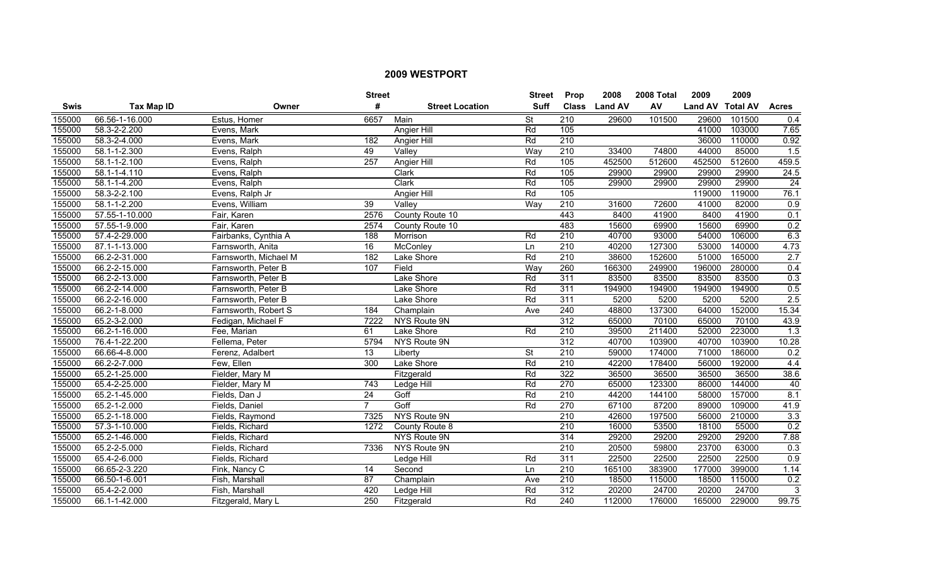|             |                    |                       | <b>Street</b>   |                        | <b>Street</b>            | <b>Prop</b>      | 2008           | 2008 Total | 2009             | 2009   |                  |
|-------------|--------------------|-----------------------|-----------------|------------------------|--------------------------|------------------|----------------|------------|------------------|--------|------------------|
| <b>Swis</b> | <b>Tax Map ID</b>  | Owner                 | #               | <b>Street Location</b> | <b>Suff</b>              | <b>Class</b>     | <b>Land AV</b> | AV         | Land AV Total AV |        | <b>Acres</b>     |
| 155000      | 66.56-1-16.000     | Estus, Homer          | 6657            | Main                   | $\overline{\mathsf{St}}$ | $\overline{210}$ | 29600          | 101500     | 29600            | 101500 | 0.4              |
| 155000      | 58.3-2-2.200       | Evens, Mark           |                 | Angier Hill            | Rd                       | 105              |                |            | 41000            | 103000 | 7.65             |
| 155000      | 58.3-2-4.000       | Evens, Mark           | 182             | Angier Hill            | Rd                       | 210              |                |            | 36000            | 110000 | 0.92             |
| 155000      | 58.1-1-2.300       | Evens, Ralph          | 49              | Valley                 | Way                      | 210              | 33400          | 74800      | 44000            | 85000  | 1.5              |
| 155000      | 58.1-1-2.100       | Evens, Ralph          | 257             | Angier Hill            | Rd                       | 105              | 452500         | 512600     | 452500           | 512600 | 459.5            |
| 155000      | $58.1 - 1 - 4.110$ | Evens, Ralph          |                 | Clark                  | Rd                       | 105              | 29900          | 29900      | 29900            | 29900  | 24.5             |
| 155000      | 58.1-1-4.200       | Evens, Ralph          |                 | Clark                  | Rd                       | 105              | 29900          | 29900      | 29900            | 29900  | $\overline{24}$  |
| 155000      | 58.3-2-2.100       | Evens, Ralph Jr       |                 | Angier Hill            | Rd                       | 105              |                |            | 119000           | 119000 | 76.1             |
| 155000      | 58.1-1-2.200       | Evens, William        | 39              | Valley                 | Way                      | 210              | 31600          | 72600      | 41000            | 82000  | $\overline{0.9}$ |
| 155000      | 57.55-1-10.000     | Fair, Karen           | 2576            | County Route 10        |                          | 443              | 8400           | 41900      | 8400             | 41900  | 0.1              |
| 155000      | 57.55-1-9.000      | Fair, Karen           | 2574            | County Route 10        |                          | 483              | 15600          | 69900      | 15600            | 69900  | 0.2              |
| 155000      | 57.4-2-29.000      | Fairbanks, Cynthia A  | 188             | Morrison               | Rd                       | 210              | 40700          | 93000      | 54000            | 106000 | 6.3              |
| 155000      | 87.1-1-13.000      | Farnsworth, Anita     | 16              | McConley               | Ln                       | $\overline{210}$ | 40200          | 127300     | 53000            | 140000 | 4.73             |
| 155000      | 66.2-2-31.000      | Farnsworth, Michael M | 182             | Lake Shore             | Rd                       | $\overline{210}$ | 38600          | 152600     | 51000            | 165000 | 2.7              |
| 155000      | 66.2-2-15.000      | Farnsworth, Peter B   | 107             | Field                  | Way                      | 260              | 166300         | 249900     | 196000           | 280000 | 0.4              |
| 155000      | 66.2-2-13.000      | Farnsworth, Peter B   |                 | Lake Shore             | Rd                       | 311              | 83500          | 83500      | 83500            | 83500  | 0.3              |
| 155000      | 66.2-2-14.000      | Farnsworth, Peter B   |                 | Lake Shore             | Rd                       | 311              | 194900         | 194900     | 194900           | 194900 | 0.5              |
| 155000      | 66.2-2-16.000      | Farnsworth, Peter B   |                 | Lake Shore             | Rd                       | 311              | 5200           | 5200       | 5200             | 5200   | 2.5              |
| 155000      | 66.2-1-8.000       | Farnsworth, Robert S  | 184             | Champlain              | Ave                      | 240              | 48800          | 137300     | 64000            | 152000 | 15.34            |
| 155000      | 65.2-3-2.000       | Fedigan, Michael F    | 7222            | NYS Route 9N           |                          | 312              | 65000          | 70100      | 65000            | 70100  | 43.9             |
| 155000      | 66.2-1-16.000      | Fee, Marian           | 61              | Lake Shore             | Rd                       | $\overline{210}$ | 39500          | 211400     | 52000            | 223000 | 1.3              |
| 155000      | 76.4-1-22.200      | Fellema, Peter        | 5794            | NYS Route 9N           |                          | 312              | 40700          | 103900     | 40700            | 103900 | 10.28            |
| 155000      | 66.66-4-8.000      | Ferenz, Adalbert      | 13              | Liberty                | $\overline{\mathsf{St}}$ | $\overline{210}$ | 59000          | 174000     | 71000            | 186000 | 0.2              |
| 155000      | 66.2-2-7.000       | Few, Ellen            | 300             | Lake Shore             | Rd                       | 210              | 42200          | 178400     | 56000            | 192000 | 4.4              |
| 155000      | 65.2-1-25.000      | Fielder, Mary M       |                 | Fitzgerald             | Rd                       | 322              | 36500          | 36500      | 36500            | 36500  | 38.6             |
| 155000      | 65.4-2-25.000      | Fielder, Mary M       | 743             | Ledge Hill             | Rd                       | 270              | 65000          | 123300     | 86000            | 144000 | 40               |
| 155000      | 65.2-1-45.000      | Fields, Dan J         | $\overline{24}$ | Goff                   | Rd                       | 210              | 44200          | 144100     | 58000            | 157000 | 8.1              |
| 155000      | 65.2-1-2.000       | Fields, Daniel        | $\overline{7}$  | Goff                   | Rd                       | 270              | 67100          | 87200      | 89000            | 109000 | 41.9             |
| 155000      | 65.2-1-18.000      | Fields, Raymond       | 7325            | NYS Route 9N           |                          | 210              | 42600          | 197500     | 56000            | 210000 | 3.3              |
| 155000      | 57.3-1-10.000      | Fields, Richard       | 1272            | County Route 8         |                          | 210              | 16000          | 53500      | 18100            | 55000  | 0.2              |
| 155000      | 65.2-1-46.000      | Fields, Richard       |                 | NYS Route 9N           |                          | 314              | 29200          | 29200      | 29200            | 29200  | 7.88             |
| 155000      | 65.2-2-5.000       | Fields, Richard       | 7336            | NYS Route 9N           |                          | 210              | 20500          | 59800      | 23700            | 63000  | 0.3              |
| 155000      | 65.4-2-6.000       | Fields, Richard       |                 | Ledge Hill             | Rd                       | 311              | 22500          | 22500      | 22500            | 22500  | 0.9              |
| 155000      | 66.65-2-3.220      | Fink, Nancy C         | 14              | Second                 | Ln                       | $\overline{210}$ | 165100         | 383900     | 177000           | 399000 | 1.14             |
| 155000      | 66.50-1-6.001      | Fish, Marshall        | 87              | Champlain              | Ave                      | $\overline{210}$ | 18500          | 115000     | 18500            | 115000 | 0.2              |
| 155000      | 65.4-2-2.000       | Fish, Marshall        | 420             | Ledge Hill             | Rd                       | $\overline{312}$ | 20200          | 24700      | 20200            | 24700  | 3                |
| 155000      | 66.1-1-42.000      | Fitzgerald, Mary L    | 250             | Fitzgerald             | Rd                       | $\overline{240}$ | 112000         | 176000     | 165000           | 229000 | 99.75            |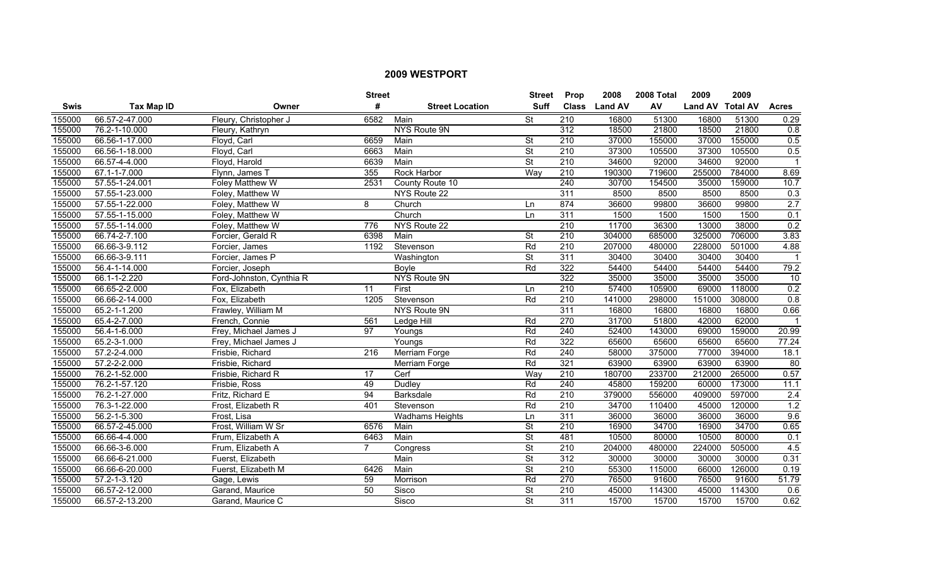|        |                           |                          | <b>Street</b>   |                        | <b>Street</b>            | Prop             | 2008           | 2008 Total | 2009             | 2009   |                  |
|--------|---------------------------|--------------------------|-----------------|------------------------|--------------------------|------------------|----------------|------------|------------------|--------|------------------|
| Swis   | <b>Tax Map ID</b>         | Owner                    | #               | <b>Street Location</b> | <b>Suff</b>              | <b>Class</b>     | <b>Land AV</b> | AV         | Land AV Total AV |        | <b>Acres</b>     |
| 155000 | 66.57-2-47.000            | Fleury, Christopher J    | 6582            | Main                   | $\overline{\mathsf{St}}$ | 210              | 16800          | 51300      | 16800            | 51300  | 0.29             |
| 155000 | 76.2-1-10.000             | Fleury, Kathryn          |                 | NYS Route 9N           |                          | 312              | 18500          | 21800      | 18500            | 21800  | 0.8              |
| 155000 | 66.56-1-17.000            | Floyd, Carl              | 6659            | Main                   | St                       | 210              | 37000          | 155000     | 37000            | 155000 | 0.5              |
| 155000 | 66.56-1-18.000            | Floyd, Carl              | 6663            | Main                   | <b>St</b>                | 210              | 37300          | 105500     | 37300            | 105500 | 0.5              |
| 155000 | 66.57-4-4.000             | Floyd, Harold            | 6639            | Main                   | <b>St</b>                | 210              | 34600          | 92000      | 34600            | 92000  |                  |
| 155000 | 67.1-1-7.000              | Flynn, James 1           | 355             | Rock Harbor            | Way                      | 210              | 190300         | 719600     | 255000           | 784000 | 8.69             |
| 155000 | 57.55-1-24.001            | Foley Matthew W          | 2531            | County Route 10        |                          | 240              | 30700          | 154500     | 35000            | 159000 | 10.7             |
| 155000 | 57.55-1-23.000            | Foley, Matthew W         |                 | NYS Route 22           |                          | 311              | 8500           | 8500       | 8500             | 8500   | 0.3              |
| 155000 | 57.55-1-22.000            | Foley, Matthew W         | 8               | Church                 | Ln                       | 874              | 36600          | 99800      | 36600            | 99800  | $\overline{2.7}$ |
| 155000 | 57.55-1-15.000            | Foley, Matthew W         |                 | Church                 | Ln                       | 311              | 1500           | 1500       | 1500             | 1500   | 0.1              |
| 155000 | 57.55-1-14.000            | Foley, Matthew W         | 776             | NYS Route 22           |                          | 210              | 11700          | 36300      | 13000            | 38000  | 0.2              |
| 155000 | 66.74-2-7.100             | Forcier, Gerald R        | 6398            | Main                   | <b>St</b>                | $\overline{210}$ | 304000         | 685000     | 325000           | 706000 | 3.83             |
| 155000 | 66.66-3-9.112             | Forcier, James           | 1192            | Stevenson              | Rd                       | $\overline{210}$ | 207000         | 480000     | 228000           | 501000 | 4.88             |
| 155000 | 66.66-3-9.111             | Forcier, James P         |                 | Washington             | <b>St</b>                | 311              | 30400          | 30400      | 30400            | 30400  | $\mathbf 1$      |
| 155000 | 56.4-1-14.000             | Forcier, Joseph          |                 | Boyle                  | Rd                       | 322              | 54400          | 54400      | 54400            | 54400  | 79.2             |
| 155000 | 66.1-1-2.220              | Ford-Johnston, Cynthia R |                 | NYS Route 9N           |                          | 322              | 35000          | 35000      | 35000            | 35000  | 10               |
| 155000 | 66.65-2-2.000             | Fox, Elizabeth           | 11              | First                  | Ln                       | 210              | 57400          | 105900     | 69000            | 118000 | 0.2              |
| 155000 | 66.66-2-14.000            | Fox, Elizabeth           | 1205            | Stevenson              | Rd                       | 210              | 141000         | 298000     | 151000           | 308000 | 0.8              |
| 155000 | $65.\overline{2-1-1.200}$ | Frawley, William M       |                 | NYS Route 9N           |                          | 311              | 16800          | 16800      | 16800            | 16800  | 0.66             |
| 155000 | 65.4-2-7.000              | French, Connie           | 561             | Ledge Hill             | Rd                       | 270              | 31700          | 51800      | 42000            | 62000  |                  |
| 155000 | 56.4-1-6.000              | Frey, Michael James J    | $\overline{97}$ | Youngs                 | Rd                       | 240              | 52400          | 143000     | 69000            | 159000 | 20.99            |
| 155000 | 65.2-3-1.000              | Frey, Michael James J    |                 | Youngs                 | Rd                       | 322              | 65600          | 65600      | 65600            | 65600  | 77.24            |
| 155000 | 57.2-2-4.000              | Frisbie, Richard         | 216             | Merriam Forge          | Rd                       | 240              | 58000          | 375000     | 77000            | 394000 | 18.1             |
| 155000 | 57.2-2-2.000              | Frisbie, Richard         |                 | Merriam Forge          | Rd                       | 321              | 63900          | 63900      | 63900            | 63900  | 80               |
| 155000 | 76.2-1-52.000             | Frisbie, Richard R       | 17              | Cerf                   | Way                      | $\overline{210}$ | 180700         | 233700     | 212000           | 265000 | 0.57             |
| 155000 | 76.2-1-57.120             | Frisbie, Ross            | 49              | Dudley                 | Rd                       | $\overline{240}$ | 45800          | 159200     | 60000            | 173000 | 11.1             |
| 155000 | 76.2-1-27.000             | Fritz, Richard E         | 94              | Barksdale              | Rd                       | $\overline{210}$ | 379000         | 556000     | 409000           | 597000 | $\overline{2.4}$ |
| 155000 | 76.3-1-22.000             | Frost, Elizabeth R       | 401             | Stevenson              | Rd                       | 210              | 34700          | 110400     | 45000            | 120000 | 1.2              |
| 155000 | 56.2-1-5.300              | Frost. Lisa              |                 | <b>Wadhams Heights</b> | Ln                       | 311              | 36000          | 36000      | 36000            | 36000  | 9.6              |
| 155000 | 66.57-2-45.000            | Frost, William W Sr      | 6576            | Main                   | $\overline{\mathsf{St}}$ | 210              | 16900          | 34700      | 16900            | 34700  | 0.65             |
| 155000 | 66.66-4-4.000             | Frum, Elizabeth A        | 6463            | Main                   | <b>St</b>                | 481              | 10500          | 80000      | 10500            | 80000  | 0.1              |
| 155000 | 66.66-3-6.000             | Frum, Elizabeth A        | $\overline{7}$  | Congress               | <b>St</b>                | 210              | 204000         | 480000     | 224000           | 505000 | 4.5              |
| 155000 | 66.66-6-21.000            | Fuerst, Elizabeth        |                 | Main                   | $\overline{\mathsf{St}}$ | 312              | 30000          | 30000      | 30000            | 30000  | 0.31             |
| 155000 | 66.66-6-20.000            | Fuerst, Elizabeth M      | 6426            | Main                   | $\overline{\mathsf{St}}$ | 210              | 55300          | 115000     | 66000            | 126000 | 0.19             |
| 155000 | 57.2-1-3.120              | Gage, Lewis              | 59              | Morrison               | Rd                       | $\overline{270}$ | 76500          | 91600      | 76500            | 91600  | 51.79            |
| 155000 | 66.57-2-12.000            | Garand, Maurice          | 50              | Sisco                  | St                       | $\overline{210}$ | 45000          | 114300     | 45000            | 114300 | 0.6              |
| 155000 | 66.57-2-13.200            | Garand, Maurice C        |                 | Sisco                  | $\overline{\mathsf{St}}$ | 311              | 15700          | 15700      | 15700            | 15700  | 0.62             |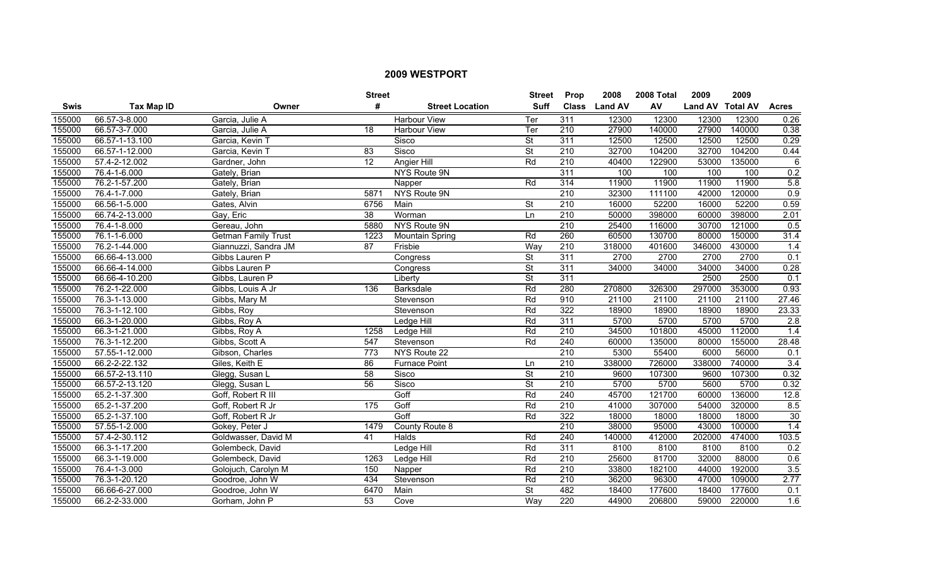|        |                   |                      | <b>Street</b>   |                        | <b>Street</b>            | <b>Prop</b>      | 2008           | 2008 Total | 2009             | 2009   |                  |
|--------|-------------------|----------------------|-----------------|------------------------|--------------------------|------------------|----------------|------------|------------------|--------|------------------|
| Swis   | <b>Tax Map ID</b> | Owner                | #               | <b>Street Location</b> | <b>Suff</b>              | <b>Class</b>     | <b>Land AV</b> | AV         | Land AV Total AV |        | <b>Acres</b>     |
| 155000 | 66.57-3-8.000     | Garcia, Julie A      |                 | <b>Harbour View</b>    | Ter                      | 311              | 12300          | 12300      | 12300            | 12300  | 0.26             |
| 155000 | 66.57-3-7.000     | Garcia, Julie A      | 18              | <b>Harbour View</b>    | Ter                      | $\overline{210}$ | 27900          | 140000     | 27900            | 140000 | 0.38             |
| 155000 | 66.57-1-13.100    | Garcia, Kevin T      |                 | Sisco                  | <b>St</b>                | 311              | 12500          | 12500      | 12500            | 12500  | 0.29             |
| 155000 | 66.57-1-12.000    | Garcia, Kevin T      | 83              | Sisco                  | <b>St</b>                | 210              | 32700          | 104200     | 32700            | 104200 | 0.44             |
| 155000 | 57.4-2-12.002     | Gardner, John        | 12              | Angier Hill            | Rd                       | 210              | 40400          | 122900     | 53000            | 135000 | 6                |
| 155000 | 76.4-1-6.000      | Gately, Brian        |                 | <b>NYS Route 9N</b>    |                          | 311              | 100            | 100        | 100              | 100    | 0.2              |
| 155000 | 76.2-1-57.200     | Gately, Brian        |                 | Napper                 | Rd                       | 314              | 11900          | 11900      | 11900            | 11900  | 5.8              |
| 155000 | 76.4-1-7.000      | Gately, Brian        | 5871            | NYS Route 9N           |                          | $\overline{210}$ | 32300          | 111100     | 42000            | 120000 | $\overline{0.9}$ |
| 155000 | 66.56-1-5.000     | Gates, Alvin         | 6756            | Main                   | $\overline{\mathsf{St}}$ | $\overline{210}$ | 16000          | 52200      | 16000            | 52200  | 0.59             |
| 155000 | 66.74-2-13.000    | Gay, Eric            | $\overline{38}$ | Worman                 | Ln                       | 210              | 50000          | 398000     | 60000            | 398000 | 2.01             |
| 155000 | 76.4-1-8.000      | Gereau, John         | 5880            | NYS Route 9N           |                          | 210              | 25400          | 116000     | 30700            | 121000 | 0.5              |
| 155000 | 76.1-1-6.000      | Getman Family Trust  | 1223            | <b>Mountain Spring</b> | Rd                       | 260              | 60500          | 130700     | 80000            | 150000 | 31.4             |
| 155000 | 76.2-1-44.000     | Giannuzzi, Sandra JM | 87              | Frisbie                | Way                      | $\overline{210}$ | 318000         | 401600     | 346000           | 430000 | 1.4              |
| 155000 | 66.66-4-13.000    | Gibbs Lauren P       |                 | Congress               | <b>St</b>                | 311              | 2700           | 2700       | 2700             | 2700   | 0.1              |
| 155000 | 66.66-4-14.000    | Gibbs Lauren P       |                 | Congress               | <b>St</b>                | $\overline{311}$ | 34000          | 34000      | 34000            | 34000  | 0.28             |
| 155000 | 66.66-4-10.200    | Gibbs, Lauren P      |                 | Liberty                | <b>St</b>                | 311              |                |            | 2500             | 2500   | 0.1              |
| 155000 | 76.2-1-22.000     | Gibbs, Louis A Jr    | 136             | <b>Barksdale</b>       | Rd                       | 280              | 270800         | 326300     | 297000           | 353000 | 0.93             |
| 155000 | 76.3-1-13.000     | Gibbs, Mary M        |                 | Stevenson              | Rd                       | 910              | 21100          | 21100      | 21100            | 21100  | 27.46            |
| 155000 | 76.3-1-12.100     | Gibbs, Roy           |                 | Stevenson              | Rd                       | 322              | 18900          | 18900      | 18900            | 18900  | 23.33            |
| 155000 | 66.3-1-20.000     | Gibbs, Roy A         |                 | Ledge Hill             | Rd                       | 311              | 5700           | 5700       | 5700             | 5700   | 2.8              |
| 155000 | 66.3-1-21.000     | Gibbs, Roy A         | 1258            | Ledge Hill             | Rd                       | 210              | 34500          | 101800     | 45000            | 112000 | $\overline{1.4}$ |
| 155000 | 76.3-1-12.200     | Gibbs, Scott A       | 547             | Stevenson              | Rd                       | 240              | 60000          | 135000     | 80000            | 155000 | 28.48            |
| 155000 | 57.55-1-12.000    | Gibson, Charles      | 773             | NYS Route 22           |                          | 210              | 5300           | 55400      | 6000             | 56000  | 0.1              |
| 155000 | 66.2-2-22.132     | Giles, Keith E       | 86              | <b>Furnace Point</b>   | Ln                       | $\overline{210}$ | 338000         | 726000     | 338000           | 740000 | 3.4              |
| 155000 | 66.57-2-13.110    | Glegg, Susan L       | 58              | Sisco                  | $\overline{\mathsf{St}}$ | 210              | 9600           | 107300     | 9600             | 107300 | 0.32             |
| 155000 | 66.57-2-13.120    | Glegg, Susan L       | $\overline{56}$ | Sisco                  | $\overline{\mathsf{St}}$ | $\overline{210}$ | 5700           | 5700       | 5600             | 5700   | 0.32             |
| 155000 | 65.2-1-37.300     | Goff, Robert R III   |                 | Goff                   | Rd                       | 240              | 45700          | 121700     | 60000            | 136000 | 12.8             |
| 155000 | 65.2-1-37.200     | Goff, Robert R Jr    | 175             | Goff                   | Rd                       | 210              | 41000          | 307000     | 54000            | 320000 | 8.5              |
| 155000 | 65.2-1-37.100     | Goff, Robert R Jr    |                 | Goff                   | Rd                       | 322              | 18000          | 18000      | 18000            | 18000  | 30               |
| 155000 | 57.55-1-2.000     | Gokey, Peter J       | 1479            | County Route 8         |                          | 210              | 38000          | 95000      | 43000            | 100000 | 1.4              |
| 155000 | 57.4-2-30.112     | Goldwasser, David M  | 41              | Halds                  | Rd                       | 240              | 140000         | 412000     | 202000           | 474000 | 103.5            |
| 155000 | 66.3-1-17.200     | Golembeck, David     |                 | Ledge Hill             | Rd                       | 311              | 8100           | 8100       | 8100             | 8100   | 0.2              |
| 155000 | 66.3-1-19.000     | Golembeck, David     | 1263            | Ledge Hill             | Rd                       | 210              | 25600          | 81700      | 32000            | 88000  | 0.6              |
| 155000 | 76.4-1-3.000      | Golojuch, Carolyn M  | 150             | Napper                 | Rd                       | $\overline{210}$ | 33800          | 182100     | 44000            | 192000 | 3.5              |
| 155000 | 76.3-1-20.120     | Goodroe, John W      | 434             | Stevenson              | Rd                       | 210              | 36200          | 96300      | 47000            | 109000 | 2.77             |
| 155000 | 66.66-6-27.000    | Goodroe, John W      | 6470            | Main                   | St                       | 482              | 18400          | 177600     | 18400            | 177600 | 0.1              |
| 155000 | 66.2-2-33.000     | Gorham, John P       | 53              | Cove                   | Way                      | 220              | 44900          | 206800     | 59000            | 220000 | 1.6              |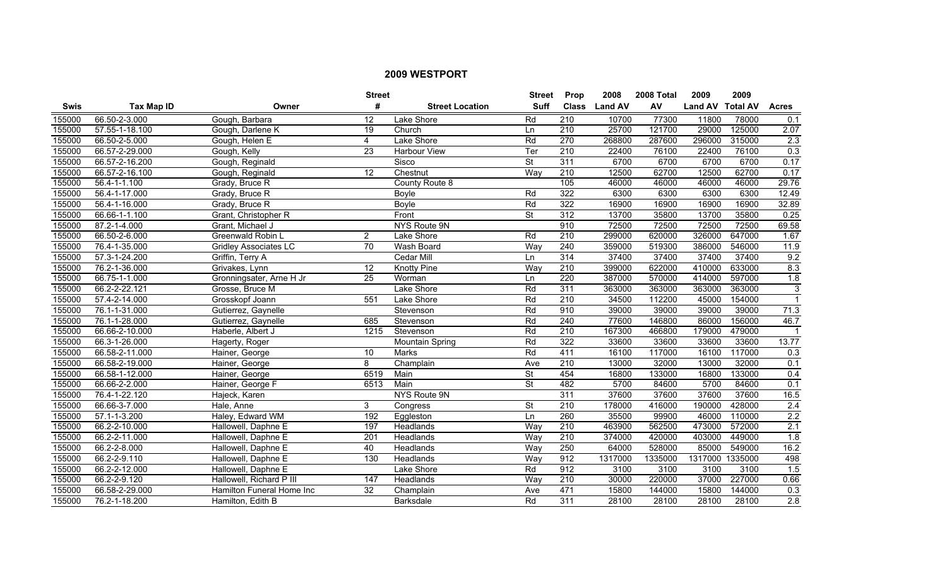|             |                   |                              | <b>Street</b>   |                        | <b>Street</b>            | <b>Prop</b>      | 2008           | <b>2008 Total</b> | 2009             | 2009   |                  |
|-------------|-------------------|------------------------------|-----------------|------------------------|--------------------------|------------------|----------------|-------------------|------------------|--------|------------------|
| <b>Swis</b> | <b>Tax Map ID</b> | Owner                        | #               | <b>Street Location</b> | <b>Suff</b>              | <b>Class</b>     | <b>Land AV</b> | AV                | Land AV Total AV |        | <b>Acres</b>     |
| 155000      | 66.50-2-3.000     | Gough, Barbara               | $\overline{12}$ | Lake Shore             | Rd                       | $\overline{210}$ | 10700          | 77300             | 11800            | 78000  | 0.1              |
| 155000      | 57.55-1-18.100    | Gough, Darlene K             | $\overline{19}$ | Church                 | Ln                       | $\overline{210}$ | 25700          | 121700            | 29000            | 125000 | 2.07             |
| 155000      | 66.50-2-5.000     | Gough, Helen E               | $\overline{4}$  | Lake Shore             | Rd                       | 270              | 268800         | 287600            | 296000           | 315000 | 2.3              |
| 155000      | 66.57-2-29.000    | Gough, Kelly                 | 23              | Harbour View           | Ter                      | 210              | 22400          | 76100             | 22400            | 76100  | 0.3              |
| 155000      | 66.57-2-16.200    | Gough, Reginald              |                 | Sisco                  | <b>St</b>                | 311              | 6700           | 6700              | 6700             | 6700   | 0.17             |
| 155000      | 66.57-2-16.100    | Gough, Reginald              | 12              | Chestnut               | Way                      | 210              | 12500          | 62700             | 12500            | 62700  | 0.17             |
| 155000      | 56.4-1-1.100      | Grady, Bruce R               |                 | County Route 8         |                          | 105              | 46000          | 46000             | 46000            | 46000  | 29.76            |
| 155000      | 56.4-1-17.000     | Grady, Bruce R               |                 | Boyle                  | Rd                       | 322              | 6300           | 6300              | 6300             | 6300   | 12.49            |
| 155000      | 56.4-1-16.000     | Grady, Bruce R               |                 | Boyle                  | Rd                       | 322              | 16900          | 16900             | 16900            | 16900  | 32.89            |
| 155000      | 66.66-1-1.100     | Grant, Christopher R         |                 | Front                  | St                       | $\overline{312}$ | 13700          | 35800             | 13700            | 35800  | 0.25             |
| 155000      | 87.2-1-4.000      | Grant, Michael J             |                 | <b>NYS Route 9N</b>    |                          | 910              | 72500          | 72500             | 72500            | 72500  | 69.58            |
| 155000      | 66.50-2-6.000     | Greenwald Robin L            | $\overline{2}$  | Lake Shore             | Rd                       | $\overline{210}$ | 299000         | 620000            | 326000           | 647000 | 1.67             |
| 155000      | 76.4-1-35.000     | <b>Gridley Associates LC</b> | $\overline{70}$ | Wash Board             | Way                      | 240              | 359000         | 519300            | 386000           | 546000 | 11.9             |
| 155000      | 57.3-1-24.200     | Griffin, Terry A             |                 | Cedar Mill             | Ln                       | 314              | 37400          | 37400             | 37400            | 37400  | 9.2              |
| 155000      | 76.2-1-36.000     | Grivakes, Lynn               | $\overline{12}$ | <b>Knotty Pine</b>     | Way                      | $\overline{210}$ | 399000         | 622000            | 410000           | 633000 | 8.3              |
| 155000      | 66.75-1-1.000     | Gronningsater, Arne H Jr     | 25              | Worman                 | Ln                       | 220              | 387000         | 570000            | 414000           | 597000 | $\overline{1.8}$ |
| 155000      | 66.2-2-22.121     | Grosse, Bruce M              |                 | Lake Shore             | Rd                       | 311              | 363000         | 363000            | 363000           | 363000 | 3                |
| 155000      | 57.4-2-14.000     | Grosskopf Joann              | 551             | Lake Shore             | Rd                       | 210              | 34500          | 112200            | 45000            | 154000 | $\mathbf{1}$     |
| 155000      | 76.1-1-31.000     | Gutierrez, Gaynelle          |                 | Stevenson              | Rd                       | 910              | 39000          | 39000             | 39000            | 39000  | 71.3             |
| 155000      | 76.1-1-28.000     | Gutierrez, Gaynelle          | 685             | Stevenson              | Rd                       | 240              | 77600          | 146800            | 86000            | 156000 | 46.7             |
| 155000      | 66.66-2-10.000    | Haberle, Albert J            | 1215            | Stevenson              | Rd                       | 210              | 167300         | 466800            | 179000           | 479000 | $\mathbf{1}$     |
| 155000      | 66.3-1-26.000     | Hagerty, Roger               |                 | <b>Mountain Spring</b> | Rd                       | 322              | 33600          | 33600             | 33600            | 33600  | 13.77            |
| 155000      | 66.58-2-11.000    | Hainer, George               | 10              | Marks                  | Rd                       | 411              | 16100          | 117000            | 16100            | 117000 | 0.3              |
| 155000      | 66.58-2-19.000    | Hainer, George               | 8               | Champlain              | Ave                      | $\overline{210}$ | 13000          | 32000             | 13000            | 32000  | 0.1              |
| 155000      | 66.58-1-12.000    | Hainer, George               | 6519            | Main                   | $\overline{\mathsf{St}}$ | 454              | 16800          | 133000            | 16800            | 133000 | 0.4              |
| 155000      | 66.66-2-2.000     | Hainer, George F             | 6513            | Main                   | St                       | 482              | 5700           | 84600             | 5700             | 84600  | 0.1              |
| 155000      | 76.4-1-22.120     | Hajeck, Karen                |                 | <b>NYS Route 9N</b>    |                          | 311              | 37600          | 37600             | 37600            | 37600  | 16.5             |
| 155000      | 66.66-3-7.000     | Hale, Anne                   | 3               | Congress               | $\overline{\mathsf{St}}$ | 210              | 178000         | 416000            | 190000           | 428000 | 2.4              |
| 155000      | 57.1-1-3.200      | Haley, Edward WM             | 192             | Eggleston              | Ln                       | 260              | 35500          | 99900             | 46000            | 110000 | 2.2              |
| 155000      | 66.2-2-10.000     | Hallowell, Daphne E          | 197             | Headlands              | Way                      | 210              | 463900         | 562500            | 473000           | 572000 | 2.1              |
| 155000      | 66.2-2-11.000     | Hallowell, Daphne E          | 201             | Headlands              | Way                      | 210              | 374000         | 420000            | 403000           | 449000 | $\overline{1.8}$ |
| 155000      | 66.2-2-8.000      | Hallowell, Daphne E          | 40              | Headlands              | Way                      | 250              | 64000          | 528000            | 85000            | 549000 | 16.2             |
| 155000      | 66.2-2-9.110      | Hallowell, Daphne E          | 130             | Headlands              | Way                      | 912              | 1317000        | 1335000           | 1317000 1335000  |        | 498              |
| 155000      | 66.2-2-12.000     | Hallowell, Daphne E          |                 | Lake Shore             | Rd                       | 912              | 3100           | 3100              | 3100             | 3100   | 1.5              |
| 155000      | 66.2-2-9.120      | Hallowell, Richard P III     | 147             | Headlands              | Way                      | $\overline{210}$ | 30000          | 220000            | 37000            | 227000 | 0.66             |
| 155000      | 66.58-2-29.000    | Hamilton Funeral Home Inc    | $\overline{32}$ | Champlain              | Ave                      | 471              | 15800          | 144000            | 15800            | 144000 | 0.3              |
| 155000      | 76.2-1-18.200     | Hamilton, Edith B            |                 | Barksdale              | Rd                       | 311              | 28100          | 28100             | 28100            | 28100  | $\overline{2.8}$ |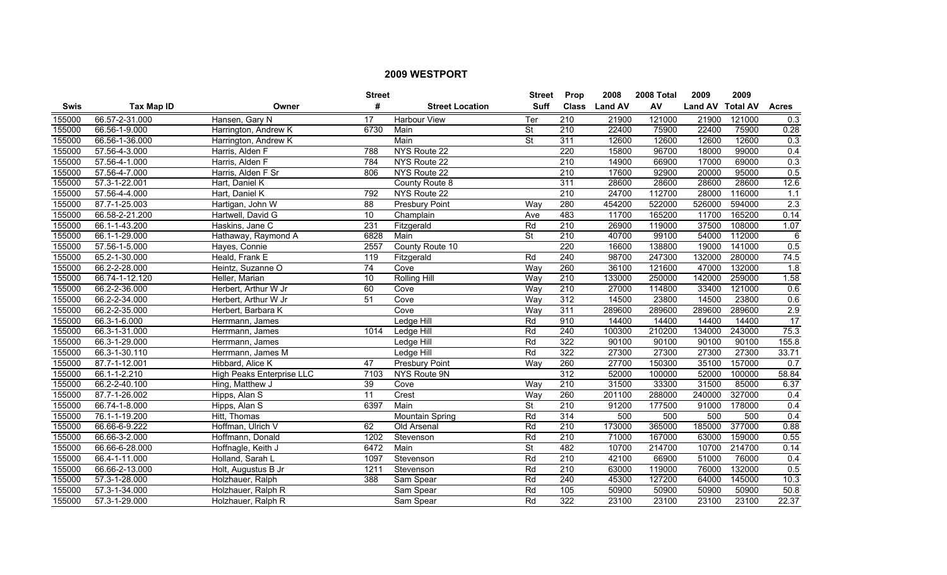|        |                   |                           | <b>Street</b>   |                        | <b>Street</b>            | <b>Prop</b>      | 2008           | 2008 Total | 2009             | 2009   |              |
|--------|-------------------|---------------------------|-----------------|------------------------|--------------------------|------------------|----------------|------------|------------------|--------|--------------|
| Swis   | <b>Tax Map ID</b> | Owner                     | #               | <b>Street Location</b> | <b>Suff</b>              | <b>Class</b>     | <b>Land AV</b> | AV         | Land AV Total AV |        | <b>Acres</b> |
| 155000 | 66.57-2-31.000    | Hansen, Gary N            | 17              | <b>Harbour View</b>    | Ter                      | $\overline{210}$ | 21900          | 121000     | 21900            | 121000 | 0.3          |
| 155000 | 66.56-1-9.000     | Harrington, Andrew K      | 6730            | Main                   | <b>St</b>                | 210              | 22400          | 75900      | 22400            | 75900  | 0.28         |
| 155000 | 66.56-1-36.000    | Harrington, Andrew K      |                 | Main                   | <b>St</b>                | 311              | 12600          | 12600      | 12600            | 12600  | 0.3          |
| 155000 | 57.56-4-3.000     | Harris, Alden F           | 788             | NYS Route 22           |                          | 220              | 15800          | 96700      | 18000            | 99000  | 0.4          |
| 155000 | 57.56-4-1.000     | Harris, Alden F           | 784             | NYS Route 22           |                          | 210              | 14900          | 66900      | 17000            | 69000  | 0.3          |
| 155000 | 57.56-4-7.000     | Harris, Alden F Sr        | 806             | NYS Route 22           |                          | 210              | 17600          | 92900      | 20000            | 95000  | 0.5          |
| 155000 | 57.3-1-22.001     | Hart, Daniel K            |                 | County Route 8         |                          | 311              | 28600          | 28600      | 28600            | 28600  | 12.6         |
| 155000 | 57.56-4-4.000     | Hart, Daniel K            | 792             | NYS Route 22           |                          | 210              | 24700          | 112700     | 28000            | 116000 | 1.1          |
| 155000 | 87.7-1-25.003     | Hartigan, John W          | $\overline{88}$ | Presbury Point         | Way                      | 280              | 454200         | 522000     | 526000           | 594000 | 2.3          |
| 155000 | 66.58-2-21.200    | Hartwell, David G         | 10              | Champlain              | Ave                      | 483              | 11700          | 165200     | 11700            | 165200 | 0.14         |
| 155000 | 66.1-1-43.200     | Haskins, Jane C           | 231             | Fitzgerald             | Rd                       | 210              | 26900          | 119000     | 37500            | 108000 | 1.07         |
| 155000 | 66.1-1-29.000     | Hathaway, Raymond A       | 6828            | Main                   | $\overline{\mathsf{St}}$ | 210              | 40700          | 99100      | 54000            | 112000 | 6            |
| 155000 | 57.56-1-5.000     | Hayes, Connie             | 2557            | County Route 10        |                          | $\overline{220}$ | 16600          | 138800     | 19000            | 141000 | 0.5          |
| 155000 | 65.2-1-30.000     | Heald, Frank E            | 119             | Fitzgerald             | Rd                       | $\overline{240}$ | 98700          | 247300     | 132000           | 280000 | 74.5         |
| 155000 | 66.2-2-28.000     | Heintz, Suzanne O         | 74              | Cove                   | Way                      | 260              | 36100          | 121600     | 47000            | 132000 | 1.8          |
| 155000 | 66.74-1-12.120    | Heller, Marian            | 10              | <b>Rolling Hill</b>    | Way                      | 210              | 133000         | 250000     | 142000           | 259000 | 1.58         |
| 155000 | 66.2-2-36.000     | Herbert, Arthur W Jr      | 60              | Cove                   | Way                      | 210              | 27000          | 114800     | 33400            | 121000 | 0.6          |
| 155000 | 66.2-2-34.000     | Herbert, Arthur W Jr      | 51              | Cove                   | Wav                      | 312              | 14500          | 23800      | 14500            | 23800  | 0.6          |
| 155000 | 66.2-2-35.000     | Herbert, Barbara K        |                 | Cove                   | Way                      | 311              | 289600         | 289600     | 289600           | 289600 | 2.9          |
| 155000 | 66.3-1-6.000      | Herrmann, James           |                 | Ledge Hill             | Rd                       | 910              | 14400          | 14400      | 14400            | 14400  | 17           |
| 155000 | 66.3-1-31.000     | Herrmann, James           | 1014            | Ledge Hill             | Rd                       | $\overline{240}$ | 100300         | 210200     | 134000           | 243000 | 75.3         |
| 155000 | 66.3-1-29.000     | Herrmann, James           |                 | Ledge Hill             | Rd                       | 322              | 90100          | 90100      | 90100            | 90100  | 155.8        |
| 155000 | 66.3-1-30.110     | Herrmann, James M         |                 | Ledge Hill             | Rd                       | 322              | 27300          | 27300      | 27300            | 27300  | 33.71        |
| 155000 | 87.7-1-12.001     | Hibbard, Alice K          | 47              | Presbury Point         | Way                      | 260              | 27700          | 150300     | 35100            | 157000 | 0.7          |
| 155000 | 66.1-1-2.210      | High Peaks Enterprise LLC | 7103            | NYS Route 9N           |                          | 312              | 52000          | 100000     | 52000            | 100000 | 58.84        |
| 155000 | 66.2-2-40.100     | Hing, Matthew J           | 39              | Cove                   | Way                      | $\overline{210}$ | 31500          | 33300      | 31500            | 85000  | 6.37         |
| 155000 | 87.7-1-26.002     | Hipps, Alan S             | $\overline{11}$ | Crest                  | Way                      | 260              | 201100         | 288000     | 240000           | 327000 | 0.4          |
| 155000 | 66.74-1-8.000     | Hipps, Alan S             | 6397            | Main                   | <b>St</b>                | 210              | 91200          | 177500     | 91000            | 178000 | 0.4          |
| 155000 | 76.1-1-19.200     | Hitt, Thomas              |                 | <b>Mountain Spring</b> | Rd                       | 314              | 500            | 500        | 500              | 500    | 0.4          |
| 155000 | 66.66-6-9.222     | Hoffman, Ulrich V         | 62              | Old Arsenal            | Rd                       | 210              | 173000         | 365000     | 185000           | 377000 | 0.88         |
| 155000 | 66.66-3-2.000     | Hoffmann, Donald          | 1202            | Stevenson              | Rd                       | 210              | 71000          | 167000     | 63000            | 159000 | 0.55         |
| 155000 | 66.66-6-28.000    | Hoffnagle, Keith J        | 6472            | Main                   | <b>St</b>                | 482              | 10700          | 214700     | 10700            | 214700 | 0.14         |
| 155000 | 66.4-1-11.000     | Holland, Sarah L          | 1097            | Stevenson              | Rd                       | $\overline{210}$ | 42100          | 66900      | 51000            | 76000  | 0.4          |
| 155000 | 66.66-2-13.000    | Holt, Augustus B Jr       | 1211            | Stevenson              | Rd                       | $\overline{210}$ | 63000          | 119000     | 76000            | 132000 | 0.5          |
| 155000 | 57.3-1-28.000     | Holzhauer, Ralph          | 388             | Sam Spear              | Rd                       | $\overline{240}$ | 45300          | 127200     | 64000            | 145000 | 10.3         |
| 155000 | 57.3-1-34.000     | Holzhauer, Ralph R        |                 | Sam Spear              | Rd                       | 105              | 50900          | 50900      | 50900            | 50900  | 50.8         |
| 155000 | 57.3-1-29.000     | Holzhauer, Ralph R        |                 | Sam Spear              | Rd                       | 322              | 23100          | 23100      | 23100            | 23100  | 22.37        |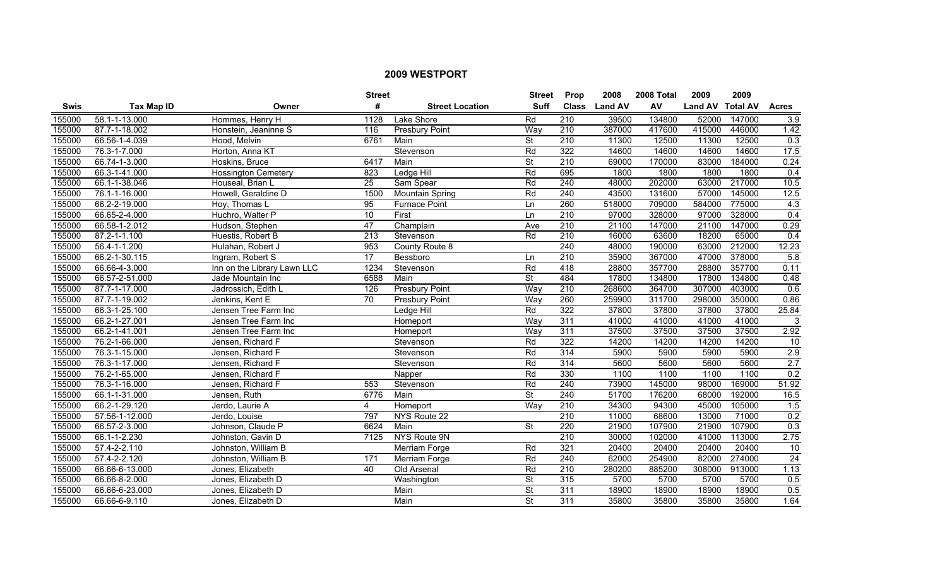|             |                |                             | <b>Street</b> |                        | <b>Street</b>            | <b>Prop</b>      | 2008           | 2008 Total | 2009             | 2009   |                  |
|-------------|----------------|-----------------------------|---------------|------------------------|--------------------------|------------------|----------------|------------|------------------|--------|------------------|
| <b>Swis</b> | Tax Map ID     | Owner                       | #             | <b>Street Location</b> | <b>Suff</b>              | <b>Class</b>     | <b>Land AV</b> | AV         | Land AV Total AV |        | <b>Acres</b>     |
| 155000      | 58.1-1-13.000  | Hommes, Henry H             | 1128          | Lake Shore             | Rd                       | $\overline{210}$ | 39500          | 134800     | 52000            | 147000 | 3.9              |
| 155000      | 87.7-1-18.002  | Honstein, Jeaninne S        | 116           | Presbury Point         | Way                      | $\overline{210}$ | 387000         | 417600     | 415000           | 446000 | 1.42             |
| 155000      | 66.56-1-4.039  | Hood. Melvin                | 6761          | Main                   | <b>St</b>                | 210              | 11300          | 12500      | 11300            | 12500  | 0.3              |
| 155000      | 76.3-1-7.000   | Horton, Anna KT             |               | Stevenson              | Rd                       | 322              | 14600          | 14600      | 14600            | 14600  | 17.5             |
| 155000      | 66.74-1-3.000  | Hoskins, Bruce              | 6417          | Main                   | <b>St</b>                | 210              | 69000          | 170000     | 83000            | 184000 | 0.24             |
| 155000      | 66.3-1-41.000  | <b>Hossington Cemetery</b>  | 823           | Ledge Hill             | Rd                       | 695              | 1800           | 1800       | 1800             | 1800   | 0.4              |
| 155000      | 66.1-1-38.046  | Houseal, Brian L            | 25            | Sam Spear              | Rd                       | 240              | 48000          | 202000     | 63000            | 217000 | 10.5             |
| 155000      | 76.1-1-16.000  | Howell, Geraldine D         | 1500          | Mountain Spring        | Rd                       | 240              | 43500          | 131600     | 57000            | 145000 | 12.5             |
| 155000      | 66.2-2-19.000  | Hoy, Thomas L               | 95            | <b>Furnace Point</b>   | Ln                       | 260              | 518000         | 709000     | 584000           | 775000 | 4.3              |
| 155000      | 66.65-2-4.000  | Huchro, Walter P            | 10            | First                  | Ln                       | $\overline{210}$ | 97000          | 328000     | 97000            | 328000 | 0.4              |
| 155000      | 66.58-1-2.012  | Hudson, Stephen             | 47            | Champlain              | Ave                      | 210              | 21100          | 147000     | 21100            | 147000 | 0.29             |
| 155000      | 87.2-1-1.100   | Huestis, Robert B           | 213           | Stevenson              | Rd                       | $\overline{210}$ | 16000          | 63600      | 18200            | 65000  | 0.4              |
| 155000      | 56.4-1-1.200   | Hulahan, Robert J           | 953           | County Route 8         |                          | 240              | 48000          | 190000     | 63000            | 212000 | 12.23            |
| 155000      | 66.2-1-30.115  | Ingram, Robert S            | 17            | Bessboro               | Ln                       | 210              | 35900          | 367000     | 47000            | 378000 | 5.8              |
| 155000      | 66.66-4-3.000  | Inn on the Library Lawn LLC | 1234          | Stevenson              | Rd                       | 418              | 28800          | 357700     | 28800            | 357700 | 0.11             |
| 155000      | 66.57-2-51.000 | Jade Mountain Inc           | 6588          | Main                   | <b>St</b>                | 484              | 17800          | 134800     | 17800            | 134800 | 0.48             |
| 155000      | 87.7-1-17.000  | Jadrossich, Edith L         | 126           | <b>Presbury Point</b>  | Way                      | 210              | 268600         | 364700     | 307000           | 403000 | 0.6              |
| 155000      | 87.7-1-19.002  | Jenkins, Kent E             | 70            | <b>Presbury Point</b>  | Wav                      | 260              | 259900         | 311700     | 298000           | 350000 | 0.86             |
| 155000      | 66.3-1-25.100  | Jensen Tree Farm Inc        |               | Ledge Hill             | Rd                       | 322              | 37800          | 37800      | 37800            | 37800  | 25.84            |
| 155000      | 66.2-1-27.001  | Jensen Tree Farm Inc        |               | Homeport               | Way                      | 311              | 41000          | 41000      | 41000            | 41000  | 3                |
| 155000      | 66.2-1-41.001  | Jensen Tree Farm Inc        |               | Homeport               | Way                      | 311              | 37500          | 37500      | 37500            | 37500  | 2.92             |
| 155000      | 76.2-1-66.000  | Jensen, Richard F           |               | Stevenson              | Rd                       | 322              | 14200          | 14200      | 14200            | 14200  | 10               |
| 155000      | 76.3-1-15.000  | Jensen, Richard F           |               | Stevenson              | Rd                       | 314              | 5900           | 5900       | 5900             | 5900   | $\overline{2.9}$ |
| 155000      | 76.3-1-17.000  | Jensen, Richard F           |               | Stevenson              | Rd                       | 314              | 5600           | 5600       | 5600             | 5600   | $\overline{2.7}$ |
| 155000      | 76.2-1-65.000  | Jensen, Richard F           |               | Napper                 | Rd                       | 330              | 1100           | 1100       | 1100             | 1100   | 0.2              |
| 155000      | 76.3-1-16.000  | Jensen, Richard F           | 553           | Stevenson              | Rd                       | 240              | 73900          | 145000     | 98000            | 169000 | 51.92            |
| 155000      | 66.1-1-31.000  | Jensen, Ruth                | 6776          | Main                   | $\overline{\mathsf{St}}$ | 240              | 51700          | 176200     | 68000            | 192000 | 16.5             |
| 155000      | 66.2-1-29.120  | Jerdo, Laurie A             | 4             | Homeport               | Way                      | 210              | 34300          | 94300      | 45000            | 105000 | 1.5              |
| 155000      | 57.56-1-12.000 | Jerdo, Louise               | 797           | NYS Route 22           |                          | 210              | 11000          | 68600      | 13000            | 71000  | 0.2              |
| 155000      | 66.57-2-3.000  | Johnson, Claude P           | 6624          | Main                   | $\overline{\mathsf{St}}$ | 220              | 21900          | 107900     | 21900            | 107900 | 0.3              |
| 155000      | 66.1-1-2.230   | Johnston, Gavin D           | 7125          | <b>NYS Route 9N</b>    |                          | 210              | 30000          | 102000     | 41000            | 113000 | 2.75             |
| 155000      | 57.4-2-2.110   | Johnston, William B         |               | <b>Merriam Forge</b>   | Rd                       | 321              | 20400          | 20400      | 20400            | 20400  | 10               |
| 155000      | 57.4-2-2.120   | Johnston, William B         | 171           | Merriam Forge          | Rd                       | 240              | 62000          | 254900     | 82000            | 274000 | 24               |
| 155000      | 66.66-6-13.000 | Jones, Elizabeth            | 40            | Old Arsenal            | Rd                       | 210              | 280200         | 885200     | 308000           | 913000 | 1.13             |
| 155000      | 66.66-8-2.000  | Jones, Elizabeth D          |               | Washington             | $\overline{\mathsf{St}}$ | 315              | 5700           | 5700       | 5700             | 5700   | 0.5              |
| 155000      | 66.66-6-23.000 | Jones, Elizabeth D          |               | Main                   | $\overline{\mathsf{St}}$ | $\overline{311}$ | 18900          | 18900      | 18900            | 18900  | 0.5              |
| 155000      | 66.66-6-9.110  | Jones, Elizabeth D          |               | Main                   | $\overline{\mathsf{St}}$ | $\overline{311}$ | 35800          | 35800      | 35800            | 35800  | 1.64             |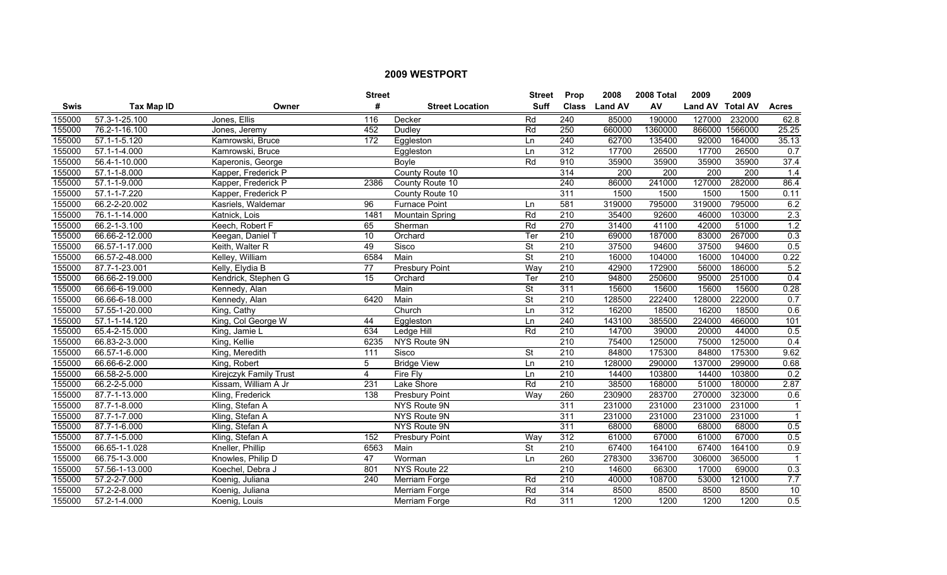|        |                    |                        | <b>Street</b>    |                        | <b>Street</b>            | <b>Prop</b>      | 2008           | 2008 Total | 2009             | 2009    |                  |
|--------|--------------------|------------------------|------------------|------------------------|--------------------------|------------------|----------------|------------|------------------|---------|------------------|
| Swis   | <b>Tax Map ID</b>  | Owner                  | #                | <b>Street Location</b> | <b>Suff</b>              | <b>Class</b>     | <b>Land AV</b> | AV         | Land AV Total AV |         | <b>Acres</b>     |
| 155000 | 57.3-1-25.100      | Jones, Ellis           | 116              | Decker                 | Rd                       | $\overline{240}$ | 85000          | 190000     | 127000           | 232000  | 62.8             |
| 155000 | 76.2-1-16.100      | Jones, Jeremy          | 452              | Dudley                 | Rd                       | 250              | 660000         | 1360000    | 866000           | 1566000 | 25.25            |
| 155000 | 57.1-1-5.120       | Kamrowski, Bruce       | 172              | Eggleston              | Ln                       | 240              | 62700          | 135400     | 92000            | 164000  | 35.13            |
| 155000 | 57.1-1-4.000       | Kamrowski, Bruce       |                  | Eggleston              | Ln                       | 312              | 17700          | 26500      | 17700            | 26500   | 0.7              |
| 155000 | 56.4-1-10.000      | Kaperonis, George      |                  | <b>Bovle</b>           | Rd                       | 910              | 35900          | 35900      | 35900            | 35900   | 37.4             |
| 155000 | $57.1 - 1 - 8.000$ | Kapper, Frederick P    |                  | County Route 10        |                          | 314              | 200            | 200        | 200              | 200     | 1.4              |
| 155000 | 57.1-1-9.000       | Kapper, Frederick P    | 2386             | County Route 10        |                          | 240              | 86000          | 241000     | 127000           | 282000  | 86.4             |
| 155000 | 57.1-1-7.220       | Kapper, Frederick P    |                  | County Route 10        |                          | 311              | 1500           | 1500       | 1500             | 1500    | 0.11             |
| 155000 | 66.2-2-20.002      | Kasriels, Waldemar     | $\overline{96}$  | <b>Furnace Point</b>   | Ln                       | 581              | 319000         | 795000     | 319000           | 795000  | 6.2              |
| 155000 | 76.1-1-14.000      | Katnick, Lois          | 1481             | Mountain Spring        | Rd                       | $\overline{210}$ | 35400          | 92600      | 46000            | 103000  | $\overline{2.3}$ |
| 155000 | 66.2-1-3.100       | Keech, Robert F        | 65               | Sherman                | Rd                       | 270              | 31400          | 41100      | 42000            | 51000   | 1.2              |
| 155000 | 66.66-2-12.000     | Keegan, Daniel T       | 10               | Orchard                | Ter                      | $\overline{210}$ | 69000          | 187000     | 83000            | 267000  | 0.3              |
| 155000 | 66.57-1-17.000     | Keith, Walter R        | 49               | Sisco                  | $\overline{\mathsf{St}}$ | $\overline{210}$ | 37500          | 94600      | 37500            | 94600   | 0.5              |
| 155000 | 66.57-2-48.000     | Kelley, William        | 6584             | Main                   | St                       | $\overline{210}$ | 16000          | 104000     | 16000            | 104000  | 0.22             |
| 155000 | 87.7-1-23.001      | Kelly, Elydia B        | $\overline{77}$  | <b>Presbury Point</b>  | Way                      | $\overline{210}$ | 42900          | 172900     | 56000            | 186000  | 5.2              |
| 155000 | 66.66-2-19.000     | Kendrick, Stephen G    | 15               | Orchard                | Ter                      | 210              | 94800          | 250600     | 95000            | 251000  | 0.4              |
| 155000 | 66.66-6-19.000     | Kennedy, Alan          |                  | Main                   | St                       | 311              | 15600          | 15600      | 15600            | 15600   | 0.28             |
| 155000 | 66.66-6-18.000     | Kennedy, Alan          | 6420             | Main                   | <b>St</b>                | 210              | 128500         | 222400     | 128000           | 222000  | 0.7              |
| 155000 | 57.55-1-20.000     | King, Cathy            |                  | Church                 | Ln                       | 312              | 16200          | 18500      | 16200            | 18500   | 0.6              |
| 155000 | 57.1-1-14.120      | King, Col George W     | 44               | Eggleston              | Ln                       | 240              | 143100         | 385500     | 224000           | 466000  | 101              |
| 155000 | 65.4-2-15.000      | King, Jamie L          | 634              | Ledge Hill             | Rd                       | 210              | 14700          | 39000      | 20000            | 44000   | 0.5              |
| 155000 | 66.83-2-3.000      | King, Kellie           | 6235             | NYS Route 9N           |                          | $\overline{210}$ | 75400          | 125000     | 75000            | 125000  | 0.4              |
| 155000 | 66.57-1-6.000      | King, Meredith         | 111              | Sisco                  | St                       | 210              | 84800          | 175300     | 84800            | 175300  | 9.62             |
| 155000 | 66.66-6-2.000      | King, Robert           | 5                | <b>Bridge View</b>     | Ln                       | $\overline{210}$ | 128000         | 290000     | 137000           | 299000  | 0.68             |
| 155000 | 66.58-2-5.000      | Kirejczyk Family Trust | 4                | Fire Fly               | Ln                       | $\overline{210}$ | 14400          | 103800     | 14400            | 103800  | 0.2              |
| 155000 | 66.2-2-5.000       | Kissam, William A Jr   | 231              | Lake Shore             | Rd                       | $\overline{210}$ | 38500          | 168000     | 51000            | 180000  | 2.87             |
| 155000 | 87.7-1-13.000      | Kling, Frederick       | 138              | <b>Presbury Point</b>  | Way                      | 260              | 230900         | 283700     | 270000           | 323000  | 0.6              |
| 155000 | 87.7-1-8.000       | Kling, Stefan A        |                  | NYS Route 9N           |                          | 311              | 231000         | 231000     | 231000           | 231000  | $\mathbf{1}$     |
| 155000 | 87.7-1-7.000       | Kling, Stefan A        |                  | NYS Route 9N           |                          | 311              | 231000         | 231000     | 231000           | 231000  | $\mathbf{1}$     |
| 155000 | 87.7-1-6.000       | Kling, Stefan A        |                  | NYS Route 9N           |                          | 311              | 68000          | 68000      | 68000            | 68000   | 0.5              |
| 155000 | 87.7-1-5.000       | Kling, Stefan A        | 152              | Presbury Point         | Way                      | 312              | 61000          | 67000      | 61000            | 67000   | 0.5              |
| 155000 | 66.65-1-1.028      | Kneller, Phillip       | 6563             | Main                   | $\overline{\mathsf{St}}$ | 210              | 67400          | 164100     | 67400            | 164100  | 0.9              |
| 155000 | 66.75-1-3.000      | Knowles, Philip D      | 47               | Worman                 | Ln                       | 260              | 278300         | 336700     | 306000           | 365000  | $\mathbf{1}$     |
| 155000 | 57.56-1-13.000     | Koechel, Debra J       | 801              | NYS Route 22           |                          | $\overline{210}$ | 14600          | 66300      | 17000            | 69000   | 0.3              |
| 155000 | 57.2-2-7.000       | Koenig, Juliana        | $\overline{240}$ | Merriam Forge          | Rd                       | $\overline{210}$ | 40000          | 108700     | 53000            | 121000  | 7.7              |
| 155000 | 57.2-2-8.000       | Koenig, Juliana        |                  | Merriam Forge          | Rd                       | 314              | 8500           | 8500       | 8500             | 8500    | $\overline{10}$  |
| 155000 | 57.2-1-4.000       | Koenig, Louis          |                  | Merriam Forge          | Rd                       | 311              | 1200           | 1200       | 1200             | 1200    | 0.5              |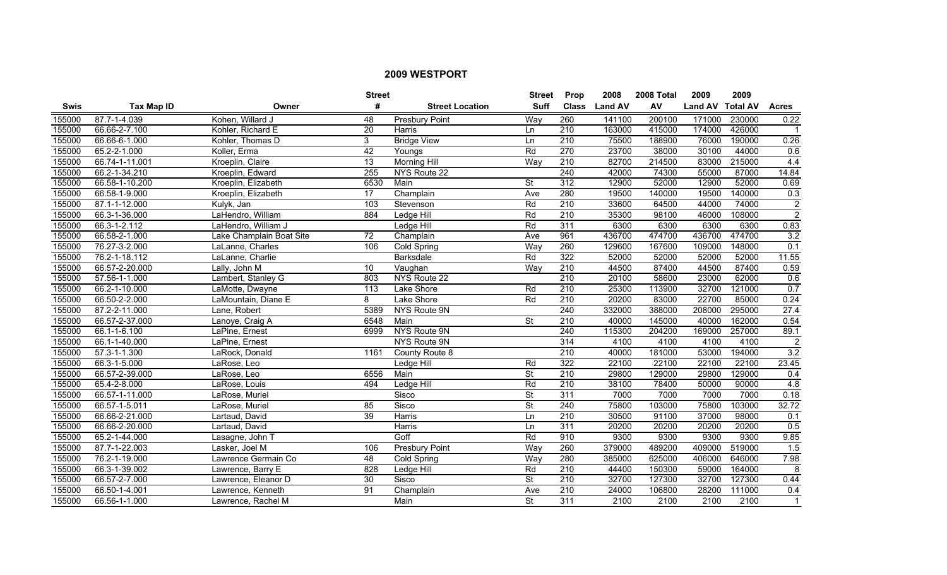|        |                           |                          | <b>Street</b>   |                        | <b>Street</b>            | Prop             | 2008           | 2008 Total | 2009             | 2009   |                |
|--------|---------------------------|--------------------------|-----------------|------------------------|--------------------------|------------------|----------------|------------|------------------|--------|----------------|
| Swis   | Tax Map ID                | Owner                    | #               | <b>Street Location</b> | <b>Suff</b>              | <b>Class</b>     | <b>Land AV</b> | AV         | Land AV Total AV |        | <b>Acres</b>   |
| 155000 | 87.7-1-4.039              | Kohen, Willard J         | 48              | <b>Presbury Point</b>  | Way                      | 260              | 141100         | 200100     | 171000           | 230000 | 0.22           |
| 155000 | 66.66-2-7.100             | Kohler, Richard E        | $\overline{20}$ | Harris                 | <b>Ln</b>                | $\overline{210}$ | 163000         | 415000     | 174000           | 426000 |                |
| 155000 | 66.66-6-1.000             | Kohler, Thomas D         | 3               | <b>Bridge View</b>     | Ln                       | 210              | 75500          | 188900     | 76000            | 190000 | 0.26           |
| 155000 | 65.2-2-1.000              | Koller, Erma             | 42              | Youngs                 | Rd                       | 270              | 23700          | 38000      | 30100            | 44000  | 0.6            |
| 155000 | 66.74-1-11.001            | Kroeplin, Claire         | 13              | <b>Morning Hill</b>    | Way                      | 210              | 82700          | 214500     | 83000            | 215000 | 4.4            |
| 155000 | 66.2-1-34.210             | Kroeplin, Edward         | 255             | NYS Route 22           |                          | 240              | 42000          | 74300      | 55000            | 87000  | 14.84          |
| 155000 | 66.58-1-10.200            | Kroeplin, Elizabeth      | 6530            | Main                   | <b>St</b>                | 312              | 12900          | 52000      | 12900            | 52000  | 0.69           |
| 155000 | 66.58-1-9.000             | Kroeplin, Elizabeth      | 17              | Champlain              | Ave                      | 280              | 19500          | 140000     | 19500            | 140000 | 0.3            |
| 155000 | 87.1-1-12.000             | Kulyk, Jan               | 103             | Stevenson              | Rd                       | $\overline{210}$ | 33600          | 64500      | 44000            | 74000  | $\overline{2}$ |
| 155000 | 66.3-1-36.000             | LaHendro, William        | 884             | Ledge Hill             | Rd                       | 210              | 35300          | 98100      | 46000            | 108000 | $\overline{2}$ |
| 155000 | 66.3-1-2.112              | LaHendro, William J      |                 | Ledge Hill             | Rd                       | 311              | 6300           | 6300       | 6300             | 6300   | 0.83           |
| 155000 | 66.58-2-1.000             | Lake Champlain Boat Site | 72              | Champlain              | Ave                      | 961              | 436700         | 474700     | 436700           | 474700 | 3.2            |
| 155000 | 76.27-3-2.000             | LaLanne, Charles         | 106             | Cold Spring            | Way                      | 260              | 129600         | 167600     | 109000           | 148000 | 0.1            |
| 155000 | 76.2-1-18.112             | LaLanne, Charlie         |                 | Barksdale              | Rd                       | 322              | 52000          | 52000      | 52000            | 52000  | 11.55          |
| 155000 | 66.57-2-20.000            | Lally, John M            | 10              | Vaughan                | Way                      | $\overline{210}$ | 44500          | 87400      | 44500            | 87400  | 0.59           |
| 155000 | 57.56-1-1.000             | Lambert, Stanley G       | 803             | NYS Route 22           |                          | 210              | 20100          | 58600      | 23000            | 62000  | 0.6            |
| 155000 | 66.2-1-10.000             | LaMotte, Dwayne          | 113             | Lake Shore             | Rd                       | 210              | 25300          | 113900     | 32700            | 121000 | 0.7            |
| 155000 | 66.50-2-2.000             | LaMountain, Diane E      | 8               | Lake Shore             | Rd                       | 210              | 20200          | 83000      | 22700            | 85000  | 0.24           |
| 155000 | 87.2-2-11.000             | Lane, Robert             | 5389            | NYS Route 9N           |                          | 240              | 332000         | 388000     | 208000           | 295000 | 27.4           |
| 155000 | 66.57-2-37.000            | Lanoye, Craig A          | 6548            | Main                   | $\overline{\mathsf{St}}$ | $\overline{210}$ | 40000          | 145000     | 40000            | 162000 | 0.54           |
| 155000 | 66.1-1-6.100              | LaPine, Ernest           | 6999            | NYS Route 9N           |                          | 240              | 115300         | 204200     | 169000           | 257000 | 89.1           |
| 155000 | 66.1-1-40.000             | LaPine, Ernest           |                 | NYS Route 9N           |                          | 314              | 4100           | 4100       | 4100             | 4100   | $\overline{2}$ |
| 155000 | 57.3-1-1.300              | LaRock, Donald           | 1161            | County Route 8         |                          | 210              | 40000          | 181000     | 53000            | 194000 | 3.2            |
| 155000 | 66.3-1-5.000              | LaRose, Leo              |                 | Ledge Hill             | Rd                       | 322              | 22100          | 22100      | 22100            | 22100  | 23.45          |
| 155000 | 66.57-2-39.000            | LaRose, Leo              | 6556            | Main                   | $\overline{\mathsf{St}}$ | 210              | 29800          | 129000     | 29800            | 129000 | 0.4            |
| 155000 | $65.\overline{4-2-8.000}$ | LaRose, Louis            | 494             | Ledge Hill             | Rd                       | $\overline{210}$ | 38100          | 78400      | 50000            | 90000  | 4.8            |
| 155000 | 66.57-1-11.000            | LaRose, Muriel           |                 | Sisco                  | $\overline{\mathsf{St}}$ | 311              | 7000           | 7000       | 7000             | 7000   | 0.18           |
| 155000 | 66.57-1-5.011             | LaRose, Muriel           | 85              | Sisco                  | <b>St</b>                | 240              | 75800          | 103000     | 75800            | 103000 | 32.72          |
| 155000 | 66.66-2-21.000            | Lartaud, David           | 39              | Harris                 | <b>Ln</b>                | 210              | 30500          | 91100      | 37000            | 98000  | 0.1            |
| 155000 | 66.66-2-20.000            | Lartaud, David           |                 | <b>Harris</b>          | Ln                       | 311              | 20200          | 20200      | 20200            | 20200  | 0.5            |
| 155000 | 65.2-1-44.000             | Lasagne, John T          |                 | Goff                   | Rd                       | 910              | 9300           | 9300       | 9300             | 9300   | 9.85           |
| 155000 | 87.7-1-22.003             | Lasker, Joel M           | 106             | <b>Presbury Point</b>  | Way                      | 260              | 379000         | 489200     | 409000           | 519000 | 1.5            |
| 155000 | 76.2-1-19.000             | Lawrence Germain Co      | 48              | Cold Spring            | Way                      | 280              | 385000         | 625000     | 406000           | 646000 | 7.98           |
| 155000 | 66.3-1-39.002             | Lawrence, Barry E        | 828             | Ledge Hill             | Rd                       | $\overline{210}$ | 44400          | 150300     | 59000            | 164000 | 8              |
| 155000 | 66.57-2-7.000             | Lawrence, Eleanor D      | 30              | Sisco                  | $\overline{\mathsf{St}}$ | 210              | 32700          | 127300     | 32700            | 127300 | 0.44           |
| 155000 | 66.50-1-4.001             | Lawrence, Kenneth        | 91              | Champlain              | Ave                      | $\overline{210}$ | 24000          | 106800     | 28200            | 111000 | 0.4            |
| 155000 | 66.56-1-1.000             | Lawrence, Rachel M       |                 | Main                   | $\overline{\mathsf{St}}$ | 311              | 2100           | 2100       | 2100             | 2100   | $\mathbf{1}$   |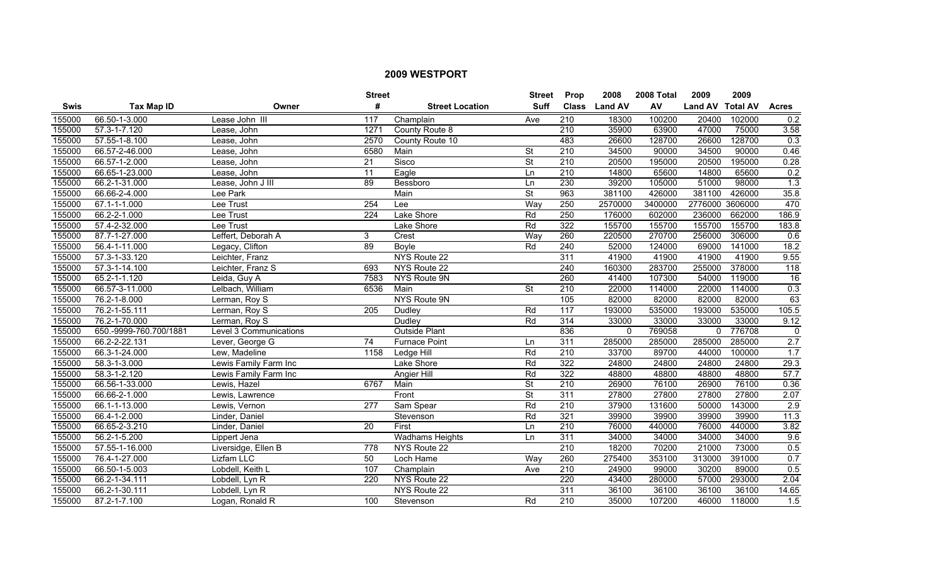|             |                        |                        | <b>Street</b>   |                        | <b>Street</b>            | Prop             | 2008           | 2008 Total | 2009             | 2009   |                  |
|-------------|------------------------|------------------------|-----------------|------------------------|--------------------------|------------------|----------------|------------|------------------|--------|------------------|
| <b>Swis</b> | <b>Tax Map ID</b>      | Owner                  | #               | <b>Street Location</b> | <b>Suff</b>              | <b>Class</b>     | <b>Land AV</b> | AV         | Land AV Total AV |        | <b>Acres</b>     |
| 155000      | 66.50-1-3.000          | Lease John III         | 117             | Champlain              | Ave                      | $\overline{210}$ | 18300          | 100200     | 20400            | 102000 | 0.2              |
| 155000      | 57.3-1-7.120           | Lease, John            | 1271            | County Route 8         |                          | $\overline{210}$ | 35900          | 63900      | 47000            | 75000  | 3.58             |
| 155000      | 57.55-1-8.100          | Lease, John            | 2570            | County Route 10        |                          | 483              | 26600          | 128700     | 26600            | 128700 | 0.3              |
| 155000      | 66.57-2-46.000         | Lease, John            | 6580            | Main                   | <b>St</b>                | $\overline{210}$ | 34500          | 90000      | 34500            | 90000  | 0.46             |
| 155000      | 66.57-1-2.000          | Lease, John            | 21              | Sisco                  | <b>St</b>                | 210              | 20500          | 195000     | 20500            | 195000 | 0.28             |
| 155000      | 66.65-1-23.000         | Lease, John            | 11              | Eagle                  | Ln                       | 210              | 14800          | 65600      | 14800            | 65600  | 0.2              |
| 155000      | 66.2-1-31.000          | Lease, John J III      | 89              | Bessboro               | <b>Ln</b>                | 230              | 39200          | 105000     | 51000            | 98000  | 1.3              |
| 155000      | 66.66-2-4.000          | Lee Park               |                 | Main                   | $\overline{\mathsf{St}}$ | 963              | 381100         | 426000     | 381100           | 426000 | 35.8             |
| 155000      | 67.1-1-1.000           | Lee Trust              | 254             | Lee                    | Way                      | 250              | 2570000        | 3400000    | 2776000 3606000  |        | 470              |
| 155000      | 66.2-2-1.000           | Lee Trust              | 224             | Lake Shore             | Rd                       | 250              | 176000         | 602000     | 236000           | 662000 | 186.9            |
| 155000      | 57.4-2-32.000          | Lee Trust              |                 | Lake Shore             | Rd                       | 322              | 155700         | 155700     | 155700           | 155700 | 183.8            |
| 155000      | 87.7-1-27.000          | Leffert, Deborah A     | 3               | Crest                  | Way                      | 260              | 220500         | 270700     | 256000           | 306000 | 0.6              |
| 155000      | 56.4-1-11.000          | Legacy, Clifton        | 89              | Boyle                  | Rd                       | $\overline{240}$ | 52000          | 124000     | 69000            | 141000 | 18.2             |
| 155000      | 57.3-1-33.120          | Leichter, Franz        |                 | NYS Route 22           |                          | 311              | 41900          | 41900      | 41900            | 41900  | 9.55             |
| 155000      | 57.3-1-14.100          | Leichter, Franz S      | 693             | NYS Route 22           |                          | 240              | 160300         | 283700     | 255000           | 378000 | $\overline{118}$ |
| 155000      | 65.2-1-1.120           | Leida, Guy A           | 7583            | NYS Route 9N           |                          | 260              | 41400          | 107300     | 54000            | 119000 | 16               |
| 155000      | 66.57-3-11.000         | Lelbach, William       | 6536            | Main                   | <b>St</b>                | 210              | 22000          | 114000     | 22000            | 114000 | 0.3              |
| 155000      | 76.2-1-8.000           | Lerman, Roy S          |                 | NYS Route 9N           |                          | 105              | 82000          | 82000      | 82000            | 82000  | 63               |
| 155000      | 76.2-1-55.111          | Lerman, Roy S          | 205             | Dudley                 | Rd                       | 117              | 193000         | 535000     | 193000           | 535000 | 105.5            |
| 155000      | 76.2-1-70.000          | Lerman, Roy S          |                 | Dudley                 | Rd                       | 314              | 33000          | 33000      | 33000            | 33000  | 9.12             |
| 155000      | 650.-9999-760.700/1881 | Level 3 Communications |                 | <b>Outside Plant</b>   |                          | 836              | $\Omega$       | 769058     | $\mathbf{0}$     | 776708 | $\Omega$         |
| 155000      | 66.2-2-22.131          | Lever, George G        | $\overline{74}$ | <b>Furnace Point</b>   | <b>Ln</b>                | 311              | 285000         | 285000     | 285000           | 285000 | 2.7              |
| 155000      | 66.3-1-24.000          | Lew, Madeline          | 1158            | Ledge Hill             | Rd                       | $\overline{210}$ | 33700          | 89700      | 44000            | 100000 | 1.7              |
| 155000      | 58.3-1-3.000           | Lewis Family Farm Inc  |                 | Lake Shore             | Rd                       | 322              | 24800          | 24800      | 24800            | 24800  | 29.3             |
| 155000      | 58.3-1-2.120           | Lewis Family Farm Inc  |                 | Angier Hill            | Rd                       | 322              | 48800          | 48800      | 48800            | 48800  | 57.7             |
| 155000      | 66.56-1-33.000         | Lewis, Hazel           | 6767            | Main                   | <b>St</b>                | $\overline{210}$ | 26900          | 76100      | 26900            | 76100  | 0.36             |
| 155000      | 66.66-2-1.000          | Lewis, Lawrence        |                 | Front                  | St                       | 311              | 27800          | 27800      | 27800            | 27800  | 2.07             |
| 155000      | 66.1-1-13.000          | Lewis, Vernon          | 277             | Sam Spear              | Rd                       | 210              | 37900          | 131600     | 50000            | 143000 | 2.9              |
| 155000      | 66.4-1-2.000           | Linder, Daniel         |                 | Stevenson              | Rd                       | 321              | 39900          | 39900      | 39900            | 39900  | 11.3             |
| 155000      | 66.65-2-3.210          | Linder, Daniel         | 20              | First                  | Ln                       | 210              | 76000          | 440000     | 76000            | 440000 | 3.82             |
| 155000      | 56.2-1-5.200           | Lippert Jena           |                 | <b>Wadhams Heights</b> | Ln                       | 311              | 34000          | 34000      | 34000            | 34000  | 9.6              |
| 155000      | 57.55-1-16.000         | Liversidge, Ellen B    | 778             | NYS Route 22           |                          | 210              | 18200          | 70200      | 21000            | 73000  | 0.5              |
| 155000      | 76.4-1-27.000          | <b>Lizfam LLC</b>      | 50              | Loch Hame              | Way                      | 260              | 275400         | 353100     | 313000           | 391000 | 0.7              |
| 155000      | 66.50-1-5.003          | Lobdell, Keith L       | 107             | Champlain              | Ave                      | 210              | 24900          | 99000      | 30200            | 89000  | 0.5              |
| 155000      | 66.2-1-34.111          | Lobdell, Lyn R         | 220             | NYS Route 22           |                          | 220              | 43400          | 280000     | 57000            | 293000 | 2.04             |
| 155000      | 66.2-1-30.111          | Lobdell, Lyn R         |                 | NYS Route 22           |                          | 311              | 36100          | 36100      | 36100            | 36100  | 14.65            |
| 155000      | 87.2-1-7.100           | Logan, Ronald R        | 100             | Stevenson              | Rd                       | 210              | 35000          | 107200     | 46000            | 118000 | 1.5              |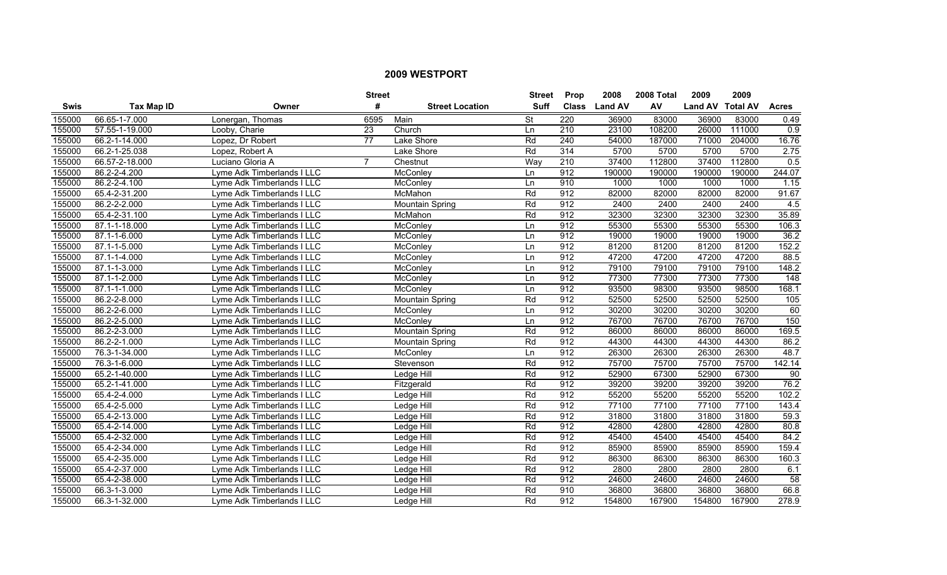|        |                   |                            | <b>Street</b>   |                        | <b>Street</b>            | Prop             | 2008           | 2008 Total | 2009             | 2009   |                  |
|--------|-------------------|----------------------------|-----------------|------------------------|--------------------------|------------------|----------------|------------|------------------|--------|------------------|
| Swis   | <b>Tax Map ID</b> | Owner                      | #               | <b>Street Location</b> | Suff                     | <b>Class</b>     | <b>Land AV</b> | AV         | Land AV Total AV |        | <b>Acres</b>     |
| 155000 | 66.65-1-7.000     | Lonergan, Thomas           | 6595            | Main                   | $\overline{\mathsf{St}}$ | 220              | 36900          | 83000      | 36900            | 83000  | 0.49             |
| 155000 | 57.55-1-19.000    | Looby, Charie              | 23              | Church                 | Ln                       | $\overline{210}$ | 23100          | 108200     | 26000            | 111000 | $\overline{0.9}$ |
| 155000 | 66.2-1-14.000     | Lopez, Dr Robert           | $\overline{77}$ | Lake Shore             | Rd                       | 240              | 54000          | 187000     | 71000            | 204000 | 16.76            |
| 155000 | 66.2-1-25.038     | Lopez, Robert A            |                 | Lake Shore             | Rd                       | 314              | 5700           | 5700       | 5700             | 5700   | 2.75             |
| 155000 | 66.57-2-18.000    | Luciano Gloria A           | 7               | Chestnut               | Way                      | 210              | 37400          | 112800     | 37400            | 112800 | 0.5              |
| 155000 | 86.2-2-4.200      | Lyme Adk Timberlands I LLC |                 | McConlev               | Ln                       | 912              | 190000         | 190000     | 190000           | 190000 | 244.07           |
| 155000 | 86.2-2-4.100      | Lyme Adk Timberlands I LLC |                 | McConley               | Ln                       | 910              | 1000           | 1000       | 1000             | 1000   | 1.15             |
| 155000 | 65.4-2-31.200     | Lyme Adk Timberlands I LLC |                 | McMahon                | Rd                       | 912              | 82000          | 82000      | 82000            | 82000  | 91.67            |
| 155000 | 86.2-2-2.000      | Lyme Adk Timberlands I LLC |                 | Mountain Spring        | Rd                       | 912              | 2400           | 2400       | 2400             | 2400   | 4.5              |
| 155000 | 65.4-2-31.100     | Lyme Adk Timberlands I LLC |                 | McMahon                | Rd                       | 912              | 32300          | 32300      | 32300            | 32300  | 35.89            |
| 155000 | 87.1-1-18.000     | Lyme Adk Timberlands I LLC |                 | McConley               | Ln                       | 912              | 55300          | 55300      | 55300            | 55300  | 106.3            |
| 155000 | 87.1-1-6.000      | Lyme Adk Timberlands I LLC |                 | McConley               | Ln                       | 912              | 19000          | 19000      | 19000            | 19000  | 36.2             |
| 155000 | 87.1-1-5.000      | Lyme Adk Timberlands I LLC |                 | McConley               | Ln                       | 912              | 81200          | 81200      | 81200            | 81200  | 152.2            |
| 155000 | 87.1-1-4.000      | Lyme Adk Timberlands I LLC |                 | McConley               | Ln                       | 912              | 47200          | 47200      | 47200            | 47200  | 88.5             |
| 155000 | 87.1-1-3.000      | Lyme Adk Timberlands I LLC |                 | McConley               | Ln                       | 912              | 79100          | 79100      | 79100            | 79100  | 148.2            |
| 155000 | 87.1-1-2.000      | Lyme Adk Timberlands I LLC |                 | McConley               | Ln                       | 912              | 77300          | 77300      | 77300            | 77300  | $\overline{148}$ |
| 155000 | 87.1-1-1.000      | Lyme Adk Timberlands I LLC |                 | McConlev               | Ln                       | 912              | 93500          | 98300      | 93500            | 98500  | 168.1            |
| 155000 | 86.2-2-8.000      | Lyme Adk Timberlands I LLC |                 | <b>Mountain Spring</b> | Rd                       | 912              | 52500          | 52500      | 52500            | 52500  | 105              |
| 155000 | 86.2-2-6.000      | Lyme Adk Timberlands I LLC |                 | McConley               | Ln                       | 912              | 30200          | 30200      | 30200            | 30200  | 60               |
| 155000 | 86.2-2-5.000      | Lyme Adk Timberlands I LLC |                 | McConley               | Ln                       | 912              | 76700          | 76700      | 76700            | 76700  | 150              |
| 155000 | 86.2-2-3.000      | Lyme Adk Timberlands I LLC |                 | Mountain Spring        | Rd                       | 912              | 86000          | 86000      | 86000            | 86000  | 169.5            |
| 155000 | 86.2-2-1.000      | Lyme Adk Timberlands I LLC |                 | Mountain Spring        | Rd                       | 912              | 44300          | 44300      | 44300            | 44300  | 86.2             |
| 155000 | 76.3-1-34.000     | Lyme Adk Timberlands I LLC |                 | McConley               | Ln                       | 912              | 26300          | 26300      | 26300            | 26300  | 48.7             |
| 155000 | 76.3-1-6.000      | Lyme Adk Timberlands I LLC |                 | Stevenson              | Rd                       | 912              | 75700          | 75700      | 75700            | 75700  | 142.14           |
| 155000 | 65.2-1-40.000     | Lyme Adk Timberlands I LLC |                 | Ledge Hill             | Rd                       | 912              | 52900          | 67300      | 52900            | 67300  | 90               |
| 155000 | 65.2-1-41.000     | Lyme Adk Timberlands I LLC |                 | Fitzgerald             | Rd                       | 912              | 39200          | 39200      | 39200            | 39200  | 76.2             |
| 155000 | 65.4-2-4.000      | Lyme Adk Timberlands I LLC |                 | Ledge Hill             | Rd                       | 912              | 55200          | 55200      | 55200            | 55200  | 102.2            |
| 155000 | 65.4-2-5.000      | Lyme Adk Timberlands I LLC |                 | Ledge Hill             | Rd                       | 912              | 77100          | 77100      | 77100            | 77100  | 143.4            |
| 155000 | 65.4-2-13.000     | Lyme Adk Timberlands I LLC |                 | Ledge Hill             | Rd                       | 912              | 31800          | 31800      | 31800            | 31800  | 59.3             |
| 155000 | 65.4-2-14.000     | Lyme Adk Timberlands I LLC |                 | Ledge Hill             | Rd                       | 912              | 42800          | 42800      | 42800            | 42800  | 80.8             |
| 155000 | 65.4-2-32.000     | Lyme Adk Timberlands I LLC |                 | Ledge Hill             | Rd                       | 912              | 45400          | 45400      | 45400            | 45400  | 84.2             |
| 155000 | 65.4-2-34.000     | Lyme Adk Timberlands I LLC |                 | Ledge Hill             | Rd                       | 912              | 85900          | 85900      | 85900            | 85900  | 159.4            |
| 155000 | 65.4-2-35.000     | Lyme Adk Timberlands I LLC |                 | Ledge Hill             | Rd                       | 912              | 86300          | 86300      | 86300            | 86300  | 160.3            |
| 155000 | 65.4-2-37.000     | Lyme Adk Timberlands I LLC |                 | Ledge Hill             | Rd                       | 912              | 2800           | 2800       | 2800             | 2800   | 6.1              |
| 155000 | 65.4-2-38.000     | Lyme Adk Timberlands I LLC |                 | Ledge Hill             | Rd                       | 912              | 24600          | 24600      | 24600            | 24600  | 58               |
| 155000 | 66.3-1-3.000      | Lyme Adk Timberlands I LLC |                 | Ledge Hill             | Rd                       | 910              | 36800          | 36800      | 36800            | 36800  | 66.8             |
| 155000 | 66.3-1-32.000     | Lyme Adk Timberlands I LLC |                 | Ledge Hill             | Rd                       | 912              | 154800         | 167900     | 154800           | 167900 | 278.9            |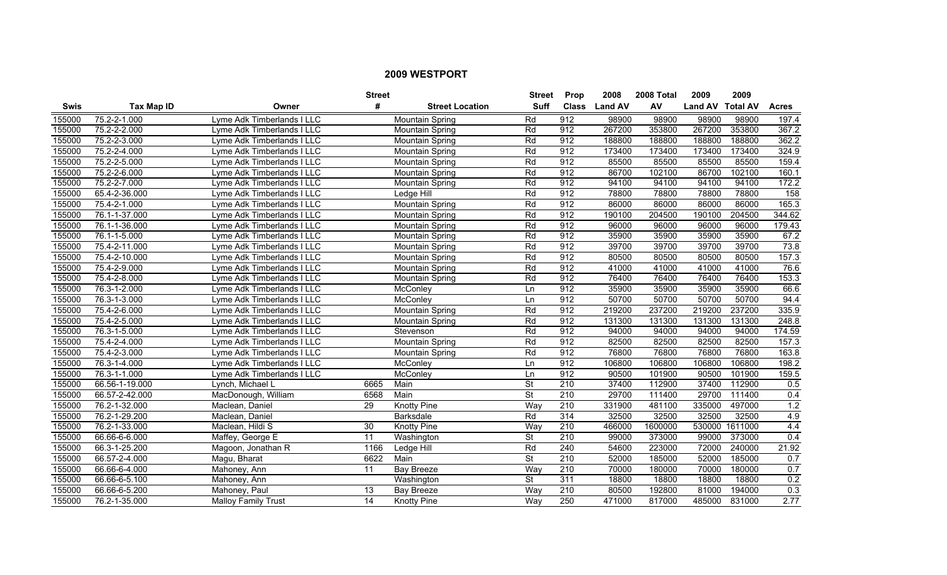|        |                   |                            | <b>Street</b> |                        | <b>Street</b>            | <b>Prop</b>      | 2008           | 2008 Total | 2009             | 2009           |              |
|--------|-------------------|----------------------------|---------------|------------------------|--------------------------|------------------|----------------|------------|------------------|----------------|--------------|
| Swis   | <b>Tax Map ID</b> | Owner                      | #             | <b>Street Location</b> | <b>Suff</b>              | <b>Class</b>     | <b>Land AV</b> | AV         | Land AV Total AV |                | <b>Acres</b> |
| 155000 | 75.2-2-1.000      | Lyme Adk Timberlands I LLC |               | Mountain Spring        | Rd                       | 912              | 98900          | 98900      | 98900            | 98900          | 197.4        |
| 155000 | 75.2-2-2.000      | Lyme Adk Timberlands I LLC |               | Mountain Spring        | Rd                       | 912              | 267200         | 353800     | 267200           | 353800         | 367.2        |
| 155000 | 75.2-2-3.000      | Lyme Adk Timberlands I LLC |               | Mountain Spring        | Rd                       | 912              | 188800         | 188800     | 188800           | 188800         | 362.2        |
| 155000 | 75.2-2-4.000      | Lyme Adk Timberlands I LLC |               | <b>Mountain Spring</b> | Rd                       | 912              | 173400         | 173400     | 173400           | 173400         | 324.9        |
| 155000 | 75.2-2-5.000      | Lyme Adk Timberlands I LLC |               | <b>Mountain Spring</b> | Rd                       | 912              | 85500          | 85500      | 85500            | 85500          | 159.4        |
| 155000 | 75.2-2-6.000      | Lyme Adk Timberlands I LLC |               | <b>Mountain Spring</b> | Rd                       | 912              | 86700          | 102100     | 86700            | 102100         | 160.1        |
| 155000 | 75.2-2-7.000      | Lyme Adk Timberlands I LLC |               | <b>Mountain Spring</b> | Rd                       | 912              | 94100          | 94100      | 94100            | 94100          | 172.2        |
| 155000 | 65.4-2-36.000     | Lyme Adk Timberlands I LLC |               | Ledge Hill             | Rd                       | 912              | 78800          | 78800      | 78800            | 78800          | 158          |
| 155000 | 75.4-2-1.000      | Lyme Adk Timberlands I LLC |               | <b>Mountain Spring</b> | Rd                       | 912              | 86000          | 86000      | 86000            | 86000          | 165.3        |
| 155000 | 76.1-1-37.000     | Lyme Adk Timberlands I LLC |               | <b>Mountain Spring</b> | Rd                       | 912              | 190100         | 204500     | 190100           | 204500         | 344.62       |
| 155000 | 76.1-1-36.000     | Lyme Adk Timberlands I LLC |               | <b>Mountain Spring</b> | Rd                       | 912              | 96000          | 96000      | 96000            | 96000          | 179.43       |
| 155000 | 76.1-1-5.000      | Lyme Adk Timberlands I LLC |               | Mountain Spring        | Rd                       | 912              | 35900          | 35900      | 35900            | 35900          | 67.2         |
| 155000 | 75.4-2-11.000     | Lyme Adk Timberlands I LLC |               | Mountain Spring        | Rd                       | 912              | 39700          | 39700      | 39700            | 39700          | 73.8         |
| 155000 | 75.4-2-10.000     | Lyme Adk Timberlands I LLC |               | Mountain Spring        | Rd                       | 912              | 80500          | 80500      | 80500            | 80500          | 157.3        |
| 155000 | 75.4-2-9.000      | Lyme Adk Timberlands I LLC |               | Mountain Spring        | Rd                       | 912              | 41000          | 41000      | 41000            | 41000          | 76.6         |
| 155000 | 75.4-2-8.000      | Lyme Adk Timberlands I LLC |               | Mountain Spring        | Rd                       | 912              | 76400          | 76400      | 76400            | 76400          | 153.3        |
| 155000 | 76.3-1-2.000      | Lyme Adk Timberlands I LLC |               | McConley               | Ln                       | 912              | 35900          | 35900      | 35900            | 35900          | 66.6         |
| 155000 | 76.3-1-3.000      | Lyme Adk Timberlands I LLC |               | McConley               | Ln                       | 912              | 50700          | 50700      | 50700            | 50700          | 94.4         |
| 155000 | 75.4-2-6.000      | Lyme Adk Timberlands I LLC |               | Mountain Spring        | Rd                       | 912              | 219200         | 237200     | 219200           | 237200         | 335.9        |
| 155000 | 75.4-2-5.000      | Lyme Adk Timberlands I LLC |               | <b>Mountain Spring</b> | Rd                       | 912              | 131300         | 131300     | 131300           | 131300         | 248.8        |
| 155000 | 76.3-1-5.000      | Lyme Adk Timberlands I LLC |               | Stevenson              | Rd                       | 912              | 94000          | 94000      | 94000            | 94000          | 174.59       |
| 155000 | 75.4-2-4.000      | Lyme Adk Timberlands I LLC |               | Mountain Spring        | Rd                       | 912              | 82500          | 82500      | 82500            | 82500          | 157.3        |
| 155000 | 75.4-2-3.000      | Lyme Adk Timberlands I LLC |               | <b>Mountain Spring</b> | Rd                       | 912              | 76800          | 76800      | 76800            | 76800          | 163.8        |
| 155000 | 76.3-1-4.000      | Lyme Adk Timberlands I LLC |               | McConley               | Ln                       | 912              | 106800         | 106800     | 106800           | 106800         | 198.2        |
| 155000 | 76.3-1-1.000      | Lyme Adk Timberlands I LLC |               | McConley               | Ln                       | 912              | 90500          | 101900     | 90500            | 101900         | 159.5        |
| 155000 | 66.56-1-19.000    | Lynch, Michael L           | 6665          | Main                   | $\overline{\mathsf{St}}$ | 210              | 37400          | 112900     | 37400            | 112900         | 0.5          |
| 155000 | 66.57-2-42.000    | MacDonough, William        | 6568          | Main                   | $\overline{\mathsf{St}}$ | 210              | 29700          | 111400     | 29700            | 111400         | 0.4          |
| 155000 | 76.2-1-32.000     | Maclean, Daniel            | 29            | <b>Knotty Pine</b>     | Way                      | 210              | 331900         | 481100     | 335000           | 497000         | 1.2          |
| 155000 | 76.2-1-29.200     | Maclean, Daniel            |               | <b>Barksdale</b>       | Rd                       | 314              | 32500          | 32500      | 32500            | 32500          | 4.9          |
| 155000 | 76.2-1-33.000     | Maclean, Hildi S           | 30            | <b>Knotty Pine</b>     | Way                      | 210              | 466000         | 1600000    |                  | 530000 1611000 | 4.4          |
| 155000 | 66.66-6-6.000     | Maffey, George E           | 11            | Washington             | $\overline{\mathsf{St}}$ | 210              | 99000          | 373000     | 99000            | 373000         | 0.4          |
| 155000 | 66.3-1-25.200     | Magoon, Jonathan R         | 1166          | Ledge Hill             | Rd                       | 240              | 54600          | 223000     | 72000            | 240000         | 21.92        |
| 155000 | 66.57-2-4.000     | Magu, Bharat               | 6622          | Main                   | $\overline{\mathsf{St}}$ | 210              | 52000          | 185000     | 52000            | 185000         | 0.7          |
| 155000 | 66.66-6-4.000     | Mahoney, Ann               | 11            | Bay Breeze             | Way                      | 210              | 70000          | 180000     | 70000            | 180000         | 0.7          |
| 155000 | 66.66-6-5.100     | Mahoney, Ann               |               | Washington             | St                       | 311              | 18800          | 18800      | 18800            | 18800          | 0.2          |
| 155000 | 66.66-6-5.200     | Mahoney, Paul              | 13            | <b>Bay Breeze</b>      | Way                      | $\overline{210}$ | 80500          | 192800     | 81000            | 194000         | 0.3          |
| 155000 | 76.2-1-35.000     | <b>Malloy Family Trust</b> | 14            | <b>Knotty Pine</b>     | Way                      | 250              | 471000         | 817000     | 485000           | 831000         | 2.77         |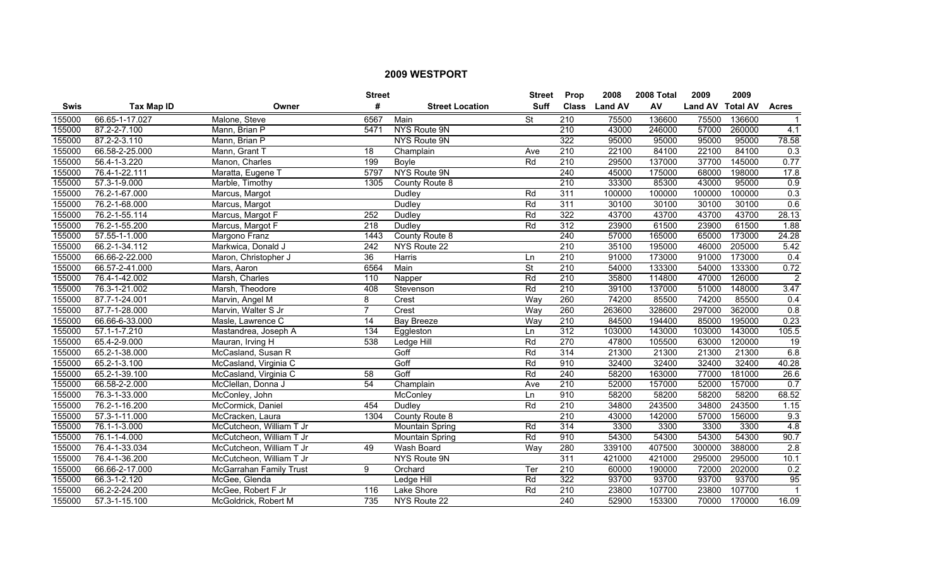|             |                    |                          | <b>Street</b>    |                        | <b>Street</b>            | <b>Prop</b>      | 2008           | 2008 Total | 2009             | 2009   |                  |
|-------------|--------------------|--------------------------|------------------|------------------------|--------------------------|------------------|----------------|------------|------------------|--------|------------------|
| <b>Swis</b> | Tax Map ID         | Owner                    | #                | <b>Street Location</b> | <b>Suff</b>              | <b>Class</b>     | <b>Land AV</b> | AV         | Land AV Total AV |        | <b>Acres</b>     |
| 155000      | 66.65-1-17.027     | Malone, Steve            | 6567             | Main                   | $\overline{\mathsf{St}}$ | $\overline{210}$ | 75500          | 136600     | 75500            | 136600 | $\mathbf{1}$     |
| 155000      | 87.2-2-7.100       | Mann, Brian P            | 5471             | NYS Route 9N           |                          | 210              | 43000          | 246000     | 57000            | 260000 | 4.1              |
| 155000      | 87.2-2-3.110       | Mann, Brian P            |                  | <b>NYS Route 9N</b>    |                          | 322              | 95000          | 95000      | 95000            | 95000  | 78.58            |
| 155000      | 66.58-2-25.000     | Mann, Grant T            | $\overline{18}$  | Champlain              | Ave                      | 210              | 22100          | 84100      | 22100            | 84100  | 0.3              |
| 155000      | 56.4-1-3.220       | Manon, Charles           | 199              | <b>Boyle</b>           | Rd                       | 210              | 29500          | 137000     | 37700            | 145000 | 0.77             |
| 155000      | 76.4-1-22.111      | Maratta, Eugene 1        | 5797             | <b>NYS Route 9N</b>    |                          | 240              | 45000          | 175000     | 68000            | 198000 | 17.8             |
| 155000      | 57.3-1-9.000       | Marble, Timothy          | 1305             | County Route 8         |                          | 210              | 33300          | 85300      | 43000            | 95000  | 0.9              |
| 155000      | 76.2-1-67.000      | Marcus, Margot           |                  | Dudley                 | Rd                       | 311              | 100000         | 100000     | 100000           | 100000 | $\overline{0.3}$ |
| 155000      | 76.2-1-68.000      | Marcus, Margot           |                  | Dudley                 | Rd                       | $\overline{311}$ | 30100          | 30100      | 30100            | 30100  | 0.6              |
| 155000      | 76.2-1-55.114      | Marcus, Margot F         | 252              | Dudley                 | Rd                       | 322              | 43700          | 43700      | 43700            | 43700  | 28.13            |
| 155000      | 76.2-1-55.200      | Marcus, Margot F         | $\overline{218}$ | Dudley                 | Rd                       | 312              | 23900          | 61500      | 23900            | 61500  | 1.88             |
| 155000      | 57.55-1-1.000      | Margono Franz            | 1443             | County Route 8         |                          | 240              | 57000          | 165000     | 65000            | 173000 | 24.28            |
| 155000      | 66.2-1-34.112      | Markwica, Donald J       | $\overline{242}$ | NYS Route 22           |                          | 210              | 35100          | 195000     | 46000            | 205000 | 5.42             |
| 155000      | 66.66-2-22.000     | Maron, Christopher J     | $\overline{36}$  | Harris                 | Ln                       | 210              | 91000          | 173000     | 91000            | 173000 | 0.4              |
| 155000      | 66.57-2-41.000     | Mars, Aaron              | 6564             | Main                   | $\overline{\mathsf{St}}$ | $\overline{210}$ | 54000          | 133300     | 54000            | 133300 | 0.72             |
| 155000      | 76.4-1-42.002      | Marsh, Charles           | 110              | Napper                 | Rd                       | 210              | 35800          | 114800     | 47000            | 126000 | $\overline{2}$   |
| 155000      | 76.3-1-21.002      | Marsh, Theodore          | 408              | Stevenson              | Rd                       | 210              | 39100          | 137000     | 51000            | 148000 | 3.47             |
| 155000      | 87.7-1-24.001      | Marvin, Angel M          | 8                | Crest                  | Wav                      | 260              | 74200          | 85500      | 74200            | 85500  | 0.4              |
| 155000      | 87.7-1-28.000      | Marvin, Walter S Jr      | $\overline{7}$   | Crest                  | Way                      | 260              | 263600         | 328600     | 297000           | 362000 | 0.8              |
| 155000      | 66.66-6-33.000     | Masle, Lawrence C        | 14               | <b>Bay Breeze</b>      | Way                      | 210              | 84500          | 194400     | 85000            | 195000 | 0.23             |
| 155000      | 57.1-1-7.210       | Mastandrea, Joseph A     | 134              | Eggleston              | Ln                       | 312              | 103000         | 143000     | 103000           | 143000 | 105.5            |
| 155000      | 65.4-2-9.000       | Mauran, Irving H         | 538              | Ledge Hill             | Rd                       | 270              | 47800          | 105500     | 63000            | 120000 | 19               |
| 155000      | 65.2-1-38.000      | McCasland, Susan R       |                  | Goff                   | Rd                       | 314              | 21300          | 21300      | 21300            | 21300  | 6.8              |
| 155000      | 65.2-1-3.100       | McCasland, Virginia C    |                  | Goff                   | Rd                       | 910              | 32400          | 32400      | 32400            | 32400  | 40.28            |
| 155000      | 65.2-1-39.100      | McCasland, Virginia C    | 58               | Goff                   | Rd                       | 240              | 58200          | 163000     | 77000            | 181000 | 26.6             |
| 155000      | 66.58-2-2.000      | McClellan, Donna J       | $\overline{54}$  | Champlain              | Ave                      | $\overline{210}$ | 52000          | 157000     | 52000            | 157000 | 0.7              |
| 155000      | 76.3-1-33.000      | McConley, John           |                  | McConley               | Ln                       | 910              | 58200          | 58200      | 58200            | 58200  | 68.52            |
| 155000      | 76.2-1-16.200      | McCormick, Daniel        | 454              | Dudley                 | Rd                       | 210              | 34800          | 243500     | 34800            | 243500 | 1.15             |
| 155000      | 57.3-1-11.000      | McCracken, Laura         | 1304             | County Route 8         |                          | 210              | 43000          | 142000     | 57000            | 156000 | 9.3              |
| 155000      | 76.1-1-3.000       | McCutcheon, William T Jr |                  | Mountain Spring        | Rd                       | 314              | 3300           | 3300       | 3300             | 3300   | 4.8              |
| 155000      | 76.1-1-4.000       | McCutcheon, William T Jr |                  | Mountain Spring        | Rd                       | 910              | 54300          | 54300      | 54300            | 54300  | 90.7             |
| 155000      | 76.4-1-33.034      | McCutcheon, William T Jr | 49               | <b>Wash Board</b>      | Way                      | 280              | 339100         | 407500     | 300000           | 388000 | 2.8              |
| 155000      | 76.4-1-36.200      | McCutcheon, William T Jr |                  | NYS Route 9N           |                          | 311              | 421000         | 421000     | 295000           | 295000 | 10.1             |
| 155000      | 66.66-2-17.000     | McGarrahan Family Trust  | 9                | Orchard                | Ter                      | 210              | 60000          | 190000     | 72000            | 202000 | 0.2              |
| 155000      | $66.3 - 1 - 2.120$ | McGee, Glenda            |                  | Ledge Hill             | Rd                       | 322              | 93700          | 93700      | 93700            | 93700  | 95               |
| 155000      | 66.2-2-24.200      | McGee, Robert F Jr       | 116              | Lake Shore             | Rd                       | $\overline{210}$ | 23800          | 107700     | 23800            | 107700 | $\mathbf{1}$     |
| 155000      | 57.3-1-15.100      | McGoldrick, Robert M     | 735              | NYS Route 22           |                          | 240              | 52900          | 153300     | 70000            | 170000 | 16.09            |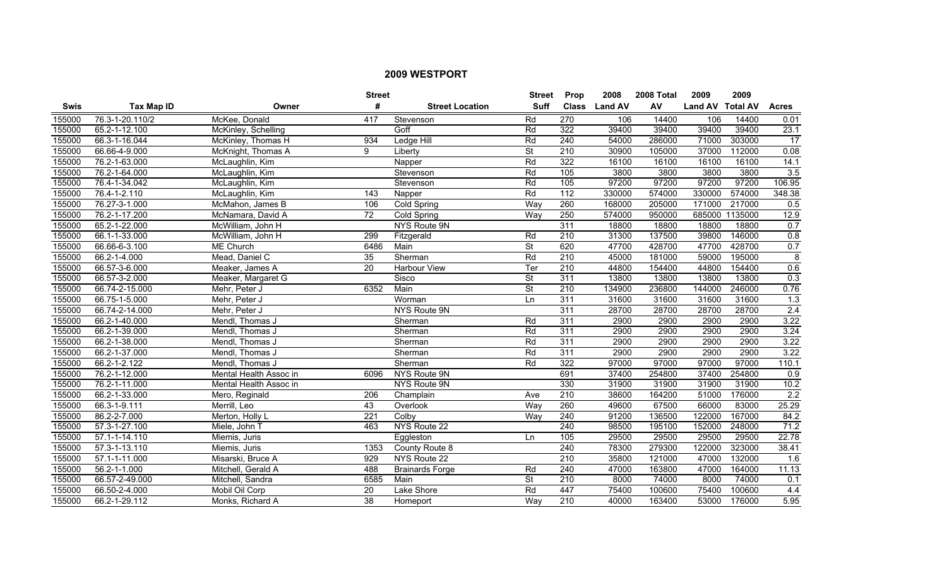|             |                   |                        | <b>Street</b>   |                        | <b>Street</b>            | <b>Prop</b>      | 2008           | 2008 Total | 2009             | 2009    |                  |
|-------------|-------------------|------------------------|-----------------|------------------------|--------------------------|------------------|----------------|------------|------------------|---------|------------------|
| <b>Swis</b> | <b>Tax Map ID</b> | Owner                  | #               | <b>Street Location</b> | <b>Suff</b>              | <b>Class</b>     | <b>Land AV</b> | AV         | Land AV Total AV |         | <b>Acres</b>     |
| 155000      | 76.3-1-20.110/2   | McKee, Donald          | 417             | Stevenson              | Rd                       | 270              | 106            | 14400      | 106              | 14400   | 0.01             |
| 155000      | 65.2-1-12.100     | McKinley, Schelling    |                 | Goff                   | Rd                       | 322              | 39400          | 39400      | 39400            | 39400   | 23.1             |
| 155000      | 66.3-1-16.044     | McKinley, Thomas H     | 934             | Ledge Hill             | Rd                       | 240              | 54000          | 286000     | 71000            | 303000  | 17               |
| 155000      | 66.66-4-9.000     | McKnight, Thomas A     | 9               | Liberty                | $\overline{\mathsf{St}}$ | 210              | 30900          | 105000     | 37000            | 112000  | 0.08             |
| 155000      | 76.2-1-63.000     | McLaughlin, Kim        |                 | Napper                 | Rd                       | 322              | 16100          | 16100      | 16100            | 16100   | 14.1             |
| 155000      | 76.2-1-64.000     | McLaughlin, Kim        |                 | Stevenson              | Rd                       | 105              | 3800           | 3800       | 3800             | 3800    | 3.5              |
| 155000      | 76.4-1-34.042     | McLaughlin, Kim        |                 | Stevenson              | Rd                       | 105              | 97200          | 97200      | 97200            | 97200   | 106.95           |
| 155000      | 76.4-1-2.110      | McLaughlin, Kim        | 143             | Napper                 | Rd                       | 112              | 330000         | 574000     | 330000           | 574000  | 348.38           |
| 155000      | 76.27-3-1.000     | McMahon, James B       | 106             | <b>Cold Spring</b>     | Way                      | 260              | 168000         | 205000     | 171000           | 217000  | 0.5              |
| 155000      | 76.2-1-17.200     | McNamara, David A      | $\overline{72}$ | Cold Spring            | Way                      | 250              | 574000         | 950000     | 685000           | 1135000 | 12.9             |
| 155000      | 65.2-1-22.000     | McWilliam, John H      |                 | NYS Route 9N           |                          | 311              | 18800          | 18800      | 18800            | 18800   | 0.7              |
| 155000      | 66.1-1-33.000     | McWilliam, John H      | 299             | Fitzgerald             | Rd                       | $\overline{210}$ | 31300          | 137500     | 39800            | 146000  | 0.8              |
| 155000      | 66.66-6-3.100     | <b>ME Church</b>       | 6486            | Main                   | $\overline{\mathsf{St}}$ | 620              | 47700          | 428700     | 47700            | 428700  | 0.7              |
| 155000      | 66.2-1-4.000      | Mead, Daniel C         | 35              | Sherman                | Rd                       | 210              | 45000          | 181000     | 59000            | 195000  | 8                |
| 155000      | 66.57-3-6.000     | Meaker, James A        | 20              | Harbour View           | Ter                      | 210              | 44800          | 154400     | 44800            | 154400  | 0.6              |
| 155000      | 66.57-3-2.000     | Meaker, Margaret G     |                 | Sisco                  | $\overline{\mathsf{St}}$ | 311              | 13800          | 13800      | 13800            | 13800   | 0.3              |
| 155000      | 66.74-2-15.000    | Mehr, Peter J          | 6352            | Main                   | <b>St</b>                | 210              | 134900         | 236800     | 144000           | 246000  | 0.76             |
| 155000      | 66.75-1-5.000     | Mehr, Peter J          |                 | Worman                 | Ln                       | 311              | 31600          | 31600      | 31600            | 31600   | $\overline{1.3}$ |
| 155000      | 66.74-2-14.000    | Mehr, Peter J          |                 | NYS Route 9N           |                          | 311              | 28700          | 28700      | 28700            | 28700   | $\overline{2.4}$ |
| 155000      | 66.2-1-40.000     | Mendl, Thomas J        |                 | Sherman                | Rd                       | $\overline{311}$ | 2900           | 2900       | 2900             | 2900    | 3.22             |
| 155000      | 66.2-1-39.000     | Mendl, Thomas J        |                 | Sherman                | Rd                       | 311              | 2900           | 2900       | 2900             | 2900    | 3.24             |
| 155000      | 66.2-1-38.000     | Mendl, Thomas J        |                 | Sherman                | Rd                       | $\overline{311}$ | 2900           | 2900       | 2900             | 2900    | 3.22             |
| 155000      | 66.2-1-37.000     | Mendl, Thomas J        |                 | Sherman                | Rd                       | $\overline{311}$ | 2900           | 2900       | 2900             | 2900    | 3.22             |
| 155000      | 66.2-1-2.122      | Mendl, Thomas J        |                 | Sherman                | Rd                       | 322              | 97000          | 97000      | 97000            | 97000   | 110.1            |
| 155000      | 76.2-1-12.000     | Mental Health Assoc in | 6096            | NYS Route 9N           |                          | 691              | 37400          | 254800     | 37400            | 254800  | 0.9              |
| 155000      | 76.2-1-11.000     | Mental Health Assoc in |                 | NYS Route 9N           |                          | 330              | 31900          | 31900      | 31900            | 31900   | 10.2             |
| 155000      | 66.2-1-33.000     | Mero, Reginald         | 206             | Champlain              | Ave                      | $\overline{210}$ | 38600          | 164200     | 51000            | 176000  | 2.2              |
| 155000      | 66.3-1-9.111      | Merrill, Leo           | 43              | Overlook               | Way                      | 260              | 49600          | 67500      | 66000            | 83000   | 25.29            |
| 155000      | 86.2-2-7.000      | Merton, Holly L.       | 221             | Colby                  | Wav                      | 240              | 91200          | 136500     | 122000           | 167000  | 84.2             |
| 155000      | 57.3-1-27.100     | Miele, John 1          | 463             | NYS Route 22           |                          | 240              | 98500          | 195100     | 152000           | 248000  | 71.2             |
| 155000      | 57.1-1-14.110     | Miemis, Juris          |                 | Eggleston              | Ln.                      | 105              | 29500          | 29500      | 29500            | 29500   | 22.78            |
| 155000      | 57.3-1-13.110     | Miemis, Juris          | 1353            | County Route 8         |                          | 240              | 78300          | 279300     | 122000           | 323000  | 38.41            |
| 155000      | 57.1-1-11.000     | Misarski, Bruce A      | 929             | NYS Route 22           |                          | 210              | 35800          | 121000     | 47000            | 132000  | $\overline{1.6}$ |
| 155000      | 56.2-1-1.000      | Mitchell, Gerald A     | 488             | <b>Brainards Forge</b> | Rd                       | 240              | 47000          | 163800     | 47000            | 164000  | 11.13            |
| 155000      | 66.57-2-49.000    | Mitchell, Sandra       | 6585            | Main                   | $\overline{\mathsf{St}}$ | $\overline{210}$ | 8000           | 74000      | 8000             | 74000   | 0.1              |
| 155000      | 66.50-2-4.000     | Mobil Oil Corp         | 20              | Lake Shore             | Rd                       | 447              | 75400          | 100600     | 75400            | 100600  | 4.4              |
| 155000      | 66.2-1-29.112     | Monks, Richard A       | 38              | Homeport               | Way                      | $\overline{210}$ | 40000          | 163400     | 53000            | 176000  | 5.95             |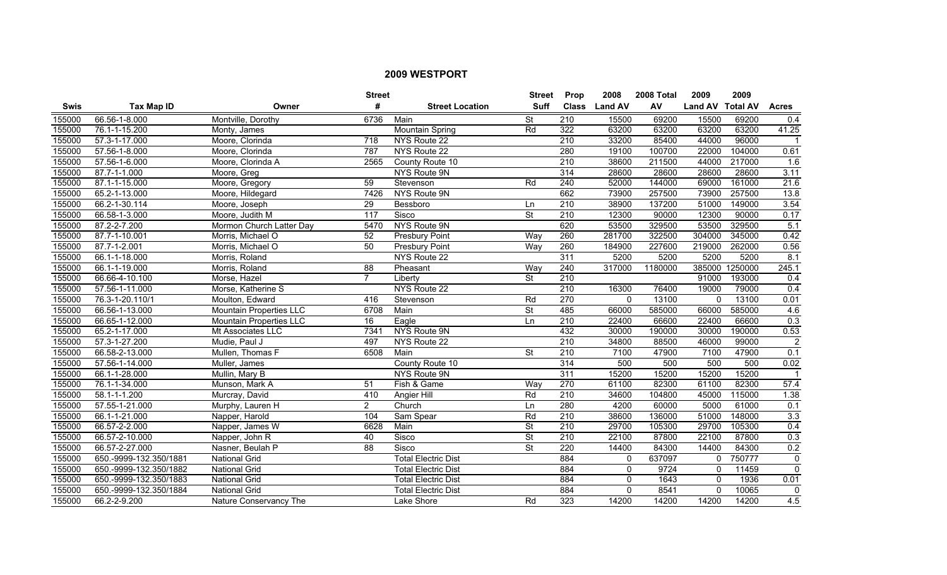|             |                        |                                | <b>Street</b>  |                            | <b>Street</b>            | <b>Prop</b>      | 2008           | 2008 Total | 2009             | 2009    |                      |
|-------------|------------------------|--------------------------------|----------------|----------------------------|--------------------------|------------------|----------------|------------|------------------|---------|----------------------|
| <b>Swis</b> | Tax Map ID             | Owner                          | #              | <b>Street Location</b>     | <b>Suff</b>              | <b>Class</b>     | <b>Land AV</b> | AV         | Land AV Total AV |         | <b>Acres</b>         |
| 155000      | 66.56-1-8.000          | Montville, Dorothy             | 6736           | Main                       | St                       | $\overline{210}$ | 15500          | 69200      | 15500            | 69200   | 0.4                  |
| 155000      | 76.1-1-15.200          | Monty, James                   |                | <b>Mountain Spring</b>     | Rd                       | 322              | 63200          | 63200      | 63200            | 63200   | 41.25                |
| 155000      | 57.3-1-17.000          | Moore, Clorinda                | 718            | NYS Route 22               |                          | 210              | 33200          | 85400      | 44000            | 96000   | $\blacktriangleleft$ |
| 155000      | 57.56-1-8.000          | Moore, Clorinda                | 787            | NYS Route 22               |                          | 280              | 19100          | 100700     | 22000            | 104000  | 0.61                 |
| 155000      | 57.56-1-6.000          | Moore, Clorinda A              | 2565           | County Route 10            |                          | 210              | 38600          | 211500     | 44000            | 217000  | 1.6                  |
| 155000      | 87.7-1-1.000           | Moore, Greg                    |                | NYS Route 9N               |                          | 314              | 28600          | 28600      | 28600            | 28600   | 3.11                 |
| 155000      | 87.1-1-15.000          | Moore, Gregory                 | 59             | Stevenson                  | Rd                       | 240              | 52000          | 144000     | 69000            | 161000  | 21.6                 |
| 155000      | 65.2-1-13.000          | Moore, Hildegard               | 7426           | NYS Route 9N               |                          | 662              | 73900          | 257500     | 73900            | 257500  | 13.8                 |
| 155000      | 66.2-1-30.114          | Moore, Joseph                  | 29             | Bessboro                   | Ln                       | $\overline{210}$ | 38900          | 137200     | 51000            | 149000  | 3.54                 |
| 155000      | 66.58-1-3.000          | Moore, Judith M                | 117            | Sisco                      | St                       | 210              | 12300          | 90000      | 12300            | 90000   | 0.17                 |
| 155000      | 87.2-2-7.200           | Mormon Church Latter Day       | 5470           | NYS Route 9N               |                          | 620              | 53500          | 329500     | 53500            | 329500  | 5.1                  |
| 155000      | 87.7-1-10.001          | Morris, Michael O              | 52             | <b>Presbury Point</b>      | Way                      | 260              | 281700         | 322500     | 304000           | 345000  | 0.42                 |
| 155000      | 87.7-1-2.001           | Morris, Michael O              | 50             | <b>Presbury Point</b>      | Way                      | 260              | 184900         | 227600     | 219000           | 262000  | 0.56                 |
| 155000      | 66.1-1-18.000          | Morris, Roland                 |                | NYS Route 22               |                          | $\overline{311}$ | 5200           | 5200       | 5200             | 5200    | 8.1                  |
| 155000      | 66.1-1-19.000          | Morris, Roland                 | 88             | Pheasant                   | Way                      | 240              | 317000         | 1180000    | 385000           | 1250000 | 245.1                |
| 155000      | 66.66-4-10.100         | Morse, Hazel                   | $\overline{7}$ | Liberty                    | St                       | 210              |                |            | 91000            | 193000  | 0.4                  |
| 155000      | 57.56-1-11.000         | Morse, Katherine S             |                | NYS Route 22               |                          | 210              | 16300          | 76400      | 19000            | 79000   | 0.4                  |
| 155000      | 76.3-1-20.110/1        | Moulton, Edward                | 416            | Stevenson                  | Rd                       | 270              | $\Omega$       | 13100      | $\Omega$         | 13100   | 0.01                 |
| 155000      | 66.56-1-13.000         | <b>Mountain Properties LLC</b> | 6708           | Main                       | <b>St</b>                | 485              | 66000          | 585000     | 66000            | 585000  | 4.6                  |
| 155000      | 66.65-1-12.000         | Mountain Properties LLC        | 16             | Eagle                      | Ln                       | $\overline{210}$ | 22400          | 66600      | 22400            | 66600   | 0.3                  |
| 155000      | 65.2-1-17.000          | Mt Associates LLC              | 7341           | NYS Route 9N               |                          | 432              | 30000          | 190000     | 30000            | 190000  | 0.53                 |
| 155000      | 57.3-1-27.200          | Mudie, Paul J                  | 497            | NYS Route 22               |                          | 210              | 34800          | 88500      | 46000            | 99000   | $\overline{2}$       |
| 155000      | 66.58-2-13.000         | Mullen, Thomas F               | 6508           | Main                       | $\overline{\mathsf{St}}$ | $\overline{210}$ | 7100           | 47900      | 7100             | 47900   | 0.1                  |
| 155000      | 57.56-1-14.000         | Muller, James                  |                | County Route 10            |                          | $\overline{314}$ | 500            | 500        | 500              | 500     | 0.02                 |
| 155000      | 66.1-1-28.000          | Mullin, Mary B                 |                | NYS Route 9N               |                          | 311              | 15200          | 15200      | 15200            | 15200   |                      |
| 155000      | 76.1-1-34.000          | Munson, Mark A                 | 51             | Fish & Game                | Way                      | 270              | 61100          | 82300      | 61100            | 82300   | 57.4                 |
| 155000      | 58.1-1-1.200           | Murcray, David                 | 410            | Angier Hill                | Rd                       | 210              | 34600          | 104800     | 45000            | 115000  | 1.38                 |
| 155000      | 57.55-1-21.000         | Murphy, Lauren H               | $\overline{2}$ | Church                     | Ln                       | 280              | 4200           | 60000      | 5000             | 61000   | 0.1                  |
| 155000      | 66.1-1-21.000          | Napper, Harold                 | 104            | Sam Spear                  | Rd                       | 210              | 38600          | 136000     | 51000            | 148000  | 3.3                  |
| 155000      | 66.57-2-2.000          | Napper, James W                | 6628           | Main                       | $\overline{\mathsf{St}}$ | 210              | 29700          | 105300     | 29700            | 105300  | 0.4                  |
| 155000      | 66.57-2-10.000         | Napper, John R                 | 40             | Sisco                      | $\overline{\mathsf{St}}$ | 210              | 22100          | 87800      | 22100            | 87800   | 0.3                  |
| 155000      | 66.57-2-27.000         | Nasner, Beulah P               | 88             | Sisco                      | <b>St</b>                | 220              | 14400          | 84300      | 14400            | 84300   | 0.2                  |
| 155000      | 650.-9999-132.350/1881 | <b>National Grid</b>           |                | <b>Total Electric Dist</b> |                          | 884              | $\mathbf{0}$   | 637097     | $\mathbf 0$      | 750777  | $\mathbf{0}$         |
| 155000      | 650.-9999-132.350/1882 | National Grid                  |                | <b>Total Electric Dist</b> |                          | 884              | 0              | 9724       | 0                | 11459   | $\mathbf{0}$         |
| 155000      | 650.-9999-132.350/1883 | <b>National Grid</b>           |                | <b>Total Electric Dist</b> |                          | 884              | $\mathbf{0}$   | 1643       | $\mathbf 0$      | 1936    | 0.01                 |
| 155000      | 650.-9999-132.350/1884 | <b>National Grid</b>           |                | <b>Total Electric Dist</b> |                          | 884              | $\Omega$       | 8541       | $\mathbf 0$      | 10065   | 0                    |
| 155000      | 66.2-2-9.200           | Nature Conservancy The         |                | Lake Shore                 | Rd                       | 323              | 14200          | 14200      | 14200            | 14200   | 4.5                  |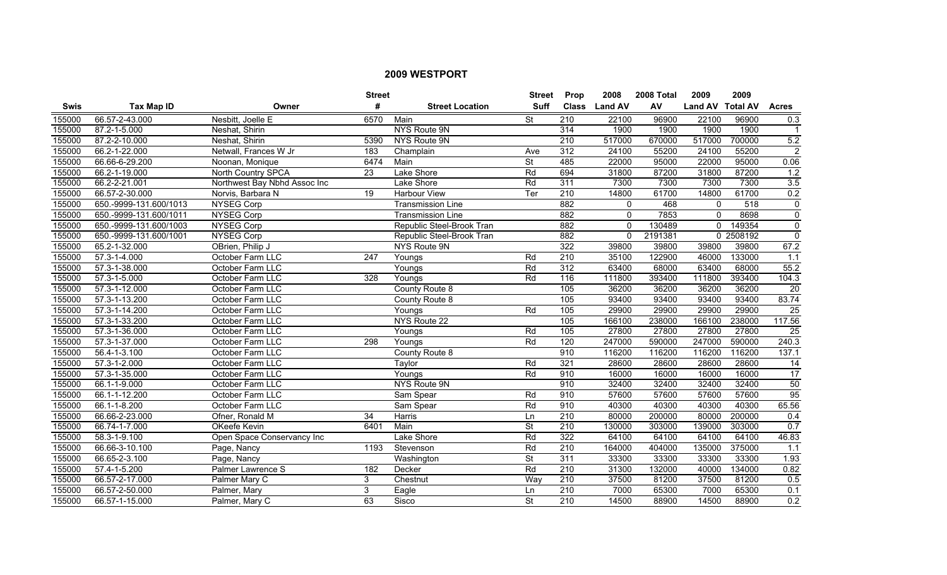|        |                            |                              | <b>Street</b> |                           | <b>Street</b>            | Prop             | 2008           | 2008 Total | 2009             | 2009      |                 |
|--------|----------------------------|------------------------------|---------------|---------------------------|--------------------------|------------------|----------------|------------|------------------|-----------|-----------------|
| Swis   | <b>Tax Map ID</b>          | Owner                        | #             | <b>Street Location</b>    | <b>Suff</b>              | <b>Class</b>     | <b>Land AV</b> | AV         | Land AV Total AV |           | <b>Acres</b>    |
| 155000 | 66.57-2-43.000             | Nesbitt, Joelle E            | 6570          | Main                      | St                       | $\overline{210}$ | 22100          | 96900      | 22100            | 96900     | 0.3             |
| 155000 | 87.2-1-5.000               | Neshat, Shirin               |               | NYS Route 9N              |                          | 314              | 1900           | 1900       | 1900             | 1900      | $\mathbf{1}$    |
| 155000 | 87.2-2-10.000              | Neshat, Shirin               | 5390          | NYS Route 9N              |                          | 210              | 517000         | 670000     | 517000           | 700000    | 5.2             |
| 155000 | 66.2-1-22.000              | Netwall, Frances W Jr        | 183           | Champlain                 | Ave                      | 312              | 24100          | 55200      | 24100            | 55200     | $\overline{2}$  |
| 155000 | 66.66-6-29.200             | Noonan, Monique              | 6474          | Main                      | $\overline{\mathsf{St}}$ | 485              | 22000          | 95000      | 22000            | 95000     | 0.06            |
| 155000 | 66.2-1-19.000              | <b>North Country SPCA</b>    | 23            | Lake Shore                | Rd                       | 694              | 31800          | 87200      | 31800            | 87200     | 1.2             |
| 155000 | 66.2-2-21.001              | Northwest Bay Nbhd Assoc Inc |               | Lake Shore                | Rd                       | 311              | 7300           | 7300       | 7300             | 7300      | 3.5             |
| 155000 | 66.57-2-30.000             | Norvis, Barbara N            | 19            | Harbour View              | Ter                      | 210              | 14800          | 61700      | 14800            | 61700     | 0.2             |
| 155000 | 650.-9999-131.600/1013     | <b>NYSEG Corp</b>            |               | <b>Transmission Line</b>  |                          | 882              | $\mathbf 0$    | 468        | $\mathbf 0$      | 518       | $\mathbf 0$     |
| 155000 | 650.-9999-131.600/1011     | NYSEG Corp                   |               | <b>Transmission Line</b>  |                          | 882              | $\mathbf 0$    | 7853       | $\mathbf 0$      | 8698      | $\mathbf 0$     |
| 155000 | 650.-9999-131.600/1003     | <b>NYSEG Corp</b>            |               | Republic Steel-Brook Tran |                          | 882              | $\Omega$       | 130489     | $\mathbf{0}$     | 149354    | $\overline{0}$  |
| 155000 | 650.-9999-131.600/1001     | <b>NYSEG Corp</b>            |               | Republic Steel-Brook Tran |                          | 882              | $\mathbf{0}$   | 2191381    |                  | 0 2508192 | $\Omega$        |
| 155000 | 65.2-1-32.000              | OBrien, Philip J             |               | NYS Route 9N              |                          | 322              | 39800          | 39800      | 39800            | 39800     | 67.2            |
| 155000 | 57.3-1-4.000               | October Farm LLC             | 247           | Youngs                    | Rd                       | 210              | 35100          | 122900     | 46000            | 133000    | 1.1             |
| 155000 | 57.3-1-38.000              | October Farm LLC             |               | Youngs                    | Rd                       | 312              | 63400          | 68000      | 63400            | 68000     | 55.2            |
| 155000 | 57.3-1-5.000               | October Farm LLC             | 328           | Youngs                    | Rd                       | 116              | 111800         | 393400     | 111800           | 393400    | 104.3           |
| 155000 | 57.3-1-12.000              | October Farm LLC             |               | County Route 8            |                          | 105              | 36200          | 36200      | 36200            | 36200     | $\overline{20}$ |
| 155000 | 57.3-1-13.200              | October Farm LLC             |               | County Route 8            |                          | 105              | 93400          | 93400      | 93400            | 93400     | 83.74           |
| 155000 | 57.3-1-14.200              | October Farm LLC             |               | Youngs                    | Rd                       | 105              | 29900          | 29900      | 29900            | 29900     | $\overline{25}$ |
| 155000 | 57.3-1-33.200              | October Farm LLC             |               | NYS Route 22              |                          | $\frac{105}{2}$  | 166100         | 238000     | 166100           | 238000    | 117.56          |
| 155000 | 57.3-1-36.000              | October Farm LLC             |               | Youngs                    | Rd                       | 105              | 27800          | 27800      | 27800            | 27800     | 25              |
| 155000 | 57.3-1-37.000              | October Farm LLC             | 298           | Youngs                    | Rd                       | 120              | 247000         | 590000     | 247000           | 590000    | 240.3           |
| 155000 | 56.4-1-3.100               | October Farm LLC             |               | County Route 8            |                          | 910              | 116200         | 116200     | 116200           | 116200    | 137.1           |
| 155000 | 57.3-1-2.000               | October Farm LLC             |               | Taylor                    | Rd                       | 321              | 28600          | 28600      | 28600            | 28600     | 14              |
| 155000 | 57.3-1-35.000              | October Farm LLC             |               | Youngs                    | Rd                       | 910              | 16000          | 16000      | 16000            | 16000     | 17              |
| 155000 | 66.1-1-9.000               | October Farm LLC             |               | NYS Route 9N              |                          | 910              | 32400          | 32400      | 32400            | 32400     | 50              |
| 155000 | 66.1-1-12.200              | October Farm LLC             |               | Sam Spear                 | Rd                       | 910              | 57600          | 57600      | 57600            | 57600     | 95              |
| 155000 | 66.1-1-8.200               | October Farm LLC             |               | Sam Spear                 | Rd                       | 910              | 40300          | 40300      | 40300            | 40300     | 65.56           |
| 155000 | 66.66-2-23.000             | Ofner, Ronald M              | 34            | Harris                    | <b>Ln</b>                | 210              | 80000          | 200000     | 80000            | 200000    | 0.4             |
| 155000 | 66.74-1-7.000              | OKeefe Kevin                 | 6401          | Main                      | $\overline{\mathsf{St}}$ | 210              | 130000         | 303000     | 139000           | 303000    | 0.7             |
| 155000 | $\overline{58.3}$ -1-9.100 | Open Space Conservancy Inc   |               | Lake Shore                | Rd                       | 322              | 64100          | 64100      | 64100            | 64100     | 46.83           |
| 155000 | 66.66-3-10.100             | Page, Nancy                  | 1193          | Stevenson                 | Rd                       | 210              | 164000         | 404000     | 135000           | 375000    | 1.1             |
| 155000 | 66.65-2-3.100              | Page, Nancy                  |               | Washington                | $\overline{\mathsf{St}}$ | 311              | 33300          | 33300      | 33300            | 33300     | 1.93            |
| 155000 | 57.4-1-5.200               | Palmer Lawrence S            | 182           | Decker                    | Rd                       | $\overline{210}$ | 31300          | 132000     | 40000            | 134000    | 0.82            |
| 155000 | 66.57-2-17.000             | Palmer Mary C                | 3             | Chestnut                  | Way                      | $\overline{210}$ | 37500          | 81200      | 37500            | 81200     | 0.5             |
| 155000 | 66.57-2-50.000             | Palmer, Mary                 | 3             | Eagle                     | Ln                       | 210              | 7000           | 65300      | 7000             | 65300     | 0.1             |
| 155000 | 66.57-1-15.000             | Palmer, Mary C               | 63            | Sisco                     | <b>St</b>                | $\overline{210}$ | 14500          | 88900      | 14500            | 88900     | 0.2             |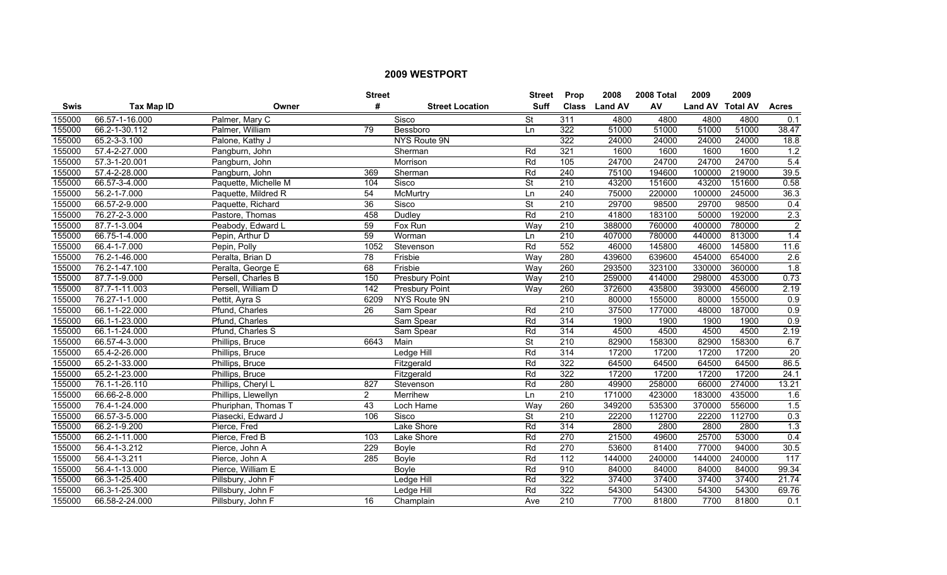|        |                |                      | <b>Street</b>   |                        | <b>Street</b>            | <b>Prop</b>      | 2008           | 2008 Total | 2009             | 2009   |                  |
|--------|----------------|----------------------|-----------------|------------------------|--------------------------|------------------|----------------|------------|------------------|--------|------------------|
| Swis   | Tax Map ID     | Owner                | #               | <b>Street Location</b> | <b>Suff</b>              | <b>Class</b>     | <b>Land AV</b> | AV         | Land AV Total AV |        | <b>Acres</b>     |
| 155000 | 66.57-1-16.000 | Palmer, Mary C       |                 | Sisco                  | St                       | 311              | 4800           | 4800       | 4800             | 4800   | 0.1              |
| 155000 | 66.2-1-30.112  | Palmer, William      | 79              | Bessboro               | Ln.                      | 322              | 51000          | 51000      | 51000            | 51000  | 38.47            |
| 155000 | 65.2-3-3.100   | Palone, Kathy J      |                 | NYS Route 9N           |                          | 322              | 24000          | 24000      | 24000            | 24000  | 18.8             |
| 155000 | 57.4-2-27.000  | Pangburn, John       |                 | Sherman                | Rd                       | 321              | 1600           | 1600       | 1600             | 1600   | 1.2              |
| 155000 | 57.3-1-20.001  | Pangburn, John       |                 | Morrison               | Rd                       | 105              | 24700          | 24700      | 24700            | 24700  | 5.4              |
| 155000 | 57.4-2-28.000  | Pangburn, John       | 369             | Sherman                | Rd                       | 240              | 75100          | 194600     | 100000           | 219000 | 39.5             |
| 155000 | 66.57-3-4.000  | Paquette, Michelle M | 104             | Sisco                  | <b>St</b>                | 210              | 43200          | 151600     | 43200            | 151600 | 0.58             |
| 155000 | 56.2-1-7.000   | Paquette, Mildred R  | 54              | McMurtry               | Ln                       | 240              | 75000          | 220000     | 100000           | 245000 | 36.3             |
| 155000 | 66.57-2-9.000  | Paquette, Richard    | 36              | Sisco                  | $\overline{\mathsf{St}}$ | 210              | 29700          | 98500      | 29700            | 98500  | 0.4              |
| 155000 | 76.27-2-3.000  | Pastore, Thomas      | 458             | Dudley                 | Rd                       | $\overline{210}$ | 41800          | 183100     | 50000            | 192000 | 2.3              |
| 155000 | 87.7-1-3.004   | Peabody, Edward L    | 59              | Fox Run                | Way                      | $\overline{210}$ | 388000         | 760000     | 400000           | 780000 | $\overline{2}$   |
| 155000 | 66.75-1-4.000  | Pepin, Arthur D      | 59              | Worman                 | Ln                       | 210              | 407000         | 780000     | 440000           | 813000 | 1.4              |
| 155000 | 66.4-1-7.000   | Pepin, Polly         | 1052            | Stevenson              | Rd                       | 552              | 46000          | 145800     | 46000            | 145800 | 11.6             |
| 155000 | 76.2-1-46.000  | Peralta, Brian D     | $\overline{78}$ | Frisbie                | Way                      | 280              | 439600         | 639600     | 454000           | 654000 | $\overline{2.6}$ |
| 155000 | 76.2-1-47.100  | Peralta, George E    | 68              | Frisbie                | Way                      | 260              | 293500         | 323100     | 330000           | 360000 | 1.8              |
| 155000 | 87.7-1-9.000   | Persell, Charles B   | 150             | <b>Presbury Point</b>  | Way                      | 210              | 259000         | 414000     | 298000           | 453000 | 0.73             |
| 155000 | 87.7-1-11.003  | Persell, William D   | 142             | <b>Presbury Point</b>  | Way                      | 260              | 372600         | 435800     | 393000           | 456000 | 2.19             |
| 155000 | 76.27-1-1.000  | Pettit, Ayra S       | 6209            | NYS Route 9N           |                          | 210              | 80000          | 155000     | 80000            | 155000 | 0.9              |
| 155000 | 66.1-1-22.000  | Pfund, Charles       | $\overline{26}$ | Sam Spear              | Rd                       | 210              | 37500          | 177000     | 48000            | 187000 | 0.9              |
| 155000 | 66.1-1-23.000  | Pfund, Charles       |                 | Sam Spear              | Rd                       | 314              | 1900           | 1900       | 1900             | 1900   | $\overline{0.9}$ |
| 155000 | 66.1-1-24.000  | Pfund, Charles S     |                 | Sam Spear              | Rd                       | 314              | 4500           | 4500       | 4500             | 4500   | 2.19             |
| 155000 | 66.57-4-3.000  | Phillips, Bruce      | 6643            | Main                   | $\overline{\mathsf{St}}$ | $\overline{210}$ | 82900          | 158300     | 82900            | 158300 | 6.7              |
| 155000 | 65.4-2-26.000  | Phillips, Bruce      |                 | Ledge Hill             | Rd                       | $\overline{314}$ | 17200          | 17200      | 17200            | 17200  | 20               |
| 155000 | 65.2-1-33.000  | Phillips, Bruce      |                 | Fitzgerald             | Rd                       | 322              | 64500          | 64500      | 64500            | 64500  | 86.5             |
| 155000 | 65.2-1-23.000  | Phillips, Bruce      |                 | Fitzgerald             | Rd                       | 322              | 17200          | 17200      | 17200            | 17200  | 24.1             |
| 155000 | 76.1-1-26.110  | Phillips, Cheryl L   | 827             | Stevenson              | Rd                       | 280              | 49900          | 258000     | 66000            | 274000 | 13.21            |
| 155000 | 66.66-2-8.000  | Phillips, Llewellyn  | $\overline{2}$  | Merrihew               | Ln                       | 210              | 171000         | 423000     | 183000           | 435000 | 1.6              |
| 155000 | 76.4-1-24.000  | Phuriphan, Thomas T  | 43              | Loch Hame              | Way                      | 260              | 349200         | 535300     | 370000           | 556000 | 1.5              |
| 155000 | 66.57-3-5.000  | Piasecki, Edward J   | 106             | Sisco                  | $\overline{\mathsf{St}}$ | 210              | 22200          | 112700     | 22200            | 112700 | 0.3              |
| 155000 | 66.2-1-9.200   | Pierce, Fred         |                 | Lake Shore             | Rd                       | 314              | 2800           | 2800       | 2800             | 2800   | 1.3              |
| 155000 | 66.2-1-11.000  | Pierce, Fred B       | 103             | Lake Shore             | Rd                       | 270              | 21500          | 49600      | 25700            | 53000  | 0.4              |
| 155000 | 56.4-1-3.212   | Pierce, John A       | 229             | <b>Boyle</b>           | Rd                       | 270              | 53600          | 81400      | 77000            | 94000  | 30.5             |
| 155000 | 56.4-1-3.211   | Pierce, John A       | 285             | Boyle                  | Rd                       | $\frac{11}{2}$   | 144000         | 240000     | 144000           | 240000 | 117              |
| 155000 | 56.4-1-13.000  | Pierce, William E    |                 | <b>Bovle</b>           | Rd                       | 910              | 84000          | 84000      | 84000            | 84000  | 99.34            |
| 155000 | 66.3-1-25.400  | Pillsbury, John F    |                 | Ledge Hill             | Rd                       | 322              | 37400          | 37400      | 37400            | 37400  | 21.74            |
| 155000 | 66.3-1-25.300  | Pillsbury, John F    |                 | Ledge Hill             | Rd                       | 322              | 54300          | 54300      | 54300            | 54300  | 69.76            |
| 155000 | 66.58-2-24.000 | Pillsbury, John F    | 16              | Champlain              | Ave                      | $\overline{210}$ | 7700           | 81800      | 7700             | 81800  | 0.1              |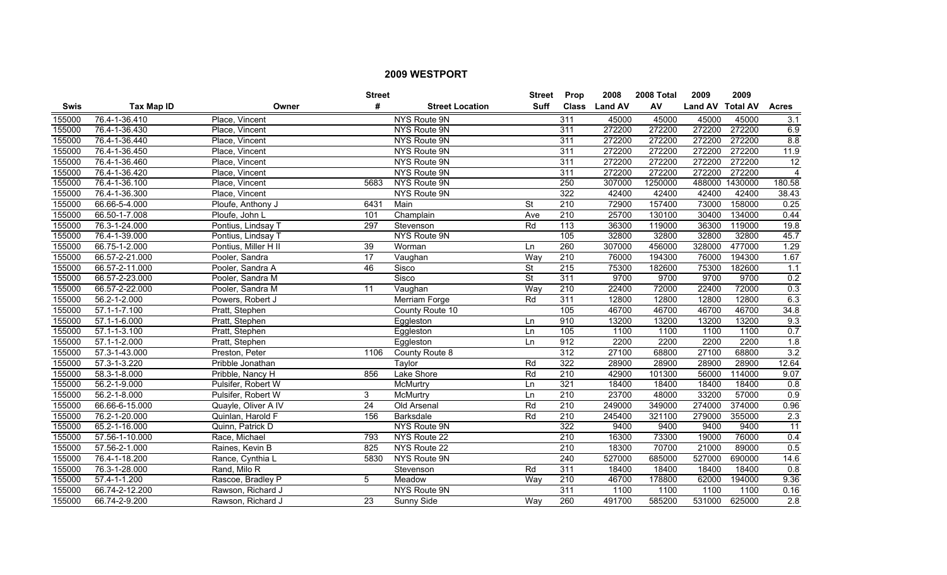|        |                    |                      | <b>Street</b>   |                        | <b>Street</b>            | <b>Prop</b>      | 2008           | 2008 Total | 2009             | 2009    |                  |
|--------|--------------------|----------------------|-----------------|------------------------|--------------------------|------------------|----------------|------------|------------------|---------|------------------|
| Swis   | <b>Tax Map ID</b>  | Owner                | #               | <b>Street Location</b> | <b>Suff</b>              | <b>Class</b>     | <b>Land AV</b> | AV         | Land AV Total AV |         | <b>Acres</b>     |
| 155000 | 76.4-1-36.410      | Place, Vincent       |                 | NYS Route 9N           |                          | 311              | 45000          | 45000      | 45000            | 45000   | 3.1              |
| 155000 | 76.4-1-36.430      | Place, Vincent       |                 | NYS Route 9N           |                          | 311              | 272200         | 272200     | 272200           | 272200  | 6.9              |
| 155000 | 76.4-1-36.440      | Place, Vincent       |                 | NYS Route 9N           |                          | 311              | 272200         | 272200     | 272200           | 272200  | 8.8              |
| 155000 | 76.4-1-36.450      | Place, Vincent       |                 | NYS Route 9N           |                          | 311              | 272200         | 272200     | 272200           | 272200  | 11.9             |
| 155000 | 76.4-1-36.460      | Place, Vincent       |                 | NYS Route 9N           |                          | 311              | 272200         | 272200     | 272200           | 272200  | 12               |
| 155000 | 76.4-1-36.420      | Place, Vincent       |                 | <b>NYS Route 9N</b>    |                          | 311              | 272200         | 272200     | 272200           | 272200  | $\overline{4}$   |
| 155000 | 76.4-1-36.100      | Place, Vincent       | 5683            | NYS Route 9N           |                          | 250              | 307000         | 1250000    | 488000           | 1430000 | 180.58           |
| 155000 | 76.4-1-36.300      | Place, Vincent       |                 | NYS Route 9N           |                          | 322              | 42400          | 42400      | 42400            | 42400   | 38.43            |
| 155000 | 66.66-5-4.000      | Ploufe, Anthony J    | 6431            | Main                   | <b>St</b>                | $\overline{210}$ | 72900          | 157400     | 73000            | 158000  | 0.25             |
| 155000 | 66.50-1-7.008      | Ploufe, John L       | 101             | Champlain              | Ave                      | 210              | 25700          | 130100     | 30400            | 134000  | 0.44             |
| 155000 | 76.3-1-24.000      | Pontius, Lindsay T   | 297             | Stevenson              | Rd                       | 113              | 36300          | 119000     | 36300            | 119000  | 19.8             |
| 155000 | 76.4-1-39.000      | Pontius, Lindsay T   |                 | NYS Route 9N           |                          | $\frac{105}{2}$  | 32800          | 32800      | 32800            | 32800   | 45.7             |
| 155000 | 66.75-1-2.000      | Pontius, Miller H II | 39              | Worman                 | Ln                       | 260              | 307000         | 456000     | 328000           | 477000  | 1.29             |
| 155000 | 66.57-2-21.000     | Pooler, Sandra       | $\overline{17}$ | Vaughan                | Way                      | 210              | 76000          | 194300     | 76000            | 194300  | 1.67             |
| 155000 | 66.57-2-11.000     | Pooler, Sandra A     | 46              | Sisco                  | St                       | 215              | 75300          | 182600     | 75300            | 182600  | 1.1              |
| 155000 | 66.57-2-23.000     | Pooler, Sandra M     |                 | Sisco                  | $\overline{\mathsf{St}}$ | 311              | 9700           | 9700       | 9700             | 9700    | 0.2              |
| 155000 | 66.57-2-22.000     | Pooler, Sandra M     | 11              | Vaughan                | Way                      | 210              | 22400          | 72000      | 22400            | 72000   | 0.3              |
| 155000 | 56.2-1-2.000       | Powers, Robert J     |                 | Merriam Forge          | Rd                       | 311              | 12800          | 12800      | 12800            | 12800   | 6.3              |
| 155000 | $57.1 - 1 - 7.100$ | Pratt, Stephen       |                 | County Route 10        |                          | 105              | 46700          | 46700      | 46700            | 46700   | 34.8             |
| 155000 | 57.1-1-6.000       | Pratt, Stephen       |                 | Eggleston              | Ln                       | 910              | 13200          | 13200      | 13200            | 13200   | 9.3              |
| 155000 | 57.1-1-3.100       | Pratt, Stephen       |                 | Eggleston              | Ln                       | $\frac{105}{2}$  | 1100           | 1100       | 1100             | 1100    | 0.7              |
| 155000 | 57.1-1-2.000       | Pratt, Stephen       |                 | Eggleston              | Ln                       | 912              | 2200           | 2200       | 2200             | 2200    | 1.8              |
| 155000 | 57.3-1-43.000      | Preston, Peter       | 1106            | County Route 8         |                          | 312              | 27100          | 68800      | 27100            | 68800   | 3.2              |
| 155000 | 57.3-1-3.220       | Pribble Jonathan     |                 | Taylor                 | Rd                       | 322              | 28900          | 28900      | 28900            | 28900   | 12.64            |
| 155000 | 58.3-1-8.000       | Pribble, Nancy H     | 856             | Lake Shore             | Rd                       | $\overline{210}$ | 42900          | 101300     | 56000            | 114000  | 9.07             |
| 155000 | 56.2-1-9.000       | Pulsifer, Robert W   |                 | McMurtry               | Ln                       | 321              | 18400          | 18400      | 18400            | 18400   | 0.8              |
| 155000 | 56.2-1-8.000       | Pulsifer, Robert W   | 3               | McMurtry               | Ln                       | $\overline{210}$ | 23700          | 48000      | 33200            | 57000   | 0.9              |
| 155000 | 66.66-6-15.000     | Quayle, Oliver A IV  | 24              | Old Arsenal            | Rd                       | 210              | 249000         | 349000     | 274000           | 374000  | 0.96             |
| 155000 | 76.2-1-20.000      | Quinlan, Harold F    | 156             | <b>Barksdale</b>       | Rd                       | 210              | 245400         | 321100     | 279000           | 355000  | $\overline{2.3}$ |
| 155000 | 65.2-1-16.000      | Quinn, Patrick D     |                 | NYS Route 9N           |                          | 322              | 9400           | 9400       | 9400             | 9400    | 11               |
| 155000 | 57.56-1-10.000     | Race, Michael        | 793             | NYS Route 22           |                          | 210              | 16300          | 73300      | 19000            | 76000   | 0.4              |
| 155000 | 57.56-2-1.000      | Raines, Kevin B      | 825             | NYS Route 22           |                          | 210              | 18300          | 70700      | 21000            | 89000   | 0.5              |
| 155000 | 76.4-1-18.200      | Rance, Cynthia L     | 5830            | NYS Route 9N           |                          | 240              | 527000         | 685000     | 527000           | 690000  | 14.6             |
| 155000 | 76.3-1-28.000      | Rand, Milo R         |                 | Stevenson              | Rd                       | 311              | 18400          | 18400      | 18400            | 18400   | 0.8              |
| 155000 | 57.4-1-1.200       | Rascoe, Bradley P    | 5               | Meadow                 | Way                      | 210              | 46700          | 178800     | 62000            | 194000  | 9.36             |
| 155000 | 66.74-2-12.200     | Rawson, Richard J    |                 | <b>NYS Route 9N</b>    |                          | 311              | 1100           | 1100       | 1100             | 1100    | 0.16             |
| 155000 | 66.74-2-9.200      | Rawson, Richard J    | 23              | Sunny Side             | Way                      | 260              | 491700         | 585200     | 531000           | 625000  | 2.8              |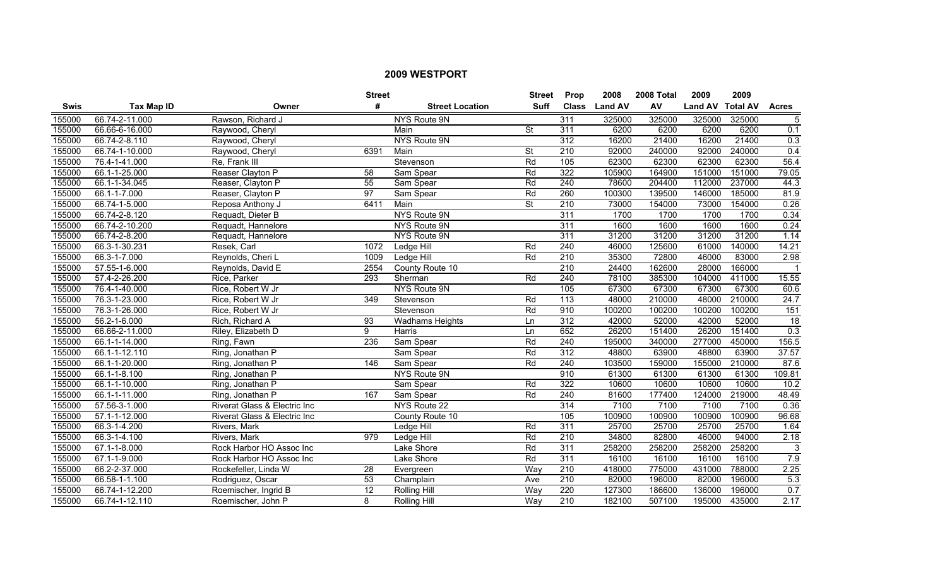|             |                   |                              | <b>Street</b>   |                        | <b>Street</b>            | <b>Prop</b>      | 2008           | 2008 Total | 2009             | 2009   |                  |
|-------------|-------------------|------------------------------|-----------------|------------------------|--------------------------|------------------|----------------|------------|------------------|--------|------------------|
| <b>Swis</b> | <b>Tax Map ID</b> | Owner                        | #               | <b>Street Location</b> | <b>Suff</b>              | <b>Class</b>     | <b>Land AV</b> | AV         | Land AV Total AV |        | <b>Acres</b>     |
| 155000      | 66.74-2-11.000    | Rawson, Richard J            |                 | NYS Route 9N           |                          | 311              | 325000         | 325000     | 325000           | 325000 | $\sqrt{5}$       |
| 155000      | 66.66-6-16.000    | Raywood, Cheryl              |                 | Main                   | <b>St</b>                | 311              | 6200           | 6200       | 6200             | 6200   | 0.1              |
| 155000      | 66.74-2-8.110     | Raywood, Cheryl              |                 | NYS Route 9N           |                          | 312              | 16200          | 21400      | 16200            | 21400  | 0.3              |
| 155000      | 66.74-1-10.000    | Raywood, Cheryl              | 6391            | Main                   | <b>St</b>                | 210              | 92000          | 240000     | 92000            | 240000 | 0.4              |
| 155000      | 76.4-1-41.000     | Re. Frank III                |                 | Stevenson              | Rd                       | 105              | 62300          | 62300      | 62300            | 62300  | 56.4             |
| 155000      | 66.1-1-25.000     | Reaser Clayton P             | $\overline{58}$ | Sam Spear              | Rd                       | 322              | 105900         | 164900     | 151000           | 151000 | 79.05            |
| 155000      | 66.1-1-34.045     | Reaser, Clayton P            | 55              | Sam Spear              | Rd                       | 240              | 78600          | 204400     | 112000           | 237000 | 44.3             |
| 155000      | 66.1-1-7.000      | Reaser, Clayton P            | 97              | Sam Spear              | Rd                       | 260              | 100300         | 139500     | 146000           | 185000 | 81.9             |
| 155000      | 66.74-1-5.000     | Reposa Anthony J             | 6411            | Main                   | $\overline{\mathsf{St}}$ | 210              | 73000          | 154000     | 73000            | 154000 | 0.26             |
| 155000      | 66.74-2-8.120     | Requadt, Dieter B            |                 | NYS Route 9N           |                          | 311              | 1700           | 1700       | 1700             | 1700   | 0.34             |
| 155000      | 66.74-2-10.200    | Requadt, Hannelore           |                 | NYS Route 9N           |                          | 311              | 1600           | 1600       | 1600             | 1600   | 0.24             |
| 155000      | 66.74-2-8.200     | Requadt, Hannelore           |                 | NYS Route 9N           |                          | 311              | 31200          | 31200      | 31200            | 31200  | 1.14             |
| 155000      | 66.3-1-30.231     | Resek, Carl                  | 1072            | Ledge Hill             | Rd                       | 240              | 46000          | 125600     | 61000            | 140000 | 14.21            |
| 155000      | 66.3-1-7.000      | Reynolds, Cheri L            | 1009            | Ledge Hill             | Rd                       | $\overline{210}$ | 35300          | 72800      | 46000            | 83000  | 2.98             |
| 155000      | 57.55-1-6.000     | Reynolds, David E            | 2554            | County Route 10        |                          | 210              | 24400          | 162600     | 28000            | 166000 | $\mathbf 1$      |
| 155000      | 57.4-2-26.200     | Rice, Parker                 | 293             | Sherman                | Rd                       | 240              | 78100          | 385300     | 104000           | 411000 | 15.55            |
| 155000      | 76.4-1-40.000     | Rice, Robert W Jr            |                 | <b>NYS Route 9N</b>    |                          | 105              | 67300          | 67300      | 67300            | 67300  | 60.6             |
| 155000      | 76.3-1-23.000     | Rice, Robert W Jr            | 349             | Stevenson              | Rd                       | $\overline{113}$ | 48000          | 210000     | 48000            | 210000 | 24.7             |
| 155000      | 76.3-1-26.000     | Rice, Robert W Jr            |                 | Stevenson              | Rd                       | 910              | 100200         | 100200     | 100200           | 100200 | 151              |
| 155000      | 56.2-1-6.000      | Rich, Richard A              | 93              | <b>Wadhams Heights</b> | Ln                       | $\overline{312}$ | 42000          | 52000      | 42000            | 52000  | $\overline{18}$  |
| 155000      | 66.66-2-11.000    | Riley, Elizabeth D           | 9               | Harris                 | Ln                       | 652              | 26200          | 151400     | 26200            | 151400 | $\overline{0.3}$ |
| 155000      | 66.1-1-14.000     | Ring, Fawn                   | 236             | Sam Spear              | Rd                       | $\overline{240}$ | 195000         | 340000     | 277000           | 450000 | 156.5            |
| 155000      | 66.1-1-12.110     | Ring, Jonathan P             |                 | Sam Spear              | Rd                       | $\overline{312}$ | 48800          | 63900      | 48800            | 63900  | 37.57            |
| 155000      | 66.1-1-20.000     | Ring, Jonathan P             | 146             | Sam Spear              | Rd                       | 240              | 103500         | 159000     | 155000           | 210000 | 87.6             |
| 155000      | 66.1-1-8.100      | Ring, Jonathan P             |                 | NYS Route 9N           |                          | 910              | 61300          | 61300      | 61300            | 61300  | 109.81           |
| 155000      | 66.1-1-10.000     | Ring, Jonathan P             |                 | Sam Spear              | Rd                       | 322              | 10600          | 10600      | 10600            | 10600  | 10.2             |
| 155000      | 66.1-1-11.000     | Ring, Jonathan P             | 167             | Sam Spear              | Rd                       | 240              | 81600          | 177400     | 124000           | 219000 | 48.49            |
| 155000      | 57.56-3-1.000     | Riverat Glass & Electric Inc |                 | NYS Route 22           |                          | 314              | 7100           | 7100       | 7100             | 7100   | 0.36             |
| 155000      | 57.1-1-12.000     | Riverat Glass & Electric Inc |                 | County Route 10        |                          | 105              | 100900         | 100900     | 100900           | 100900 | 96.68            |
| 155000      | 66.3-1-4.200      | Rivers, Mark                 |                 | Ledge Hill             | Rd                       | 311              | 25700          | 25700      | 25700            | 25700  | 1.64             |
| 155000      | 66.3-1-4.100      | Rivers, Mark                 | 979             | Ledge Hill             | Rd                       | 210              | 34800          | 82800      | 46000            | 94000  | 2.18             |
| 155000      | 67.1-1-8.000      | Rock Harbor HO Assoc Inc     |                 | Lake Shore             | Rd                       | 311              | 258200         | 258200     | 258200           | 258200 | 3                |
| 155000      | 67.1-1-9.000      | Rock Harbor HO Assoc Inc     |                 | Lake Shore             | Rd                       | 311              | 16100          | 16100      | 16100            | 16100  | 7.9              |
| 155000      | 66.2-2-37.000     | Rockefeller, Linda W         | 28              | Evergreen              | Way                      | 210              | 418000         | 775000     | 431000           | 788000 | 2.25             |
| 155000      | 66.58-1-1.100     | Rodriguez, Oscar             | 53              | Champlain              | Ave                      | $\overline{210}$ | 82000          | 196000     | 82000            | 196000 | 5.3              |
| 155000      | 66.74-1-12.200    | Roemischer, Ingrid B         | $\overline{12}$ | Rolling Hill           | Way                      | 220              | 127300         | 186600     | 136000           | 196000 | 0.7              |
| 155000      | 66.74-1-12.110    | Roemischer, John P           | 8               | Rolling Hill           | Way                      | $\overline{210}$ | 182100         | 507100     | 195000           | 435000 | 2.17             |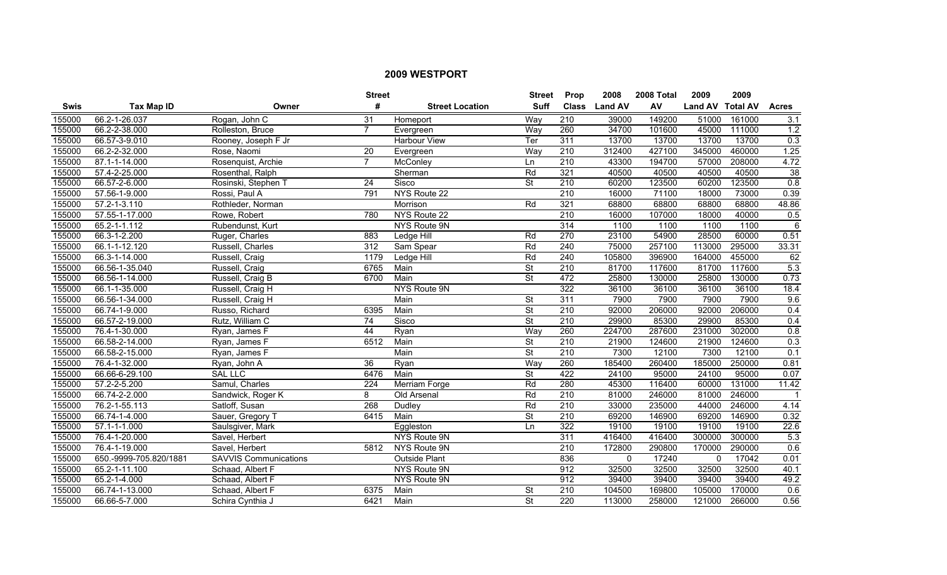|             |                        |                              | <b>Street</b>    |                        | <b>Street</b>            | <b>Prop</b>      | 2008           | 2008 Total | 2009           | 2009            |                    |
|-------------|------------------------|------------------------------|------------------|------------------------|--------------------------|------------------|----------------|------------|----------------|-----------------|--------------------|
| <b>Swis</b> | <b>Tax Map ID</b>      | Owner                        | #                | <b>Street Location</b> | <b>Suff</b>              | <b>Class</b>     | <b>Land AV</b> | AV         | <b>Land AV</b> | <b>Total AV</b> | <b>Acres</b>       |
| 155000      | 66.2-1-26.037          | Rogan, John C                | 31               | Homeport               | Way                      | $\overline{210}$ | 39000          | 149200     | 51000          | 161000          | 3.1                |
| 155000      | 66.2-2-38.000          | Rolleston, Bruce             | $\overline{7}$   | Evergreen              | Way                      | 260              | 34700          | 101600     | 45000          | 111000          | 1.2                |
| 155000      | 66.57-3-9.010          | Rooney, Joseph F Jr          |                  | <b>Harbour View</b>    | Ter                      | 311              | 13700          | 13700      | 13700          | 13700           | 0.3                |
| 155000      | 66.2-2-32.000          | Rose, Naomi                  | 20               | Evergreen              | Way                      | 210              | 312400         | 427100     | 345000         | 460000          | 1.25               |
| 155000      | 87.1-1-14.000          | Rosenquist, Archie           | $\overline{7}$   | McConley               | Ln                       | 210              | 43300          | 194700     | 57000          | 208000          | 4.72               |
| 155000      | 57.4-2-25.000          | Rosenthal, Ralph             |                  | Sherman                | Rd                       | 321              | 40500          | 40500      | 40500          | 40500           | 38                 |
| 155000      | 66.57-2-6.000          | Rosinski, Stephen T          | 24               | Sisco                  | <b>St</b>                | 210              | 60200          | 123500     | 60200          | 123500          | 0.8                |
| 155000      | 57.56-1-9.000          | Rossi, Paul A                | 791              | NYS Route 22           |                          | $\overline{210}$ | 16000          | 71100      | 18000          | 73000           | 0.39               |
| 155000      | 57.2-1-3.110           | Rothleder, Norman            |                  | Morrison               | Rd                       | 321              | 68800          | 68800      | 68800          | 68800           | 48.86              |
| 155000      | 57.55-1-17.000         | Rowe, Robert                 | 780              | NYS Route 22           |                          | 210              | 16000          | 107000     | 18000          | 40000           | 0.5                |
| 155000      | 65.2-1-1.112           | Rubendunst, Kurt             |                  | NYS Route 9N           |                          | 314              | 1100           | 1100       | 1100           | 1100            | 6                  |
| 155000      | 66.3-1-2.200           | Ruger, Charles               | 883              | Ledge Hill             | Rd                       | 270              | 23100          | 54900      | 28500          | 60000           | 0.51               |
| 155000      | 66.1-1-12.120          | Russell, Charles             | $\overline{312}$ | Sam Spear              | Rd                       | 240              | 75000          | 257100     | 113000         | 295000          | 33.31              |
| 155000      | 66.3-1-14.000          | Russell, Craig               | 1179             | Ledge Hill             | Rd                       | 240              | 105800         | 396900     | 164000         | 455000          | 62                 |
| 155000      | 66.56-1-35.040         | Russell, Craig               | 6765             | Main                   | $\overline{\mathsf{St}}$ | $\overline{210}$ | 81700          | 117600     | 81700          | 117600          | 5.3                |
| 155000      | 66.56-1-14.000         | Russell, Craig B             | 6700             | Main                   | <b>St</b>                | 472              | 25800          | 130000     | 25800          | 130000          | 0.73               |
| 155000      | 66.1-1-35.000          | Russell, Craig H             |                  | <b>NYS Route 9N</b>    |                          | 322              | 36100          | 36100      | 36100          | 36100           | 18.4               |
| 155000      | 66.56-1-34.000         | Russell, Craig H             |                  | Main                   | <b>St</b>                | 311              | 7900           | 7900       | 7900           | 7900            | 9.6                |
| 155000      | 66.74-1-9.000          | Russo, Richard               | 6395             | Main                   | $\overline{\mathsf{St}}$ | 210              | 92000          | 206000     | 92000          | 206000          | 0.4                |
| 155000      | 66.57-2-19.000         | Rutz, William C              | 74               | Sisco                  | $\overline{\mathsf{St}}$ | 210              | 29900          | 85300      | 29900          | 85300           | 0.4                |
| 155000      | 76.4-1-30.000          | Ryan, James F                | 44               | Ryan                   | Way                      | 260              | 224700         | 287600     | 231000         | 302000          | 0.8                |
| 155000      | 66.58-2-14.000         | Ryan, James F                | 6512             | Main                   | St                       | 210              | 21900          | 124600     | 21900          | 124600          | 0.3                |
| 155000      | 66.58-2-15.000         | Ryan, James F                |                  | Main                   | $\overline{\mathsf{St}}$ | $\overline{210}$ | 7300           | 12100      | 7300           | 12100           | 0.1                |
| 155000      | 76.4-1-32.000          | Ryan, John A                 | $\overline{36}$  | Ryan                   | Way                      | 260              | 185400         | 260400     | 185000         | 250000          | 0.81               |
| 155000      | 66.66-6-29.100         | <b>SAL LLC</b>               | 6476             | Main                   | $\overline{\mathsf{St}}$ | 422              | 24100          | 95000      | 24100          | 95000           | 0.07               |
| 155000      | 57.2-2-5.200           | Samul, Charles               | 224              | Merriam Forge          | Rd                       | 280              | 45300          | 116400     | 60000          | 131000          | $\overline{11.42}$ |
| 155000      | 66.74-2-2.000          | Sandwick, Roger K            | 8                | Old Arsenal            | Rd                       | $\overline{210}$ | 81000          | 246000     | 81000          | 246000          | $\mathbf{1}$       |
| 155000      | 76.2-1-55.113          | Satloff, Susan               | 268              | Dudley                 | Rd                       | 210              | 33000          | 235000     | 44000          | 246000          | 4.14               |
| 155000      | 66.74-1-4.000          | Sauer, Gregory T             | 6415             | Main                   | $\overline{\mathsf{St}}$ | 210              | 69200          | 146900     | 69200          | 146900          | 0.32               |
| 155000      | $57.1 - 1 - 1.000$     | Saulsgiver, Mark             |                  | Eggleston              | Ln                       | 322              | 19100          | 19100      | 19100          | 19100           | 22.6               |
| 155000      | 76.4-1-20.000          | Savel, Herbert               |                  | <b>NYS Route 9N</b>    |                          | 311              | 416400         | 416400     | 300000         | 300000          | 5.3                |
| 155000      | 76.4-1-19.000          | Savel, Herbert               | 5812             | NYS Route 9N           |                          | 210              | 172800         | 290800     | 170000         | 290000          | 0.6                |
| 155000      | 650.-9999-705.820/1881 | <b>SAVVIS Communications</b> |                  | <b>Outside Plant</b>   |                          | 836              | $\mathbf 0$    | 17240      | $\mathbf 0$    | 17042           | 0.01               |
| 155000      | 65.2-1-11.100          | Schaad, Albert F             |                  | NYS Route 9N           |                          | 912              | 32500          | 32500      | 32500          | 32500           | 40.1               |
| 155000      | 65.2-1-4.000           | Schaad, Albert F             |                  | NYS Route 9N           |                          | 912              | 39400          | 39400      | 39400          | 39400           | 49.2               |
| 155000      | 66.74-1-13.000         | Schaad, Albert F             | 6375             | Main                   | <b>St</b>                | 210              | 104500         | 169800     | 105000         | 170000          | 0.6                |
| 155000      | 66.66-5-7.000          | Schira Cynthia J             | 6421             | Main                   | $\overline{\mathsf{St}}$ | 220              | 113000         | 258000     | 121000         | 266000          | 0.56               |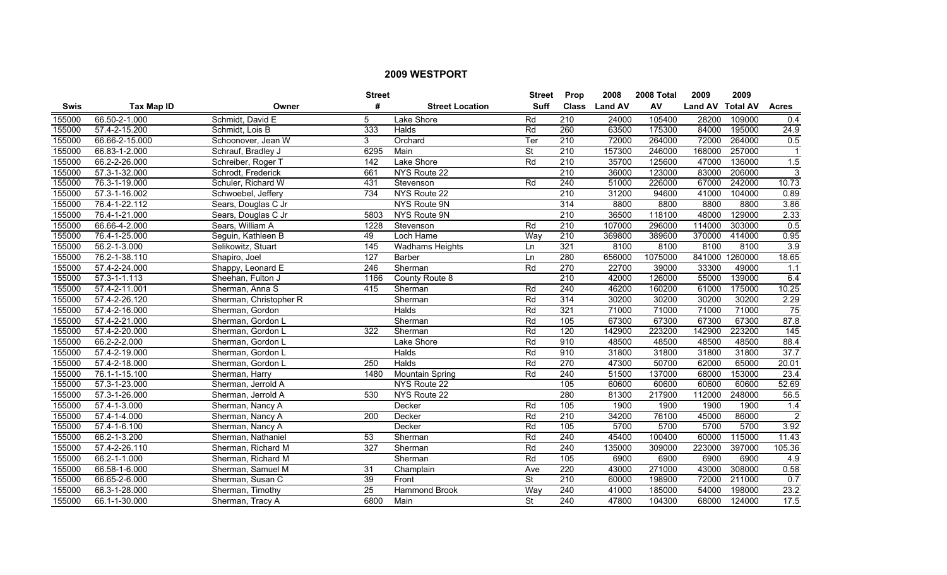|             |                   |                        | <b>Street</b>    |                        | <b>Street</b>            | <b>Prop</b>      | 2008           | 2008 Total | 2009             | 2009    |                   |
|-------------|-------------------|------------------------|------------------|------------------------|--------------------------|------------------|----------------|------------|------------------|---------|-------------------|
| <b>Swis</b> | <b>Tax Map ID</b> | Owner                  | #                | <b>Street Location</b> | <b>Suff</b>              | <b>Class</b>     | <b>Land AV</b> | AV         | Land AV Total AV |         | <b>Acres</b>      |
| 155000      | 66.50-2-1.000     | Schmidt, David E       | 5                | Lake Shore             | Rd                       | $\overline{210}$ | 24000          | 105400     | 28200            | 109000  | 0.4               |
| 155000      | 57.4-2-15.200     | Schmidt, Lois B        | 333              | Halds                  | Rd                       | 260              | 63500          | 175300     | 84000            | 195000  | 24.9              |
| 155000      | 66.66-2-15.000    | Schoonover, Jean W     | 3                | Orchard                | Ter                      | 210              | 72000          | 264000     | 72000            | 264000  | 0.5               |
| 155000      | 66.83-1-2.000     | Schrauf, Bradley J     | 6295             | Main                   | $\overline{\mathsf{St}}$ | 210              | 157300         | 246000     | 168000           | 257000  |                   |
| 155000      | 66.2-2-26.000     | Schreiber, Roger T     | 142              | Lake Shore             | Rd                       | 210              | 35700          | 125600     | 47000            | 136000  | 1.5               |
| 155000      | 57.3-1-32.000     | Schrodt, Frederick     | 661              | NYS Route 22           |                          | 210              | 36000          | 123000     | 83000            | 206000  | 3                 |
| 155000      | 76.3-1-19.000     | Schuler, Richard W     | 431              | Stevenson              | Rd                       | 240              | 51000          | 226000     | 67000            | 242000  | 10.73             |
| 155000      | 57.3-1-16.002     | Schwoebel, Jeffery     | 734              | NYS Route 22           |                          | 210              | 31200          | 94600      | 41000            | 104000  | 0.89              |
| 155000      | 76.4-1-22.112     | Sears, Douglas C Jr    |                  | NYS Route 9N           |                          | 314              | 8800           | 8800       | 8800             | 8800    | 3.86              |
| 155000      | 76.4-1-21.000     | Sears, Douglas C Jr    | 5803             | NYS Route 9N           |                          | 210              | 36500          | 118100     | 48000            | 129000  | 2.33              |
| 155000      | 66.66-4-2.000     | Sears, William A       | 1228             | Stevenson              | Rd                       | $\overline{210}$ | 107000         | 296000     | 114000           | 303000  | 0.5               |
| 155000      | 76.4-1-25.000     | Seguin, Kathleen B     | 49               | Loch Hame              | Way                      | $\overline{210}$ | 369800         | 389600     | 370000           | 414000  | 0.95              |
| 155000      | 56.2-1-3.000      | Selikowitz, Stuart     | $\overline{145}$ | <b>Wadhams Heights</b> | Ln                       | 321              | 8100           | 8100       | 8100             | 8100    | $\overline{3.9}$  |
| 155000      | 76.2-1-38.110     | Shapiro, Joel          | 127              | Barber                 | Ln                       | 280              | 656000         | 1075000    | 841000           | 1260000 | 18.65             |
| 155000      | 57.4-2-24.000     | Shappy, Leonard E      | 246              | Sherman                | Rd                       | 270              | 22700          | 39000      | 33300            | 49000   | 1.1               |
| 155000      | 57.3-1-1.113      | Sheehan, Fulton J      | 1166             | County Route 8         |                          | 210              | 42000          | 126000     | 55000            | 139000  | 6.4               |
| 155000      | 57.4-2-11.001     | Sherman, Anna S        | 415              | Sherman                | Rd                       | 240              | 46200          | 160200     | 61000            | 175000  | 10.25             |
| 155000      | 57.4-2-26.120     | Sherman, Christopher R |                  | Sherman                | Rd                       | 314              | 30200          | 30200      | 30200            | 30200   | 2.29              |
| 155000      | 57.4-2-16.000     | Sherman, Gordon        |                  | Halds                  | Rd                       | 321              | 71000          | 71000      | 71000            | 71000   | 75                |
| 155000      | 57.4-2-21.000     | Sherman, Gordon L      |                  | Sherman                | Rd                       | 105              | 67300          | 67300      | 67300            | 67300   | 87.8              |
| 155000      | 57.4-2-20.000     | Sherman, Gordon L      | 322              | Sherman                | Rd                       | 120              | 142900         | 223200     | 142900           | 223200  | $\frac{145}{145}$ |
| 155000      | 66.2-2-2.000      | Sherman, Gordon L      |                  | Lake Shore             | Rd                       | 910              | 48500          | 48500      | 48500            | 48500   | 88.4              |
| 155000      | 57.4-2-19.000     | Sherman, Gordon L      |                  | Halds                  | Rd                       | 910              | 31800          | 31800      | 31800            | 31800   | 37.7              |
| 155000      | 57.4-2-18.000     | Sherman, Gordon L      | 250              | Halds                  | Rd                       | 270              | 47300          | 50700      | 62000            | 65000   | 20.01             |
| 155000      | 76.1-1-15.100     | Sherman, Harry         | 1480             | <b>Mountain Spring</b> | Rd                       | $\overline{240}$ | 51500          | 137000     | 68000            | 153000  | 23.4              |
| 155000      | 57.3-1-23.000     | Sherman, Jerrold A     |                  | NYS Route 22           |                          | 105              | 60600          | 60600      | 60600            | 60600   | 52.69             |
| 155000      | 57.3-1-26.000     | Sherman, Jerrold A     | 530              | NYS Route 22           |                          | 280              | 81300          | 217900     | 112000           | 248000  | 56.5              |
| 155000      | 57.4-1-3.000      | Sherman, Nancy A       |                  | Decker                 | Rd                       | 105              | 1900           | 1900       | 1900             | 1900    | 1.4               |
| 155000      | 57.4-1-4.000      | Sherman, Nancy A       | 200              | Decker                 | Rd                       | 210              | 34200          | 76100      | 45000            | 86000   | $\overline{2}$    |
| 155000      | 57.4-1-6.100      | Sherman, Nancy A       |                  | Decker                 | Rd                       | 105              | 5700           | 5700       | 5700             | 5700    | 3.92              |
| 155000      | 66.2-1-3.200      | Sherman, Nathaniel     | 53               | Sherman                | Rd                       | 240              | 45400          | 100400     | 60000            | 115000  | 11.43             |
| 155000      | 57.4-2-26.110     | Sherman, Richard M     | 327              | Sherman                | Rd                       | 240              | 135000         | 309000     | 223000           | 397000  | 105.36            |
| 155000      | 66.2-1-1.000      | Sherman, Richard M     |                  | Sherman                | Rd                       | 105              | 6900           | 6900       | 6900             | 6900    | 4.9               |
| 155000      | 66.58-1-6.000     | Sherman, Samuel M      | 31               | Champlain              | Ave                      | 220              | 43000          | 271000     | 43000            | 308000  | 0.58              |
| 155000      | 66.65-2-6.000     | Sherman, Susan C       | 39               | Front                  | $\overline{\mathsf{St}}$ | 210              | 60000          | 198900     | 72000            | 211000  | 0.7               |
| 155000      | 66.3-1-28.000     | Sherman, Timothy       | 25               | Hammond Brook          | Way                      | 240              | 41000          | 185000     | 54000            | 198000  | 23.2              |
| 155000      | 66.1-1-30.000     | Sherman, Tracy A       | 6800             | Main                   | $\overline{\mathsf{St}}$ | $\overline{240}$ | 47800          | 104300     | 68000            | 124000  | 17.5              |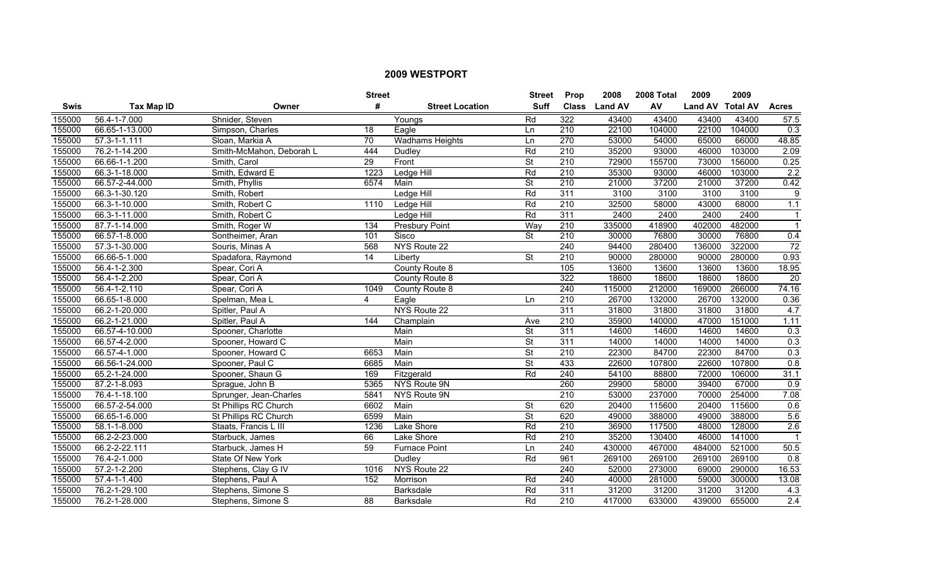|        |                    |                          | <b>Street</b>   |                        | <b>Street</b>            | <b>Prop</b>      | 2008           | 2008 Total | 2009             | 2009   |                  |
|--------|--------------------|--------------------------|-----------------|------------------------|--------------------------|------------------|----------------|------------|------------------|--------|------------------|
| Swis   | <b>Tax Map ID</b>  | Owner                    | #               | <b>Street Location</b> | <b>Suff</b>              | <b>Class</b>     | <b>Land AV</b> | AV         | Land AV Total AV |        | <b>Acres</b>     |
| 155000 | 56.4-1-7.000       | Shnider, Steven          |                 | Youngs                 | Rd                       | 322              | 43400          | 43400      | 43400            | 43400  | 57.5             |
| 155000 | 66.65-1-13.000     | Simpson, Charles         | 18              | Eagle                  | Ln                       | 210              | 22100          | 104000     | 22100            | 104000 | 0.3              |
| 155000 | $57.3 - 1 - 1.111$ | Sloan, Markia A          | 70              | <b>Wadhams Heights</b> | Ln                       | 270              | 53000          | 54000      | 65000            | 66000  | 48.85            |
| 155000 | 76.2-1-14.200      | Smith-McMahon, Deborah L | 444             | Dudley                 | Rd                       | 210              | 35200          | 93000      | 46000            | 103000 | 2.09             |
| 155000 | 66.66-1-1.200      | Smith, Carol             | 29              | Front                  | $\overline{\mathsf{St}}$ | 210              | 72900          | 155700     | 73000            | 156000 | 0.25             |
| 155000 | 66.3-1-18.000      | Smith, Edward E          | 1223            | <b>Ledge Hill</b>      | Rd                       | 210              | 35300          | 93000      | 46000            | 103000 | 2.2              |
| 155000 | 66.57-2-44.000     | Smith, Phyllis           | 6574            | Main                   | <b>St</b>                | 210              | 21000          | 37200      | 21000            | 37200  | 0.42             |
| 155000 | 66.3-1-30.120      | Smith, Robert            |                 | Ledge Hill             | Rd                       | 311              | 3100           | 3100       | 3100             | 3100   | 9                |
| 155000 | 66.3-1-10.000      | Smith, Robert C          | 1110            | Ledge Hill             | Rd                       | 210              | 32500          | 58000      | 43000            | 68000  | 1.1              |
| 155000 | 66.3-1-11.000      | Smith, Robert C          |                 | Ledge Hill             | Rd                       | $\overline{311}$ | 2400           | 2400       | 2400             | 2400   | $\mathbf{1}$     |
| 155000 | 87.7-1-14.000      | Smith, Roger W           | 134             | <b>Presbury Point</b>  | Way                      | $\overline{210}$ | 335000         | 418900     | 402000           | 482000 | $\mathbf{1}$     |
| 155000 | 66.57-1-8.000      | Sontheimer, Aran         | 101             | Sisco                  | $\overline{\mathsf{St}}$ | 210              | 30000          | 76800      | 30000            | 76800  | 0.4              |
| 155000 | 57.3-1-30.000      | Souris, Minas A          | 568             | NYS Route 22           |                          | 240              | 94400          | 280400     | 136000           | 322000 | $\overline{72}$  |
| 155000 | 66.66-5-1.000      | Spadafora, Raymond       | $\overline{14}$ | Liberty                | St                       | $\overline{210}$ | 90000          | 280000     | 90000            | 280000 | 0.93             |
| 155000 | 56.4-1-2.300       | Spear, Cori A            |                 | County Route 8         |                          | 105              | 13600          | 13600      | 13600            | 13600  | 18.95            |
| 155000 | 56.4-1-2.200       | Spear, Cori A            |                 | County Route 8         |                          | 322              | 18600          | 18600      | 18600            | 18600  | $\overline{20}$  |
| 155000 | 56.4-1-2.110       | Spear, Cori A            | 1049            | County Route 8         |                          | 240              | 115000         | 212000     | 169000           | 266000 | 74.16            |
| 155000 | 66.65-1-8.000      | Spelman, Mea L           | 4               | Eagle                  | Ln                       | 210              | 26700          | 132000     | 26700            | 132000 | 0.36             |
| 155000 | 66.2-1-20.000      | Spitler, Paul A          |                 | NYS Route 22           |                          | 311              | 31800          | 31800      | 31800            | 31800  | 4.7              |
| 155000 | 66.2-1-21.000      | Spitler, Paul A          | 144             | Champlain              | Ave                      | $\overline{210}$ | 35900          | 140000     | 47000            | 151000 | 1.11             |
| 155000 | 66.57-4-10.000     | Spooner, Charlotte       |                 | Main                   | <b>St</b>                | $\overline{311}$ | 14600          | 14600      | 14600            | 14600  | 0.3              |
| 155000 | 66.57-4-2.000      | Spooner, Howard C        |                 | Main                   | $\overline{\mathsf{St}}$ | 311              | 14000          | 14000      | 14000            | 14000  | $\overline{0.3}$ |
| 155000 | 66.57-4-1.000      | Spooner, Howard C        | 6653            | Main                   | $\overline{\mathsf{St}}$ | $\overline{210}$ | 22300          | 84700      | 22300            | 84700  | 0.3              |
| 155000 | 66.56-1-24.000     | Spooner, Paul C          | 6685            | Main                   | $\overline{\mathsf{St}}$ | 433              | 22600          | 107800     | 22600            | 107800 | 0.8              |
| 155000 | 65.2-1-24.000      | Spooner, Shaun G         | 169             | Fitzgerald             | Rd                       | 240              | 54100          | 88800      | 72000            | 106000 | 31.1             |
| 155000 | 87.2-1-8.093       | Sprague, John B          | 5365            | NYS Route 9N           |                          | 260              | 29900          | 58000      | 39400            | 67000  | 0.9              |
| 155000 | 76.4-1-18.100      | Sprunger, Jean-Charles   | 5841            | NYS Route 9N           |                          | $\overline{210}$ | 53000          | 237000     | 70000            | 254000 | 7.08             |
| 155000 | 66.57-2-54.000     | St Phillips RC Church    | 6602            | Main                   | St                       | 620              | 20400          | 115600     | 20400            | 115600 | 0.6              |
| 155000 | 66.65-1-6.000      | St Phillips RC Church    | 6599            | Main                   | $\overline{\mathsf{St}}$ | 620              | 49000          | 388000     | 49000            | 388000 | 5.6              |
| 155000 | 58.1-1-8.000       | Staats, Francis L III    | 1236            | Lake Shore             | Rd                       | 210              | 36900          | 117500     | 48000            | 128000 | 2.6              |
| 155000 | 66.2-2-23.000      | Starbuck, James          | 66              | Lake Shore             | Rd                       | 210              | 35200          | 130400     | 46000            | 141000 | $\mathbf{1}$     |
| 155000 | 66.2-2-22.111      | Starbuck, James H        | 59              | <b>Furnace Point</b>   | Ln                       | 240              | 430000         | 467000     | 484000           | 521000 | 50.5             |
| 155000 | 76.4-2-1.000       | State Of New York        |                 | Dudley                 | Rd                       | 961              | 269100         | 269100     | 269100           | 269100 | 0.8              |
| 155000 | 57.2-1-2.200       | Stephens, Clay G IV      | 1016            | NYS Route 22           |                          | 240              | 52000          | 273000     | 69000            | 290000 | 16.53            |
| 155000 | 57.4-1-1.400       | Stephens, Paul A         | 152             | Morrison               | Rd                       | $\overline{240}$ | 40000          | 281000     | 59000            | 300000 | 13.08            |
| 155000 | 76.2-1-29.100      | Stephens, Simone S       |                 | <b>Barksdale</b>       | Rd                       | $\overline{311}$ | 31200          | 31200      | 31200            | 31200  | 4.3              |
| 155000 | 76.2-1-28.000      | Stephens, Simone S       | 88              | Barksdale              | Rd                       | $\overline{210}$ | 417000         | 633000     | 439000           | 655000 | 2.4              |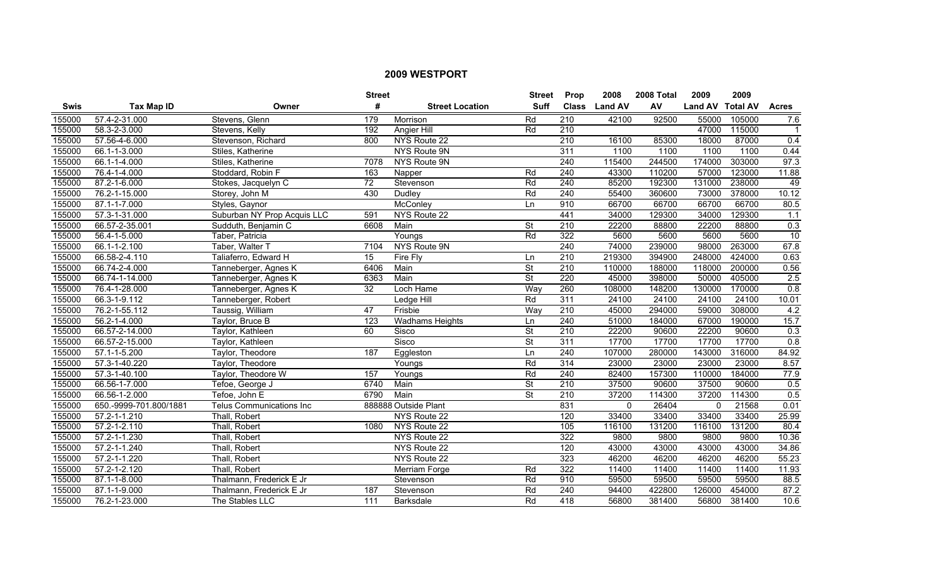|        |                        |                                 | <b>Street</b> |                        | <b>Street</b>            | <b>Prop</b>      | 2008           | 2008 Total | 2009             | 2009   |                |
|--------|------------------------|---------------------------------|---------------|------------------------|--------------------------|------------------|----------------|------------|------------------|--------|----------------|
| Swis   | <b>Tax Map ID</b>      | Owner                           | #             | <b>Street Location</b> | Suff                     | <b>Class</b>     | <b>Land AV</b> | AV         | Land AV Total AV |        | <b>Acres</b>   |
| 155000 | 57.4-2-31.000          | Stevens, Glenn                  | 179           | Morrison               | Rd                       | $\overline{210}$ | 42100          | 92500      | 55000            | 105000 | 7.6            |
| 155000 | 58.3-2-3.000           | Stevens, Kelly                  | 192           | Angier Hill            | Rd                       | 210              |                |            | 47000            | 115000 | $\overline{1}$ |
| 155000 | 57.56-4-6.000          | Stevenson, Richard              | 800           | NYS Route 22           |                          | 210              | 16100          | 85300      | 18000            | 87000  | 0.4            |
| 155000 | 66.1-1-3.000           | Stiles, Katherine               |               | NYS Route 9N           |                          | 311              | 1100           | 1100       | 1100             | 1100   | 0.44           |
| 155000 | 66.1-1-4.000           | Stiles, Katherine               | 7078          | NYS Route 9N           |                          | 240              | 115400         | 244500     | 174000           | 303000 | 97.3           |
| 155000 | 76.4-1-4.000           | Stoddard, Robin F               | 163           | Napper                 | Rd                       | 240              | 43300          | 110200     | 57000            | 123000 | 11.88          |
| 155000 | 87.2-1-6.000           | Stokes, Jacquelyn C             | 72            | Stevenson              | Rd                       | 240              | 85200          | 192300     | 131000           | 238000 | 49             |
| 155000 | 76.2-1-15.000          | Storey, John M                  | 430           | Dudley                 | Rd                       | $\overline{240}$ | 55400          | 360600     | 73000            | 378000 | 10.12          |
| 155000 | 87.1-1-7.000           | Styles, Gaynor                  |               | McConley               | <b>Ln</b>                | 910              | 66700          | 66700      | 66700            | 66700  | 80.5           |
| 155000 | 57.3-1-31.000          | Suburban NY Prop Acquis LLC     | 591           | NYS Route 22           |                          | 441              | 34000          | 129300     | 34000            | 129300 | 1.1            |
| 155000 | 66.57-2-35.001         | Sudduth, Benjamin C             | 6608          | Main                   | <b>St</b>                | 210              | 22200          | 88800      | 22200            | 88800  | 0.3            |
| 155000 | 56.4-1-5.000           | Taber, Patricia                 |               | Youngs                 | Rd                       | 322              | 5600           | 5600       | 5600             | 5600   | 10             |
| 155000 | 66.1-1-2.100           | Taber, Walter T                 | 7104          | NYS Route 9N           |                          | 240              | 74000          | 239000     | 98000            | 263000 | 67.8           |
| 155000 | 66.58-2-4.110          | Taliaferro, Edward H            | 15            | Fire Fly               | Ln                       | $\overline{210}$ | 219300         | 394900     | 248000           | 424000 | 0.63           |
| 155000 | 66.74-2-4.000          | Tanneberger, Agnes K            | 6406          | Main                   | $\overline{\mathsf{St}}$ | 210              | 110000         | 188000     | 118000           | 200000 | 0.56           |
| 155000 | 66.74-1-14.000         | Tanneberger, Agnes K            | 6363          | Main                   | $\overline{\mathsf{St}}$ | 220              | 45000          | 398000     | 50000            | 405000 | 2.5            |
| 155000 | 76.4-1-28.000          | Tanneberger, Agnes K            | 32            | Loch Hame              | Way                      | 260              | 108000         | 148200     | 130000           | 170000 | 0.8            |
| 155000 | 66.3-1-9.112           | Tanneberger, Robert             |               | Ledge Hill             | Rd                       | 311              | 24100          | 24100      | 24100            | 24100  | 10.01          |
| 155000 | 76.2-1-55.112          | Taussig, William                | 47            | Frisbie                | Way                      | 210              | 45000          | 294000     | 59000            | 308000 | 4.2            |
| 155000 | 56.2-1-4.000           | Taylor, Bruce B                 | 123           | <b>Wadhams Heights</b> | Ln                       | 240              | 51000          | 184000     | 67000            | 190000 | 15.7           |
| 155000 | 66.57-2-14.000         | Taylor, Kathleen                | 60            | Sisco                  | $\overline{\mathsf{St}}$ | 210              | 22200          | 90600      | 22200            | 90600  | 0.3            |
| 155000 | 66.57-2-15.000         | Taylor, Kathleen                |               | Sisco                  | $\overline{\mathsf{St}}$ | 311              | 17700          | 17700      | 17700            | 17700  | 0.8            |
| 155000 | 57.1-1-5.200           | Taylor, Theodore                | 187           | Eggleston              | Ln                       | 240              | 107000         | 280000     | 143000           | 316000 | 84.92          |
| 155000 | 57.3-1-40.220          | Taylor, Theodore                |               | Youngs                 | Rd                       | 314              | 23000          | 23000      | 23000            | 23000  | 8.57           |
| 155000 | 57.3-1-40.100          | Taylor, Theodore W              | 157           | Youngs                 | Rd                       | 240              | 82400          | 157300     | 110000           | 184000 | 77.9           |
| 155000 | 66.56-1-7.000          | Tefoe, George J                 | 6740          | Main                   | $\overline{\mathsf{St}}$ | $\overline{210}$ | 37500          | 90600      | 37500            | 90600  | 0.5            |
| 155000 | 66.56-1-2.000          | Tefoe, John E                   | 6790          | Main                   | <b>St</b>                | $\overline{210}$ | 37200          | 114300     | 37200            | 114300 | 0.5            |
| 155000 | 650.-9999-701.800/1881 | <b>Telus Communications Inc</b> |               | 888888 Outside Plant   |                          | 831              | 0              | 26404      | $\mathbf{0}$     | 21568  | 0.01           |
| 155000 | 57.2-1-1.210           | Thall, Robert                   |               | NYS Route 22           |                          | 120              | 33400          | 33400      | 33400            | 33400  | 25.99          |
| 155000 | $57.2 - 1 - 2.110$     | Thall, Robert                   | 1080          | NYS Route 22           |                          | 105              | 116100         | 131200     | 116100           | 131200 | 80.4           |
| 155000 | 57.2-1-1.230           | Thall, Robert                   |               | NYS Route 22           |                          | 322              | 9800           | 9800       | 9800             | 9800   | 10.36          |
| 155000 | $57.2 - 1 - 1.240$     | Thall, Robert                   |               | NYS Route 22           |                          | 120              | 43000          | 43000      | 43000            | 43000  | 34.86          |
| 155000 | 57.2-1-1.220           | Thall, Robert                   |               | NYS Route 22           |                          | 323              | 46200          | 46200      | 46200            | 46200  | 55.23          |
| 155000 | 57.2-1-2.120           | Thall, Robert                   |               | Merriam Forge          | Rd                       | 322              | 11400          | 11400      | 11400            | 11400  | 11.93          |
| 155000 | 87.1-1-8.000           | Thalmann, Frederick E Jr        |               | Stevenson              | Rd                       | 910              | 59500          | 59500      | 59500            | 59500  | 88.5           |
| 155000 | 87.1-1-9.000           | Thalmann, Frederick E Jr        | 187           | Stevenson              | Rd                       | 240              | 94400          | 422800     | 126000           | 454000 | 87.2           |
| 155000 | 76.2-1-23.000          | The Stables LLC                 | 111           | Barksdale              | Rd                       | 418              | 56800          | 381400     | 56800            | 381400 | 10.6           |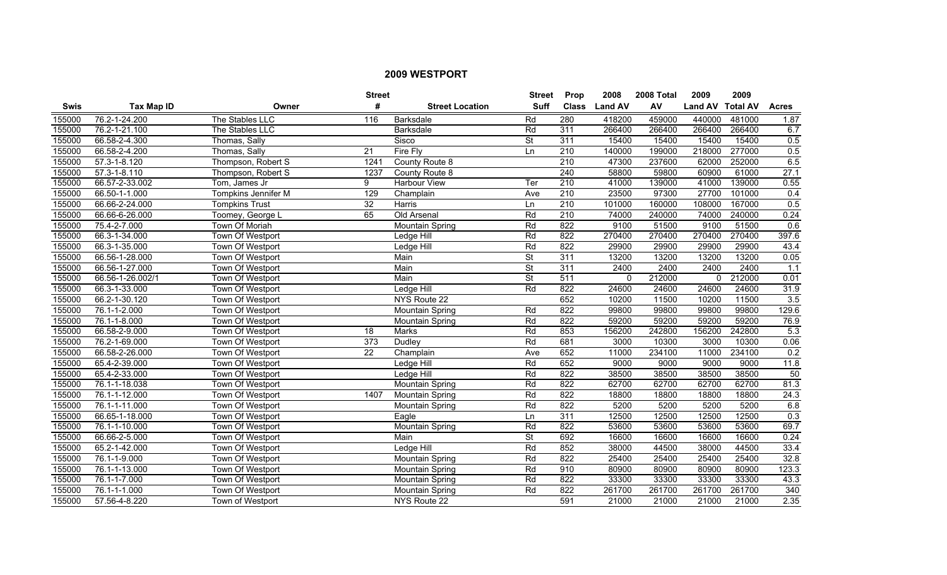|        |                    |                         | <b>Street</b>   |                        | <b>Street</b>            | Prop             | 2008           | 2008 Total | 2009             | 2009   |              |
|--------|--------------------|-------------------------|-----------------|------------------------|--------------------------|------------------|----------------|------------|------------------|--------|--------------|
| Swis   | Tax Map ID         | Owner                   | #               | <b>Street Location</b> | Suff                     | <b>Class</b>     | <b>Land AV</b> | AV         | Land AV Total AV |        | <b>Acres</b> |
| 155000 | 76.2-1-24.200      | The Stables LLC         | 116             | Barksdale              | Rd                       | 280              | 418200         | 459000     | 440000           | 481000 | 1.87         |
| 155000 | 76.2-1-21.100      | The Stables LLC         |                 | Barksdale              | Rd                       | 311              | 266400         | 266400     | 266400           | 266400 | 6.7          |
| 155000 | 66.58-2-4.300      | Thomas, Sally           |                 | Sisco                  | $\overline{\mathsf{St}}$ | 311              | 15400          | 15400      | 15400            | 15400  | 0.5          |
| 155000 | 66.58-2-4.200      | Thomas, Sally           | 21              | Fire Fly               | Ln                       | 210              | 140000         | 199000     | 218000           | 277000 | 0.5          |
| 155000 | 57.3-1-8.120       | Thompson, Robert S      | 1241            | County Route 8         |                          | 210              | 47300          | 237600     | 62000            | 252000 | 6.5          |
| 155000 | $57.3 - 1 - 8.110$ | Thompson, Robert S      | 1237            | County Route 8         |                          | 240              | 58800          | 59800      | 60900            | 61000  | 27.1         |
| 155000 | 66.57-2-33.002     | Tom, James Jr           | 9               | <b>Harbour View</b>    | Ter                      | 210              | 41000          | 139000     | 41000            | 139000 | 0.55         |
| 155000 | 66.50-1-1.000      | Tompkins Jennifer M     | 129             | Champlain              | Ave                      | 210              | 23500          | 97300      | 27700            | 101000 | 0.4          |
| 155000 | 66.66-2-24.000     | <b>Tompkins Trust</b>   | 32              | Harris                 | Ln                       | $\overline{210}$ | 101000         | 160000     | 108000           | 167000 | 0.5          |
| 155000 | 66.66-6-26.000     | Toomey, George L        | 65              | Old Arsenal            | Rd                       | 210              | 74000          | 240000     | 74000            | 240000 | 0.24         |
| 155000 | 75.4-2-7.000       | Town Of Moriah          |                 | <b>Mountain Spring</b> | Rd                       | 822              | 9100           | 51500      | 9100             | 51500  | 0.6          |
| 155000 | 66.3-1-34.000      | Town Of Westport        |                 | Ledge Hill             | Rd                       | 822              | 270400         | 270400     | 270400           | 270400 | 397.6        |
| 155000 | 66.3-1-35.000      | Town Of Westport        |                 | Ledge Hill             | Rd                       | 822              | 29900          | 29900      | 29900            | 29900  | 43.4         |
| 155000 | 66.56-1-28.000     | Town Of Westport        |                 | Main                   | $\overline{\mathsf{St}}$ | 311              | 13200          | 13200      | 13200            | 13200  | 0.05         |
| 155000 | 66.56-1-27.000     | Town Of Westport        |                 | Main                   | $\overline{\mathsf{St}}$ | 311              | 2400           | 2400       | 2400             | 2400   | 1.1          |
| 155000 | 66.56-1-26.002/1   | <b>Town Of Westport</b> |                 | Main                   | <b>St</b>                | 511              | $\Omega$       | 212000     | $\mathbf{0}$     | 212000 | 0.01         |
| 155000 | 66.3-1-33.000      | Town Of Westport        |                 | <b>Ledge Hill</b>      | Rd                       | 822              | 24600          | 24600      | 24600            | 24600  | 31.9         |
| 155000 | 66.2-1-30.120      | Town Of Westport        |                 | NYS Route 22           |                          | 652              | 10200          | 11500      | 10200            | 11500  | 3.5          |
| 155000 | 76.1-1-2.000       | Town Of Westport        |                 | <b>Mountain Spring</b> | Rd                       | 822              | 99800          | 99800      | 99800            | 99800  | 129.6        |
| 155000 | 76.1-1-8.000       | Town Of Westport        |                 | Mountain Spring        | Rd                       | 822              | 59200          | 59200      | 59200            | 59200  | 76.9         |
| 155000 | 66.58-2-9.000      | Town Of Westport        | 18              | Marks                  | Rd                       | 853              | 156200         | 242800     | 156200           | 242800 | 5.3          |
| 155000 | 76.2-1-69.000      | Town Of Westport        | 373             | Dudley                 | Rd                       | 681              | 3000           | 10300      | 3000             | 10300  | 0.06         |
| 155000 | 66.58-2-26.000     | Town Of Westport        | $\overline{22}$ | Champlain              | Ave                      | 652              | 11000          | 234100     | 11000            | 234100 | 0.2          |
| 155000 | 65.4-2-39.000      | Town Of Westport        |                 | Ledge Hill             | Rd                       | 652              | 9000           | 9000       | 9000             | 9000   | 11.8         |
| 155000 | 65.4-2-33.000      | Town Of Westport        |                 | Ledge Hill             | Rd                       | 822              | 38500          | 38500      | 38500            | 38500  | 50           |
| 155000 | 76.1-1-18.038      | Town Of Westport        |                 | Mountain Spring        | Rd                       | 822              | 62700          | 62700      | 62700            | 62700  | 81.3         |
| 155000 | 76.1-1-12.000      | Town Of Westport        | 1407            | Mountain Spring        | Rd                       | 822              | 18800          | 18800      | 18800            | 18800  | 24.3         |
| 155000 | 76.1-1-11.000      | Town Of Westport        |                 | Mountain Spring        | Rd                       | 822              | 5200           | 5200       | 5200             | 5200   | 6.8          |
| 155000 | 66.65-1-18.000     | Town Of Westport        |                 | Eagle                  | Ln                       | 311              | 12500          | 12500      | 12500            | 12500  | 0.3          |
| 155000 | 76.1-1-10.000      | Town Of Westport        |                 | Mountain Spring        | Rd                       | 822              | 53600          | 53600      | 53600            | 53600  | 69.7         |
| 155000 | 66.66-2-5.000      | Town Of Westport        |                 | Main                   | <b>St</b>                | 692              | 16600          | 16600      | 16600            | 16600  | 0.24         |
| 155000 | 65.2-1-42.000      | Town Of Westport        |                 | Ledge Hill             | Rd                       | 852              | 38000          | 44500      | 38000            | 44500  | 33.4         |
| 155000 | 76.1-1-9.000       | Town Of Westport        |                 | Mountain Spring        | Rd                       | 822              | 25400          | 25400      | 25400            | 25400  | 32.8         |
| 155000 | 76.1-1-13.000      | Town Of Westport        |                 | <b>Mountain Spring</b> | Rd                       | 910              | 80900          | 80900      | 80900            | 80900  | 123.3        |
| 155000 | 76.1-1-7.000       | Town Of Westport        |                 | <b>Mountain Spring</b> | Rd                       | 822              | 33300          | 33300      | 33300            | 33300  | 43.3         |
| 155000 | 76.1-1-1.000       | Town Of Westport        |                 | <b>Mountain Spring</b> | Rd                       | 822              | 261700         | 261700     | 261700           | 261700 | 340          |
| 155000 | 57.56-4-8.220      | Town of Westport        |                 | NYS Route 22           |                          | 591              | 21000          | 21000      | 21000            | 21000  | 2.35         |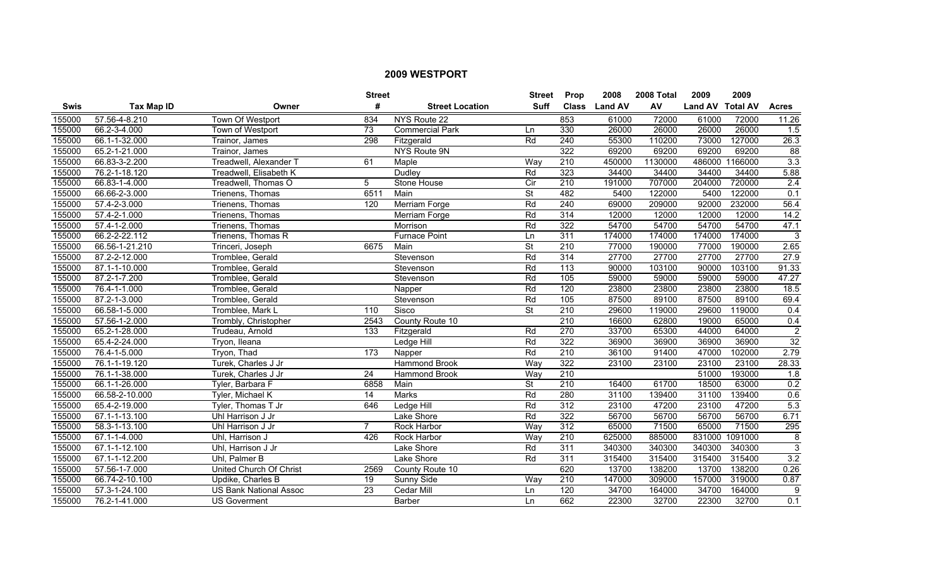|             |                   |                               | <b>Street</b>   |                        | <b>Street</b> | Prop             | 2008           | 2008 Total | 2009             | 2009    |                  |
|-------------|-------------------|-------------------------------|-----------------|------------------------|---------------|------------------|----------------|------------|------------------|---------|------------------|
| <b>Swis</b> | <b>Tax Map ID</b> | Owner                         | #               | <b>Street Location</b> | <b>Suff</b>   | <b>Class</b>     | <b>Land AV</b> | AV         | Land AV Total AV |         | <b>Acres</b>     |
| 155000      | 57.56-4-8.210     | Town Of Westport              | 834             | NYS Route 22           |               | 853              | 61000          | 72000      | 61000            | 72000   | 11.26            |
| 155000      | 66.2-3-4.000      | Town of Westport              | $\overline{73}$ | <b>Commercial Park</b> | Ln            | 330              | 26000          | 26000      | 26000            | 26000   | 1.5              |
| 155000      | 66.1-1-32.000     | Trainor, James                | 298             | Fitzgerald             | Rd            | 240              | 55300          | 110200     | 73000            | 127000  | 26.3             |
| 155000      | 65.2-1-21.000     | Trainor, James                |                 | NYS Route 9N           |               | 322              | 69200          | 69200      | 69200            | 69200   | $\overline{88}$  |
| 155000      | 66.83-3-2.200     | Treadwell, Alexander 1        | 61              | Maple                  | Way           | 210              | 450000         | 1130000    | 486000           | 1166000 | 3.3              |
| 155000      | 76.2-1-18.120     | Treadwell, Elisabeth K        |                 | Dudley                 | Rd            | 323              | 34400          | 34400      | 34400            | 34400   | 5.88             |
| 155000      | 66.83-1-4.000     | Treadwell, Thomas O           | 5               | <b>Stone House</b>     | Cir           | 210              | 191000         | 707000     | 204000           | 720000  | 2.4              |
| 155000      | 66.66-2-3.000     | Trienens, Thomas              | 6511            | Main                   | St            | 482              | 5400           | 122000     | 5400             | 122000  | 0.1              |
| 155000      | 57.4-2-3.000      | Trienens, Thomas              | 120             | Merriam Forge          | Rd            | 240              | 69000          | 209000     | 92000            | 232000  | 56.4             |
| 155000      | 57.4-2-1.000      | Trienens, Thomas              |                 | Merriam Forge          | Rd            | 314              | 12000          | 12000      | 12000            | 12000   | 14.2             |
| 155000      | 57.4-1-2.000      | Trienens, Thomas              |                 | Morrison               | Rd            | 322              | 54700          | 54700      | 54700            | 54700   | 47.1             |
| 155000      | 66.2-2-22.112     | Trienens, Thomas R            |                 | <b>Furnace Point</b>   | Ln            | 311              | 174000         | 174000     | 174000           | 174000  | 3                |
| 155000      | 66.56-1-21.210    | Trinceri, Joseph              | 6675            | Main                   | <b>St</b>     | $\overline{210}$ | 77000          | 190000     | 77000            | 190000  | 2.65             |
| 155000      | 87.2-2-12.000     | Tromblee, Gerald              |                 | Stevenson              | Rd            | 314              | 27700          | 27700      | 27700            | 27700   | 27.9             |
| 155000      | 87.1-1-10.000     | Tromblee, Gerald              |                 | Stevenson              | Rd            | $\overline{113}$ | 90000          | 103100     | 90000            | 103100  | 91.33            |
| 155000      | 87.2-1-7.200      | Tromblee, Gerald              |                 | Stevenson              | Rd            | 105              | 59000          | 59000      | 59000            | 59000   | 47.27            |
| 155000      | 76.4-1-1.000      | Tromblee, Gerald              |                 | Napper                 | Rd            | 120              | 23800          | 23800      | 23800            | 23800   | 18.5             |
| 155000      | 87.2-1-3.000      | Tromblee, Gerald              |                 | Stevenson              | Rd            | 105              | 87500          | 89100      | 87500            | 89100   | 69.4             |
| 155000      | 66.58-1-5.000     | Tromblee, Mark L              | 110             | Sisco                  | <b>St</b>     | 210              | 29600          | 119000     | 29600            | 119000  | 0.4              |
| 155000      | 57.56-1-2.000     | Trombly, Christopher          | 2543            | County Route 10        |               | $\overline{210}$ | 16600          | 62800      | 19000            | 65000   | 0.4              |
| 155000      | 65.2-1-28.000     | Trudeau, Arnold               | 133             | Fitzgerald             | Rd            | 270              | 33700          | 65300      | 44000            | 64000   | 2                |
| 155000      | 65.4-2-24.000     | Tryon, Ileana                 |                 | Ledge Hill             | Rd            | 322              | 36900          | 36900      | 36900            | 36900   | 32               |
| 155000      | 76.4-1-5.000      | Tryon, Thad                   | 173             | Napper                 | Rd            | $\overline{210}$ | 36100          | 91400      | 47000            | 102000  | 2.79             |
| 155000      | 76.1-1-19.120     | Turek, Charles J Jr           |                 | <b>Hammond Brook</b>   | Way           | 322              | 23100          | 23100      | 23100            | 23100   | 28.33            |
| 155000      | 76.1-1-38.000     | Turek, Charles J Jr           | $\overline{24}$ | Hammond Brook          | Way           | $\overline{210}$ |                |            | 51000            | 193000  | 1.8              |
| 155000      | 66.1-1-26.000     | Tyler, Barbara F              | 6858            | Main                   | St            | $\overline{210}$ | 16400          | 61700      | 18500            | 63000   | 0.2              |
| 155000      | 66.58-2-10.000    | Tyler, Michael K              | $\overline{14}$ | <b>Marks</b>           | Rd            | 280              | 31100          | 139400     | 31100            | 139400  | 0.6              |
| 155000      | 65.4-2-19.000     | Tyler, Thomas T Jr            | 646             | Ledge Hill             | Rd            | 312              | 23100          | 47200      | 23100            | 47200   | 5.3              |
| 155000      | 67.1-1-13.100     | Uhl Harrison J Jr             |                 | Lake Shore             | Rd            | 322              | 56700          | 56700      | 56700            | 56700   | 6.71             |
| 155000      | 58.3-1-13.100     | Uhl Harrison J Jr             | $\overline{7}$  | <b>Rock Harbor</b>     | Way           | 312              | 65000          | 71500      | 65000            | 71500   | 295              |
| 155000      | 67.1-1-4.000      | Uhl, Harrison J               | 426             | <b>Rock Harbor</b>     | Way           | 210              | 625000         | 885000     | 831000           | 1091000 | 8                |
| 155000      | 67.1-1-12.100     | Uhl, Harrison J Jr            |                 | Lake Shore             | Rd            | 311              | 340300         | 340300     | 340300           | 340300  | 3                |
| 155000      | 67.1-1-12.200     | Uhl, Palmer B                 |                 | Lake Shore             | Rd            | 311              | 315400         | 315400     | 315400           | 315400  | $\overline{3.2}$ |
| 155000      | 57.56-1-7.000     | United Church Of Christ       | 2569            | County Route 10        |               | 620              | 13700          | 138200     | 13700            | 138200  | 0.26             |
| 155000      | 66.74-2-10.100    | Updike, Charles B             | 19              | Sunny Side             | Way           | $\overline{210}$ | 147000         | 309000     | 157000           | 319000  | 0.87             |
| 155000      | 57.3-1-24.100     | <b>US Bank National Assoc</b> | 23              | Cedar Mill             | Ln            | 120              | 34700          | 164000     | 34700            | 164000  | 9                |
| 155000      | 76.2-1-41.000     | <b>US Goverment</b>           |                 | Barber                 | Ln            | 662              | 22300          | 32700      | 22300            | 32700   | 0.1              |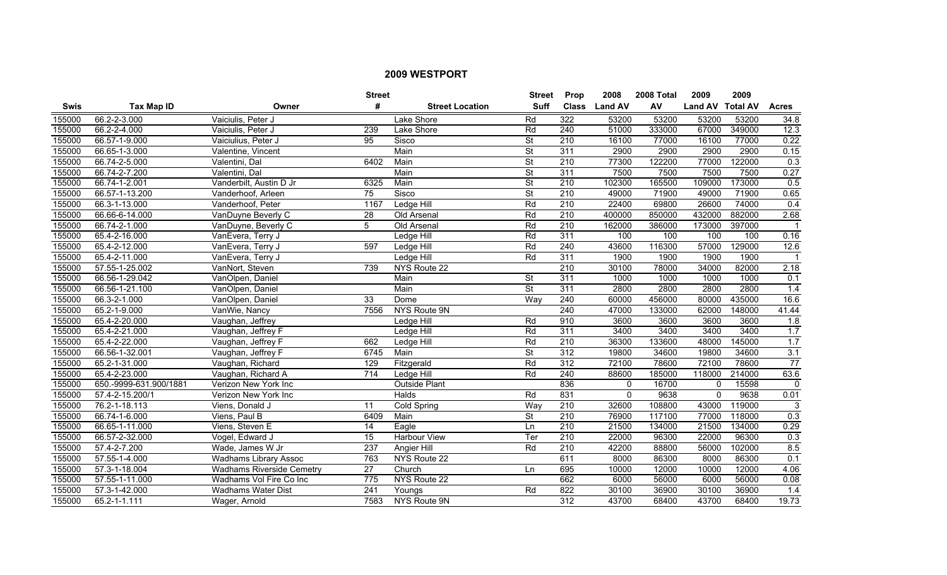|             |                        |                                  | <b>Street</b>    |                        | <b>Street</b>            | <b>Prop</b>      | 2008           | 2008 Total | 2009             | 2009   |              |
|-------------|------------------------|----------------------------------|------------------|------------------------|--------------------------|------------------|----------------|------------|------------------|--------|--------------|
| <b>Swis</b> | <b>Tax Map ID</b>      | Owner                            | #                | <b>Street Location</b> | <b>Suff</b>              | <b>Class</b>     | <b>Land AV</b> | AV         | Land AV Total AV |        | <b>Acres</b> |
| 155000      | 66.2-2-3.000           | Vaiciulis, Peter J               |                  | Lake Shore             | Rd                       | 322              | 53200          | 53200      | 53200            | 53200  | 34.8         |
| 155000      | 66.2-2-4.000           | Vaiciulis, Peter J               | 239              | Lake Shore             | Rd                       | 240              | 51000          | 333000     | 67000            | 349000 | 12.3         |
| 155000      | 66.57-1-9.000          | Vaiciulius, Peter J              | 95               | Sisco                  | $\overline{\mathsf{St}}$ | 210              | 16100          | 77000      | 16100            | 77000  | 0.22         |
| 155000      | 66.65-1-3.000          | Valentine, Vincent               |                  | Main                   | $\overline{\mathsf{St}}$ | 311              | 2900           | 2900       | 2900             | 2900   | 0.15         |
| 155000      | 66.74-2-5.000          | Valentini, Dal                   | 6402             | Main                   | $\overline{\mathsf{St}}$ | 210              | 77300          | 122200     | 77000            | 122000 | 0.3          |
| 155000      | 66.74-2-7.200          | Valentini, Dal                   |                  | Main                   | $\overline{\mathsf{St}}$ | 311              | 7500           | 7500       | 7500             | 7500   | 0.27         |
| 155000      | 66.74-1-2.001          | Vanderbilt, Austin D Jr          | 6325             | Main                   | $\overline{\mathsf{St}}$ | 210              | 102300         | 165500     | 109000           | 173000 | 0.5          |
| 155000      | 66.57-1-13.200         | Vanderhoof, Arleen               | 75               | Sisco                  | $\overline{\mathsf{St}}$ | 210              | 49000          | 71900      | 49000            | 71900  | 0.65         |
| 155000      | 66.3-1-13.000          | Vanderhoof, Peter                | 1167             | Ledge Hill             | Rd                       | 210              | 22400          | 69800      | 26600            | 74000  | 0.4          |
| 155000      | 66.66-6-14.000         | VanDuyne Beverly C               | 28               | Old Arsenal            | Rd                       | 210              | 400000         | 850000     | 432000           | 882000 | 2.68         |
| 155000      | 66.74-2-1.000          | VanDuyne, Beverly C              | 5                | Old Arsenal            | Rd                       | $\overline{210}$ | 162000         | 386000     | 173000           | 397000 |              |
| 155000      | 65.4-2-16.000          | VanEvera, Terry J                |                  | <b>Ledge Hill</b>      | Rd                       | 311              | 100            | 100        | 100              | 100    | 0.16         |
| 155000      | 65.4-2-12.000          | VanEvera, Terry J                | 597              | Ledge Hill             | Rd                       | 240              | 43600          | 116300     | 57000            | 129000 | 12.6         |
| 155000      | 65.4-2-11.000          | VanEvera, Terry J                |                  | Ledge Hill             | Rd                       | 311              | 1900           | 1900       | 1900             | 1900   |              |
| 155000      | 57.55-1-25.002         | VanNort, Steven                  | 739              | NYS Route 22           |                          | $\overline{210}$ | 30100          | 78000      | 34000            | 82000  | 2.18         |
| 155000      | 66.56-1-29.042         | VanOlpen, Daniel                 |                  | Main                   | $\overline{\mathsf{St}}$ | 311              | 1000           | 1000       | 1000             | 1000   | 0.1          |
| 155000      | 66.56-1-21.100         | VanOlpen, Daniel                 |                  | Main                   | $\overline{\mathsf{St}}$ | 311              | 2800           | 2800       | 2800             | 2800   | 1.4          |
| 155000      | 66.3-2-1.000           | VanOlpen, Daniel                 | 33               | Dome                   | Wav                      | 240              | 60000          | 456000     | 80000            | 435000 | 16.6         |
| 155000      | 65.2-1-9.000           | VanWie, Nancy                    | 7556             | NYS Route 9N           |                          | 240              | 47000          | 133000     | 62000            | 148000 | 41.44        |
| 155000      | 65.4-2-20.000          | Vaughan, Jeffrey                 |                  | Ledge Hill             | Rd                       | 910              | 3600           | 3600       | 3600             | 3600   | 1.8          |
| 155000      | 65.4-2-21.000          | Vaughan, Jeffrey F               |                  | Ledge Hill             | Rd                       | 311              | 3400           | 3400       | 3400             | 3400   | 1.7          |
| 155000      | 65.4-2-22.000          | Vaughan, Jeffrey F               | 662              | Ledge Hill             | Rd                       | $\overline{210}$ | 36300          | 133600     | 48000            | 145000 | 1.7          |
| 155000      | 66.56-1-32.001         | Vaughan, Jeffrey F               | 6745             | Main                   | $\overline{\mathsf{St}}$ | 312              | 19800          | 34600      | 19800            | 34600  | 3.1          |
| 155000      | 65.2-1-31.000          | Vaughan, Richard                 | 129              | Fitzgerald             | Rd                       | 312              | 72100          | 78600      | 72100            | 78600  | 77           |
| 155000      | 65.4-2-23.000          | Vaughan, Richard A               | $\overline{714}$ | Ledge Hill             | Rd                       | 240              | 88600          | 185000     | 118000           | 214000 | 63.6         |
| 155000      | 650.-9999-631.900/1881 | Verizon New York Inc             |                  | <b>Outside Plant</b>   |                          | 836              | $\mathbf{0}$   | 16700      | $\mathbf{0}$     | 15598  | $\Omega$     |
| 155000      | 57.4-2-15.200/1        | Verizon New York Inc             |                  | <b>Halds</b>           | Rd                       | 831              | $\Omega$       | 9638       | $\mathbf 0$      | 9638   | 0.01         |
| 155000      | 76.2-1-18.113          | Viens, Donald J                  | 11               | Cold Spring            | Way                      | 210              | 32600          | 108800     | 43000            | 119000 | 3            |
| 155000      | 66.74-1-6.000          | Viens, Paul B                    | 6409             | Main                   | $\overline{\mathsf{St}}$ | 210              | 76900          | 117100     | 77000            | 118000 | 0.3          |
| 155000      | 66.65-1-11.000         | Viens, Steven E                  | 14               | Eagle                  | Ln                       | 210              | 21500          | 134000     | 21500            | 134000 | 0.29         |
| 155000      | 66.57-2-32.000         | Vogel, Edward J                  | 15               | Harbour View           | Ter                      | 210              | 22000          | 96300      | 22000            | 96300  | 0.3          |
| 155000      | 57.4-2-7.200           | Wade, James W Jr                 | 237              | <b>Angier Hill</b>     | Rd                       | 210              | 42200          | 88800      | 56000            | 102000 | 8.5          |
| 155000      | 57.55-1-4.000          | <b>Wadhams Library Assoc</b>     | 763              | NYS Route 22           |                          | 611              | 8000           | 86300      | 8000             | 86300  | 0.1          |
| 155000      | 57.3-1-18.004          | <b>Wadhams Riverside Cemetry</b> | 27               | Church                 | Ln                       | 695              | 10000          | 12000      | 10000            | 12000  | 4.06         |
| 155000      | 57.55-1-11.000         | Wadhams Vol Fire Co Inc          | 775              | NYS Route 22           |                          | 662              | 6000           | 56000      | 6000             | 56000  | 0.08         |
| 155000      | 57.3-1-42.000          | <b>Wadhams Water Dist</b>        | 241              | Youngs                 | Rd                       | 822              | 30100          | 36900      | 30100            | 36900  | 1.4          |
| 155000      | 65.2-1-1.111           | Wager, Arnold                    | 7583             | NYS Route 9N           |                          | 312              | 43700          | 68400      | 43700            | 68400  | 19.73        |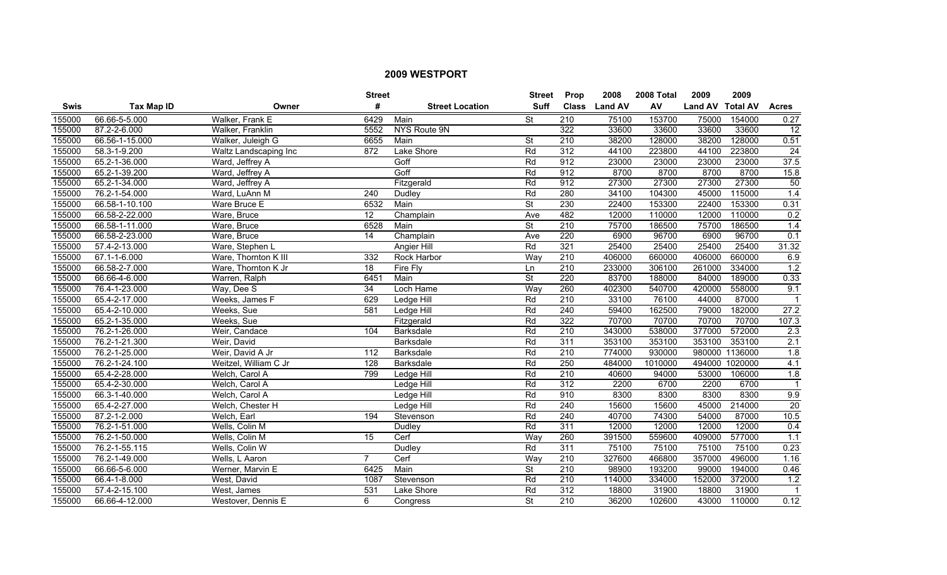|             |                   |                       | <b>Street</b>   |                        | <b>Street</b>            | <b>Prop</b>      | 2008           | 2008 Total | 2009             | 2009           |                  |
|-------------|-------------------|-----------------------|-----------------|------------------------|--------------------------|------------------|----------------|------------|------------------|----------------|------------------|
| <b>Swis</b> | <b>Tax Map ID</b> | Owner                 | #               | <b>Street Location</b> | <b>Suff</b>              | <b>Class</b>     | <b>Land AV</b> | AV         | Land AV Total AV |                | <b>Acres</b>     |
| 155000      | 66.66-5-5.000     | Walker, Frank E       | 6429            | Main                   | $\overline{\mathsf{St}}$ | $\overline{210}$ | 75100          | 153700     | 75000            | 154000         | 0.27             |
| 155000      | 87.2-2-6.000      | Walker, Franklin      | 5552            | NYS Route 9N           |                          | 322              | 33600          | 33600      | 33600            | 33600          | 12               |
| 155000      | 66.56-1-15.000    | Walker, Juleigh G     | 6655            | Main                   | $\overline{\mathsf{St}}$ | 210              | 38200          | 128000     | 38200            | 128000         | 0.51             |
| 155000      | 58.3-1-9.200      | Waltz Landscaping Inc | 872             | Lake Shore             | Rd                       | 312              | 44100          | 223800     | 44100            | 223800         | $\overline{24}$  |
| 155000      | 65.2-1-36.000     | Ward, Jeffrey A       |                 | Goff                   | Rd                       | 912              | 23000          | 23000      | 23000            | 23000          | 37.5             |
| 155000      | 65.2-1-39.200     | Ward, Jeffrey A       |                 | Goff                   | Rd                       | 912              | 8700           | 8700       | 8700             | 8700           | 15.8             |
| 155000      | 65.2-1-34.000     | Ward, Jeffrey A       |                 | Fitzgerald             | Rd                       | 912              | 27300          | 27300      | 27300            | 27300          | 50               |
| 155000      | 76.2-1-54.000     | Ward, LuAnn M         | 240             | Dudley                 | Rd                       | 280              | 34100          | 104300     | 45000            | 115000         | 1.4              |
| 155000      | 66.58-1-10.100    | Ware Bruce E          | 6532            | Main                   | $\overline{\mathsf{St}}$ | 230              | 22400          | 153300     | 22400            | 153300         | 0.31             |
| 155000      | 66.58-2-22.000    | Ware, Bruce           | 12              | Champlain              | Ave                      | 482              | 12000          | 110000     | 12000            | 110000         | 0.2              |
| 155000      | 66.58-1-11.000    | Ware, Bruce           | 6528            | Main                   | St                       | 210              | 75700          | 186500     | 75700            | 186500         | 1.4              |
| 155000      | 66.58-2-23.000    | Ware, Bruce           | $\overline{14}$ | Champlain              | Ave                      | 220              | 6900           | 96700      | 6900             | 96700          | 0.1              |
| 155000      | 57.4-2-13.000     | Ware, Stephen L       |                 | Angier Hill            | Rd                       | 321              | 25400          | 25400      | 25400            | 25400          | 31.32            |
| 155000      | 67.1-1-6.000      | Ware, Thornton K III  | 332             | Rock Harbor            | Way                      | $\overline{210}$ | 406000         | 660000     | 406000           | 660000         | 6.9              |
| 155000      | 66.58-2-7.000     | Ware, Thornton K Jr   | $\overline{18}$ | Fire Fly               | Ln                       | $\overline{210}$ | 233000         | 306100     | 261000           | 334000         | 1.2              |
| 155000      | 66.66-4-6.000     | Warren, Ralph         | 6451            | Main                   | $\overline{\mathsf{St}}$ | 220              | 83700          | 188000     | 84000            | 189000         | 0.33             |
| 155000      | 76.4-1-23.000     | Way, Dee S            | 34              | Loch Hame              | Way                      | 260              | 402300         | 540700     | 420000           | 558000         | 9.1              |
| 155000      | 65.4-2-17.000     | Weeks, James F        | 629             | Ledge Hill             | Rd                       | 210              | 33100          | 76100      | 44000            | 87000          | $\mathbf 1$      |
| 155000      | 65.4-2-10.000     | Weeks, Sue            | 581             | Ledge Hill             | Rd                       | 240              | 59400          | 162500     | 79000            | 182000         | 27.2             |
| 155000      | 65.2-1-35.000     | Weeks, Sue            |                 | Fitzgerald             | Rd                       | 322              | 70700          | 70700      | 70700            | 70700          | 107.3            |
| 155000      | 76.2-1-26.000     | Weir, Candace         | 104             | <b>Barksdale</b>       | Rd                       | $\overline{210}$ | 343000         | 538000     | 377000           | 572000         | 2.3              |
| 155000      | 76.2-1-21.300     | Weir, David           |                 | Barksdale              | Rd                       | $\overline{311}$ | 353100         | 353100     | 353100           | 353100         | 2.1              |
| 155000      | 76.2-1-25.000     | Weir, David A Jr      | 112             | <b>Barksdale</b>       | Rd                       | $\overline{210}$ | 774000         | 930000     | 980000           | 1136000        | 1.8              |
| 155000      | 76.2-1-24.100     | Weitzel, William C Jr | 128             | Barksdale              | Rd                       | 250              | 484000         | 1010000    |                  | 494000 1020000 | 4.1              |
| 155000      | 65.4-2-28.000     | Welch, Carol A        | 799             | Ledge Hill             | Rd                       | 210              | 40600          | 94000      | 53000            | 106000         | 1.8              |
| 155000      | 65.4-2-30.000     | Welch, Carol A        |                 | Ledge Hill             | Rd                       | 312              | 2200           | 6700       | 2200             | 6700           | $\mathbf{1}$     |
| 155000      | 66.3-1-40.000     | Welch, Carol A        |                 | Ledge Hill             | Rd                       | 910              | 8300           | 8300       | 8300             | 8300           | 9.9              |
| 155000      | 65.4-2-27.000     | Welch, Chester H      |                 | Ledge Hill             | Rd                       | 240              | 15600          | 15600      | 45000            | 214000         | 20               |
| 155000      | 87.2-1-2.000      | Welch, Earl           | 194             | Stevenson              | Rd                       | 240              | 40700          | 74300      | 54000            | 87000          | 10.5             |
| 155000      | 76.2-1-51.000     | Wells, Colin M        |                 | Dudley                 | Rd                       | 311              | 12000          | 12000      | 12000            | 12000          | 0.4              |
| 155000      | 76.2-1-50.000     | Wells, Colin M        | 15              | Cerf                   | Way                      | 260              | 391500         | 559600     | 409000           | 577000         | 1.1              |
| 155000      | 76.2-1-55.115     | Wells, Colin W        |                 | <b>Dudley</b>          | Rd                       | 311              | 75100          | 75100      | 75100            | 75100          | 0.23             |
| 155000      | 76.2-1-49.000     | Wells, L Aaron        | $\overline{7}$  | Cerf                   | Way                      | 210              | 327600         | 466800     | 357000           | 496000         | 1.16             |
| 155000      | 66.66-5-6.000     | Werner, Marvin E      | 6425            | Main                   | $\overline{\mathsf{St}}$ | $\overline{210}$ | 98900          | 193200     | 99000            | 194000         | 0.46             |
| 155000      | 66.4-1-8.000      | West, David           | 1087            | Stevenson              | Rd                       | $\overline{210}$ | 114000         | 334000     | 152000           | 372000         | $\overline{1.2}$ |
| 155000      | 57.4-2-15.100     | West, James           | 531             | Lake Shore             | Rd                       | $\overline{312}$ | 18800          | 31900      | 18800            | 31900          |                  |
| 155000      | 66.66-4-12.000    | Westover, Dennis E    | 6               | Congress               | $\overline{\mathsf{St}}$ | $\overline{210}$ | 36200          | 102600     | 43000            | 110000         | 0.12             |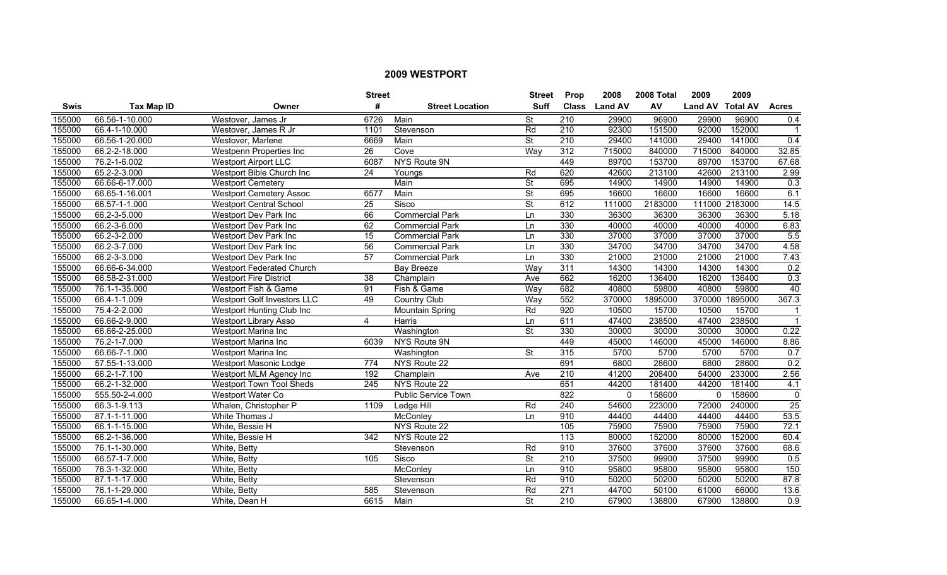|             |                   |                                  | <b>Street</b>    |                            | <b>Street</b>            | Prop             | 2008           | 2008 Total | 2009             | 2009           |                  |
|-------------|-------------------|----------------------------------|------------------|----------------------------|--------------------------|------------------|----------------|------------|------------------|----------------|------------------|
| <b>Swis</b> | <b>Tax Map ID</b> | Owner                            | #                | <b>Street Location</b>     | <b>Suff</b>              | <b>Class</b>     | <b>Land AV</b> | AV         | Land AV Total AV |                | <b>Acres</b>     |
| 155000      | 66.56-1-10.000    | Westover, James Jr               | 6726             | Main                       | St                       | 210              | 29900          | 96900      | 29900            | 96900          | 0.4              |
| 155000      | 66.4-1-10.000     | Westover, James R Jr             | 1101             | Stevenson                  | Rd                       | 210              | 92300          | 151500     | 92000            | 152000         | $\mathbf{1}$     |
| 155000      | 66.56-1-20.000    | Westover, Marlene                | 6669             | Main                       | <b>St</b>                | 210              | 29400          | 141000     | 29400            | 141000         | 0.4              |
| 155000      | 66.2-2-18.000     | Westpenn Properties Inc          | 26               | Cove                       | Way                      | 312              | 715000         | 840000     | 715000           | 840000         | 32.85            |
| 155000      | 76.2-1-6.002      | <b>Westport Airport LLC</b>      | 6087             | NYS Route 9N               |                          | 449              | 89700          | 153700     | 89700            | 153700         | 67.68            |
| 155000      | 65.2-2-3.000      | Westport Bible Church Inc        | $\overline{24}$  | Youngs                     | Rd                       | 620              | 42600          | 213100     | 42600            | 213100         | 2.99             |
| 155000      | 66.66-6-17.000    | <b>Westport Cemetery</b>         |                  | Main                       | $\overline{\mathsf{St}}$ | 695              | 14900          | 14900      | 14900            | 14900          | $\overline{0.3}$ |
| 155000      | 66.65-1-16.001    | <b>Westport Cemetery Assoc</b>   | 6577             | Main                       | $\overline{\mathsf{St}}$ | 695              | 16600          | 16600      | 16600            | 16600          | 6.1              |
| 155000      | 66.57-1-1.000     | <b>Westport Central School</b>   | 25               | Sisco                      | St                       | 612              | 111000         | 2183000    |                  | 111000 2183000 | 14.5             |
| 155000      | 66.2-3-5.000      | Westport Dev Park Inc            | 66               | <b>Commercial Park</b>     | Ln                       | 330              | 36300          | 36300      | 36300            | 36300          | 5.18             |
| 155000      | 66.2-3-6.000      | Westport Dev Park Inc            | 62               | <b>Commercial Park</b>     | Ln                       | 330              | 40000          | 40000      | 40000            | 40000          | 6.83             |
| 155000      | 66.2-3-2.000      | Westport Dev Park Inc            | 15               | <b>Commercial Park</b>     | Ln                       | 330              | 37000          | 37000      | 37000            | 37000          | 5.5              |
| 155000      | 66.2-3-7.000      | Westport Dev Park Inc            | $\overline{56}$  | <b>Commercial Park</b>     | Ln                       | 330              | 34700          | 34700      | 34700            | 34700          | 4.58             |
| 155000      | 66.2-3-3.000      | Westport Dev Park Inc            | 57               | <b>Commercial Park</b>     | Ln                       | 330              | 21000          | 21000      | 21000            | 21000          | 7.43             |
| 155000      | 66.66-6-34.000    | <b>Westport Federated Church</b> |                  | <b>Bay Breeze</b>          | Way                      | 311              | 14300          | 14300      | 14300            | 14300          | 0.2              |
| 155000      | 66.58-2-31.000    | <b>Westport Fire District</b>    | 38               | Champlain                  | Ave                      | 662              | 16200          | 136400     | 16200            | 136400         | 0.3              |
| 155000      | 76.1-1-35.000     | Westport Fish & Game             | 91               | Fish & Game                | Way                      | 682              | 40800          | 59800      | 40800            | 59800          | 40               |
| 155000      | 66.4-1-1.009      | Westport Golf Investors LLC      | 49               | <b>Country Club</b>        | Wav                      | 552              | 370000         | 1895000    | 370000           | 1895000        | 367.3            |
| 155000      | 75.4-2-2.000      | Westport Hunting Club Inc        |                  | Mountain Spring            | Rd                       | 920              | 10500          | 15700      | 10500            | 15700          | $\mathbf{1}$     |
| 155000      | 66.66-2-9.000     | <b>Westport Library Asso</b>     | 4                | Harris                     | Ln                       | 611              | 47400          | 238500     | 47400            | 238500         | $\mathbf{1}$     |
| 155000      | 66.66-2-25.000    | Westport Marina Inc              |                  | Washington                 | $\overline{\mathsf{St}}$ | 330              | 30000          | 30000      | 30000            | 30000          | 0.22             |
| 155000      | 76.2-1-7.000      | Westport Marina Inc              | 6039             | NYS Route 9N               |                          | 449              | 45000          | 146000     | 45000            | 146000         | 8.86             |
| 155000      | 66.66-7-1.000     | Westport Marina Inc              |                  | Washington                 | <b>St</b>                | 315              | 5700           | 5700       | 5700             | 5700           | 0.7              |
| 155000      | 57.55-1-13.000    | Westport Masonic Lodge           | 774              | NYS Route 22               |                          | 691              | 6800           | 28600      | 6800             | 28600          | 0.2              |
| 155000      | 66.2-1-7.100      | Westport MLM Agency Inc          | 192              | Champlain                  | Ave                      | 210              | 41200          | 208400     | 54000            | 233000         | 2.56             |
| 155000      | 66.2-1-32.000     | Westport Town Tool Sheds         | $\overline{245}$ | NYS Route 22               |                          | 651              | 44200          | 181400     | 44200            | 181400         | 4.1              |
| 155000      | 555.50-2-4.000    | Westport Water Co                |                  | <b>Public Service Town</b> |                          | 822              | $\Omega$       | 158600     | $\Omega$         | 158600         | $\Omega$         |
| 155000      | 66.3-1-9.113      | Whalen, Christopher P            | 1109             | Ledge Hill                 | Rd                       | 240              | 54600          | 223000     | 72000            | 240000         | 25               |
| 155000      | 87.1-1-11.000     | White Thomas J                   |                  | McConlev                   | Ln                       | 910              | 44400          | 44400      | 44400            | 44400          | 53.5             |
| 155000      | 66.1-1-15.000     | White, Bessie H                  |                  | NYS Route 22               |                          | 105              | 75900          | 75900      | 75900            | 75900          | 72.1             |
| 155000      | 66.2-1-36.000     | White, Bessie H                  | 342              | NYS Route 22               |                          | 113              | 80000          | 152000     | 80000            | 152000         | 60.4             |
| 155000      | 76.1-1-30.000     | White, Betty                     |                  | Stevenson                  | Rd                       | 910              | 37600          | 37600      | 37600            | 37600          | 68.6             |
| 155000      | 66.57-1-7.000     | White, Betty                     | 105              | Sisco                      | $\overline{\mathsf{St}}$ | 210              | 37500          | 99900      | 37500            | 99900          | 0.5              |
| 155000      | 76.3-1-32.000     | White, Betty                     |                  | McConley                   | Ln                       | 910              | 95800          | 95800      | 95800            | 95800          | 150              |
| 155000      | 87.1-1-17.000     | White, Betty                     |                  | Stevenson                  | Rd                       | 910              | 50200          | 50200      | 50200            | 50200          | 87.8             |
| 155000      | 76.1-1-29.000     | White, Betty                     | 585              | Stevenson                  | Rd                       | $\overline{271}$ | 44700          | 50100      | 61000            | 66000          | 13.6             |
| 155000      | 66.65-1-4.000     | White, Dean H                    | 6615             | Main                       | St                       | $\overline{210}$ | 67900          | 138800     | 67900            | 138800         | 0.9              |